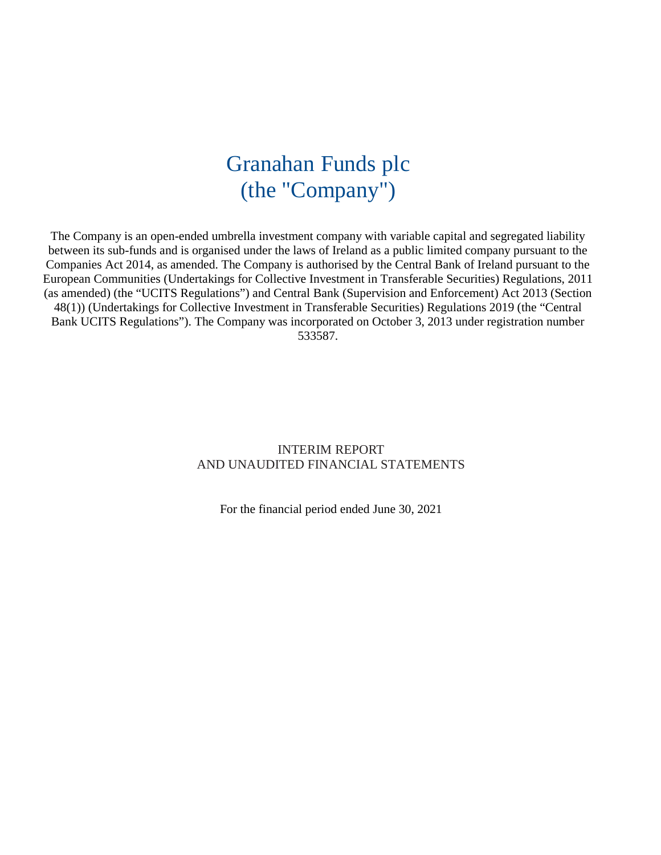# Granahan Funds plc (the "Company")

The Company is an open-ended umbrella investment company with variable capital and segregated liability between its sub-funds and is organised under the laws of Ireland as a public limited company pursuant to the Companies Act 2014, as amended. The Company is authorised by the Central Bank of Ireland pursuant to the European Communities (Undertakings for Collective Investment in Transferable Securities) Regulations, 2011 (as amended) (the "UCITS Regulations") and Central Bank (Supervision and Enforcement) Act 2013 (Section 48(1)) (Undertakings for Collective Investment in Transferable Securities) Regulations 2019 (the "Central Bank UCITS Regulations"). The Company was incorporated on October 3, 2013 under registration number 533587.

### INTERIM REPORT AND UNAUDITED FINANCIAL STATEMENTS

For the financial period ended June 30, 2021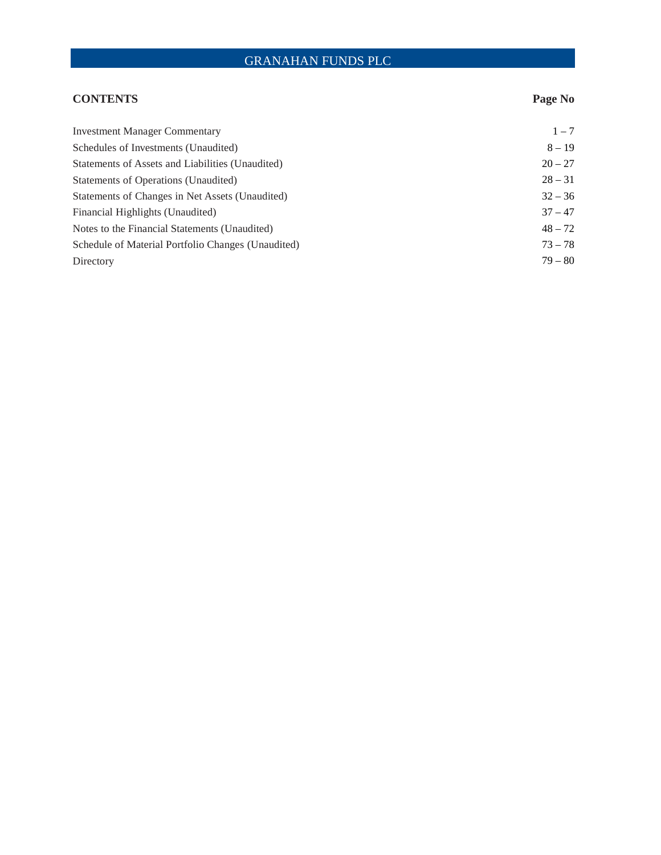### **CONTENTS Page No**

| <b>Investment Manager Commentary</b>               | $1 - 7$   |
|----------------------------------------------------|-----------|
| Schedules of Investments (Unaudited)               | $8 - 19$  |
| Statements of Assets and Liabilities (Unaudited)   | $20 - 27$ |
| Statements of Operations (Unaudited)               | $28 - 31$ |
| Statements of Changes in Net Assets (Unaudited)    | $32 - 36$ |
| Financial Highlights (Unaudited)                   | $37 - 47$ |
| Notes to the Financial Statements (Unaudited)      | $48 - 72$ |
| Schedule of Material Portfolio Changes (Unaudited) | $73 - 78$ |
| Directory                                          | $79 - 80$ |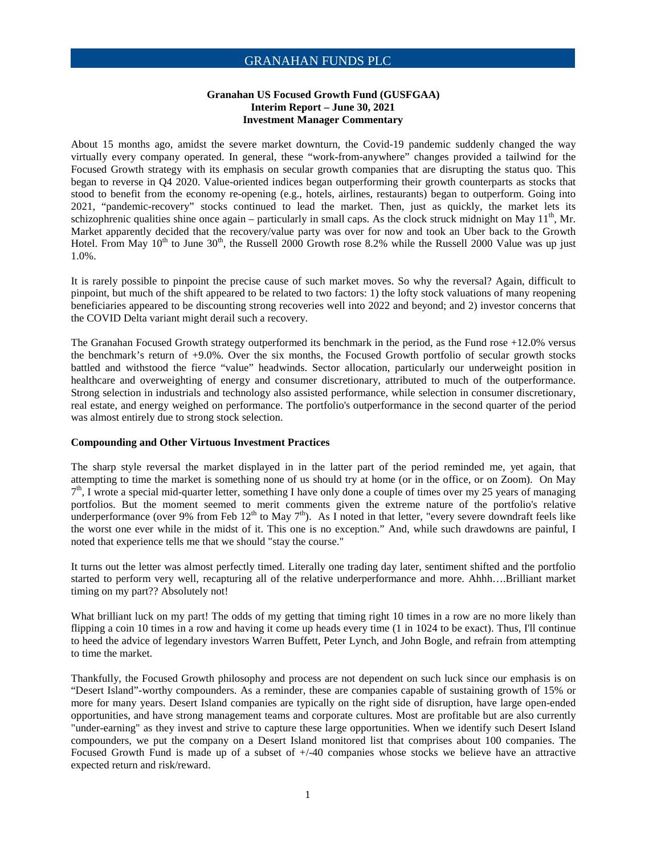#### **Granahan US Focused Growth Fund (GUSFGAA) Interim Report – June 30, 2021 Investment Manager Commentary**

About 15 months ago, amidst the severe market downturn, the Covid-19 pandemic suddenly changed the way virtually every company operated. In general, these "work-from-anywhere" changes provided a tailwind for the Focused Growth strategy with its emphasis on secular growth companies that are disrupting the status quo. This began to reverse in Q4 2020. Value-oriented indices began outperforming their growth counterparts as stocks that stood to benefit from the economy re-opening (e.g., hotels, airlines, restaurants) began to outperform. Going into 2021, "pandemic-recovery" stocks continued to lead the market. Then, just as quickly, the market lets its schizophrenic qualities shine once again – particularly in small caps. As the clock struck midnight on May  $11<sup>th</sup>$ , Mr. Market apparently decided that the recovery/value party was over for now and took an Uber back to the Growth Hotel. From May  $10<sup>th</sup>$  to June  $30<sup>th</sup>$ , the Russell 2000 Growth rose 8.2% while the Russell 2000 Value was up just 1.0%.

It is rarely possible to pinpoint the precise cause of such market moves. So why the reversal? Again, difficult to pinpoint, but much of the shift appeared to be related to two factors: 1) the lofty stock valuations of many reopening beneficiaries appeared to be discounting strong recoveries well into 2022 and beyond; and 2) investor concerns that the COVID Delta variant might derail such a recovery.

The Granahan Focused Growth strategy outperformed its benchmark in the period, as the Fund rose +12.0% versus the benchmark's return of +9.0%. Over the six months, the Focused Growth portfolio of secular growth stocks battled and withstood the fierce "value" headwinds. Sector allocation, particularly our underweight position in healthcare and overweighting of energy and consumer discretionary, attributed to much of the outperformance. Strong selection in industrials and technology also assisted performance, while selection in consumer discretionary, real estate, and energy weighed on performance. The portfolio's outperformance in the second quarter of the period was almost entirely due to strong stock selection.

#### **Compounding and Other Virtuous Investment Practices**

The sharp style reversal the market displayed in in the latter part of the period reminded me, yet again, that attempting to time the market is something none of us should try at home (or in the office, or on Zoom). On May 7<sup>th</sup>, I wrote a special mid-quarter letter, something I have only done a couple of times over my 25 years of managing portfolios. But the moment seemed to merit comments given the extreme nature of the portfolio's relative underperformance (over 9% from Feb  $12<sup>th</sup>$  to May  $7<sup>th</sup>$ ). As I noted in that letter, "every severe downdraft feels like the worst one ever while in the midst of it. This one is no exception." And, while such drawdowns are painful, I noted that experience tells me that we should "stay the course."

It turns out the letter was almost perfectly timed. Literally one trading day later, sentiment shifted and the portfolio started to perform very well, recapturing all of the relative underperformance and more. Ahhh….Brilliant market timing on my part?? Absolutely not!

What brilliant luck on my part! The odds of my getting that timing right 10 times in a row are no more likely than flipping a coin 10 times in a row and having it come up heads every time (1 in 1024 to be exact). Thus, I'll continue to heed the advice of legendary investors Warren Buffett, Peter Lynch, and John Bogle, and refrain from attempting to time the market.

Thankfully, the Focused Growth philosophy and process are not dependent on such luck since our emphasis is on "Desert Island"-worthy compounders. As a reminder, these are companies capable of sustaining growth of 15% or more for many years. Desert Island companies are typically on the right side of disruption, have large open-ended opportunities, and have strong management teams and corporate cultures. Most are profitable but are also currently "under-earning" as they invest and strive to capture these large opportunities. When we identify such Desert Island compounders, we put the company on a Desert Island monitored list that comprises about 100 companies. The Focused Growth Fund is made up of a subset of +/-40 companies whose stocks we believe have an attractive expected return and risk/reward.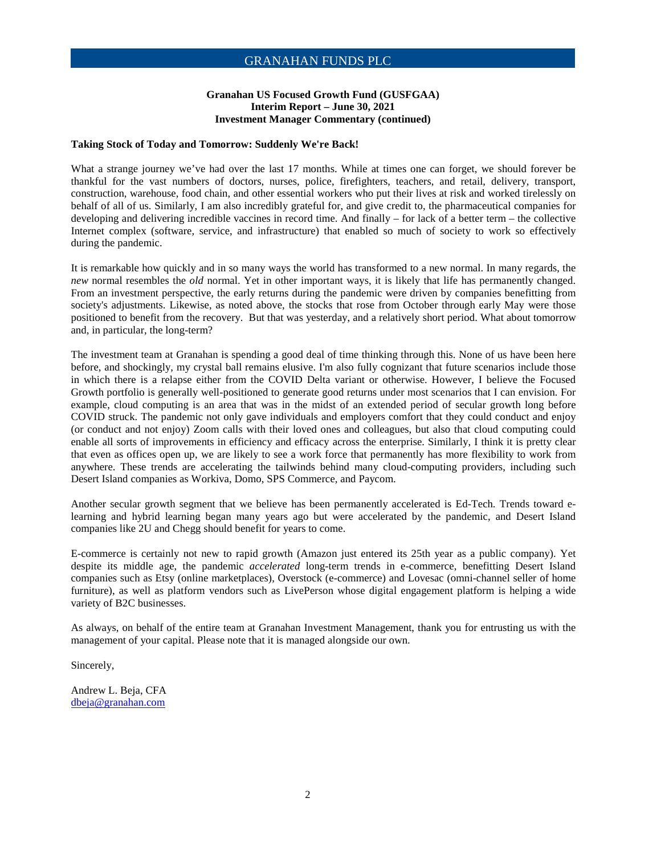#### **Granahan US Focused Growth Fund (GUSFGAA) Interim Report – June 30, 2021 Investment Manager Commentary (continued)**

#### **Taking Stock of Today and Tomorrow: Suddenly We're Back!**

What a strange journey we've had over the last 17 months. While at times one can forget, we should forever be thankful for the vast numbers of doctors, nurses, police, firefighters, teachers, and retail, delivery, transport, construction, warehouse, food chain, and other essential workers who put their lives at risk and worked tirelessly on behalf of all of us. Similarly, I am also incredibly grateful for, and give credit to, the pharmaceutical companies for developing and delivering incredible vaccines in record time. And finally – for lack of a better term – the collective Internet complex (software, service, and infrastructure) that enabled so much of society to work so effectively during the pandemic.

It is remarkable how quickly and in so many ways the world has transformed to a new normal. In many regards, the *new* normal resembles the *old* normal. Yet in other important ways, it is likely that life has permanently changed. From an investment perspective, the early returns during the pandemic were driven by companies benefitting from society's adjustments. Likewise, as noted above, the stocks that rose from October through early May were those positioned to benefit from the recovery. But that was yesterday, and a relatively short period. What about tomorrow and, in particular, the long-term?

The investment team at Granahan is spending a good deal of time thinking through this. None of us have been here before, and shockingly, my crystal ball remains elusive. I'm also fully cognizant that future scenarios include those in which there is a relapse either from the COVID Delta variant or otherwise. However, I believe the Focused Growth portfolio is generally well-positioned to generate good returns under most scenarios that I can envision. For example, cloud computing is an area that was in the midst of an extended period of secular growth long before COVID struck. The pandemic not only gave individuals and employers comfort that they could conduct and enjoy (or conduct and not enjoy) Zoom calls with their loved ones and colleagues, but also that cloud computing could enable all sorts of improvements in efficiency and efficacy across the enterprise. Similarly, I think it is pretty clear that even as offices open up, we are likely to see a work force that permanently has more flexibility to work from anywhere. These trends are accelerating the tailwinds behind many cloud-computing providers, including such Desert Island companies as Workiva, Domo, SPS Commerce, and Paycom.

Another secular growth segment that we believe has been permanently accelerated is Ed-Tech. Trends toward elearning and hybrid learning began many years ago but were accelerated by the pandemic, and Desert Island companies like 2U and Chegg should benefit for years to come.

E-commerce is certainly not new to rapid growth (Amazon just entered its 25th year as a public company). Yet despite its middle age, the pandemic *accelerated* long-term trends in e-commerce, benefitting Desert Island companies such as Etsy (online marketplaces), Overstock (e-commerce) and Lovesac (omni-channel seller of home furniture), as well as platform vendors such as LivePerson whose digital engagement platform is helping a wide variety of B2C businesses.

As always, on behalf of the entire team at Granahan Investment Management, thank you for entrusting us with the management of your capital. Please note that it is managed alongside our own.

Sincerely,

Andrew L. Beja, CFA dbeja@granahan.com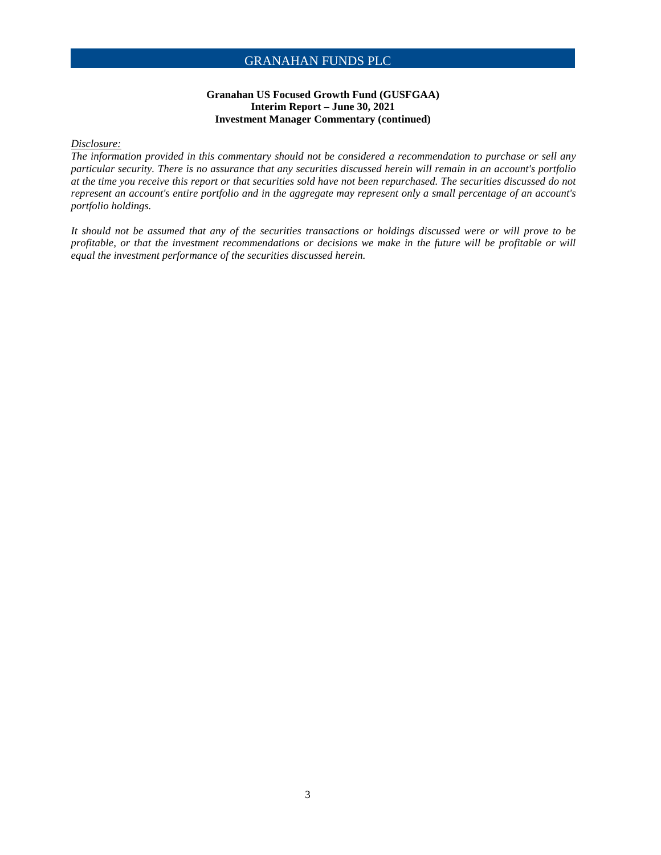#### **Granahan US Focused Growth Fund (GUSFGAA) Interim Report – June 30, 2021 Investment Manager Commentary (continued)**

#### *Disclosure:*

*The information provided in this commentary should not be considered a recommendation to purchase or sell any particular security. There is no assurance that any securities discussed herein will remain in an account's portfolio at the time you receive this report or that securities sold have not been repurchased. The securities discussed do not represent an account's entire portfolio and in the aggregate may represent only a small percentage of an account's portfolio holdings.* 

*It should not be assumed that any of the securities transactions or holdings discussed were or will prove to be profitable, or that the investment recommendations or decisions we make in the future will be profitable or will equal the investment performance of the securities discussed herein.*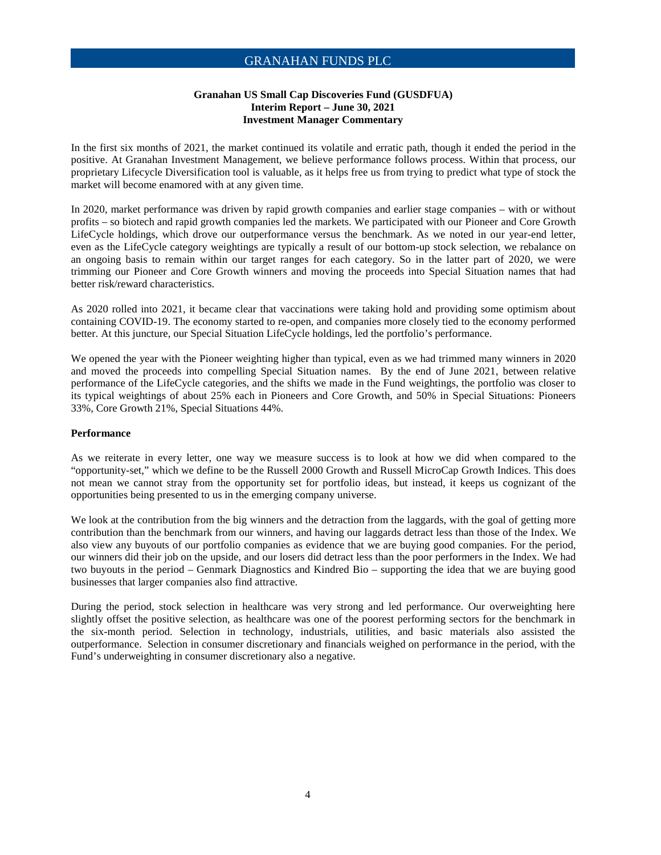#### **Granahan US Small Cap Discoveries Fund (GUSDFUA) Interim Report – June 30, 2021 Investment Manager Commentary**

In the first six months of 2021, the market continued its volatile and erratic path, though it ended the period in the positive. At Granahan Investment Management, we believe performance follows process. Within that process, our proprietary Lifecycle Diversification tool is valuable, as it helps free us from trying to predict what type of stock the market will become enamored with at any given time.

In 2020, market performance was driven by rapid growth companies and earlier stage companies – with or without profits – so biotech and rapid growth companies led the markets. We participated with our Pioneer and Core Growth LifeCycle holdings, which drove our outperformance versus the benchmark. As we noted in our year-end letter, even as the LifeCycle category weightings are typically a result of our bottom-up stock selection, we rebalance on an ongoing basis to remain within our target ranges for each category. So in the latter part of 2020, we were trimming our Pioneer and Core Growth winners and moving the proceeds into Special Situation names that had better risk/reward characteristics.

As 2020 rolled into 2021, it became clear that vaccinations were taking hold and providing some optimism about containing COVID-19. The economy started to re-open, and companies more closely tied to the economy performed better. At this juncture, our Special Situation LifeCycle holdings, led the portfolio's performance.

We opened the year with the Pioneer weighting higher than typical, even as we had trimmed many winners in 2020 and moved the proceeds into compelling Special Situation names. By the end of June 2021, between relative performance of the LifeCycle categories, and the shifts we made in the Fund weightings, the portfolio was closer to its typical weightings of about 25% each in Pioneers and Core Growth, and 50% in Special Situations: Pioneers 33%, Core Growth 21%, Special Situations 44%.

#### **Performance**

As we reiterate in every letter, one way we measure success is to look at how we did when compared to the "opportunity-set," which we define to be the Russell 2000 Growth and Russell MicroCap Growth Indices. This does not mean we cannot stray from the opportunity set for portfolio ideas, but instead, it keeps us cognizant of the opportunities being presented to us in the emerging company universe.

We look at the contribution from the big winners and the detraction from the laggards, with the goal of getting more contribution than the benchmark from our winners, and having our laggards detract less than those of the Index. We also view any buyouts of our portfolio companies as evidence that we are buying good companies. For the period, our winners did their job on the upside, and our losers did detract less than the poor performers in the Index. We had two buyouts in the period – Genmark Diagnostics and Kindred Bio – supporting the idea that we are buying good businesses that larger companies also find attractive.

During the period, stock selection in healthcare was very strong and led performance. Our overweighting here slightly offset the positive selection, as healthcare was one of the poorest performing sectors for the benchmark in the six-month period. Selection in technology, industrials, utilities, and basic materials also assisted the outperformance. Selection in consumer discretionary and financials weighed on performance in the period, with the Fund's underweighting in consumer discretionary also a negative.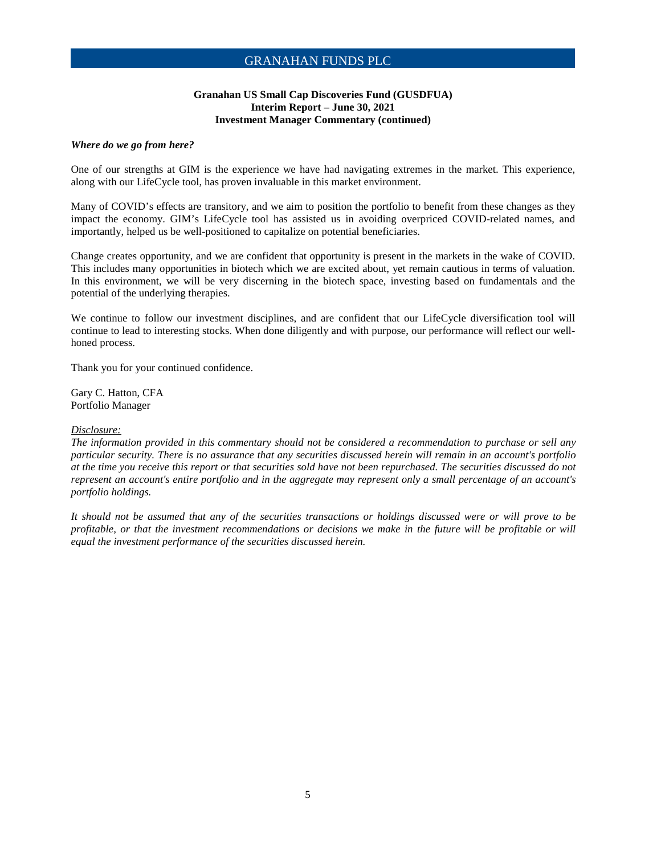#### **Granahan US Small Cap Discoveries Fund (GUSDFUA) Interim Report – June 30, 2021 Investment Manager Commentary (continued)**

#### *Where do we go from here?*

One of our strengths at GIM is the experience we have had navigating extremes in the market. This experience, along with our LifeCycle tool, has proven invaluable in this market environment.

Many of COVID's effects are transitory, and we aim to position the portfolio to benefit from these changes as they impact the economy. GIM's LifeCycle tool has assisted us in avoiding overpriced COVID-related names, and importantly, helped us be well-positioned to capitalize on potential beneficiaries.

Change creates opportunity, and we are confident that opportunity is present in the markets in the wake of COVID. This includes many opportunities in biotech which we are excited about, yet remain cautious in terms of valuation. In this environment, we will be very discerning in the biotech space, investing based on fundamentals and the potential of the underlying therapies.

We continue to follow our investment disciplines, and are confident that our LifeCycle diversification tool will continue to lead to interesting stocks. When done diligently and with purpose, our performance will reflect our wellhoned process.

Thank you for your continued confidence.

Gary C. Hatton, CFA Portfolio Manager

#### *Disclosure:*

*The information provided in this commentary should not be considered a recommendation to purchase or sell any particular security. There is no assurance that any securities discussed herein will remain in an account's portfolio at the time you receive this report or that securities sold have not been repurchased. The securities discussed do not represent an account's entire portfolio and in the aggregate may represent only a small percentage of an account's portfolio holdings.* 

*It should not be assumed that any of the securities transactions or holdings discussed were or will prove to be profitable, or that the investment recommendations or decisions we make in the future will be profitable or will equal the investment performance of the securities discussed herein.*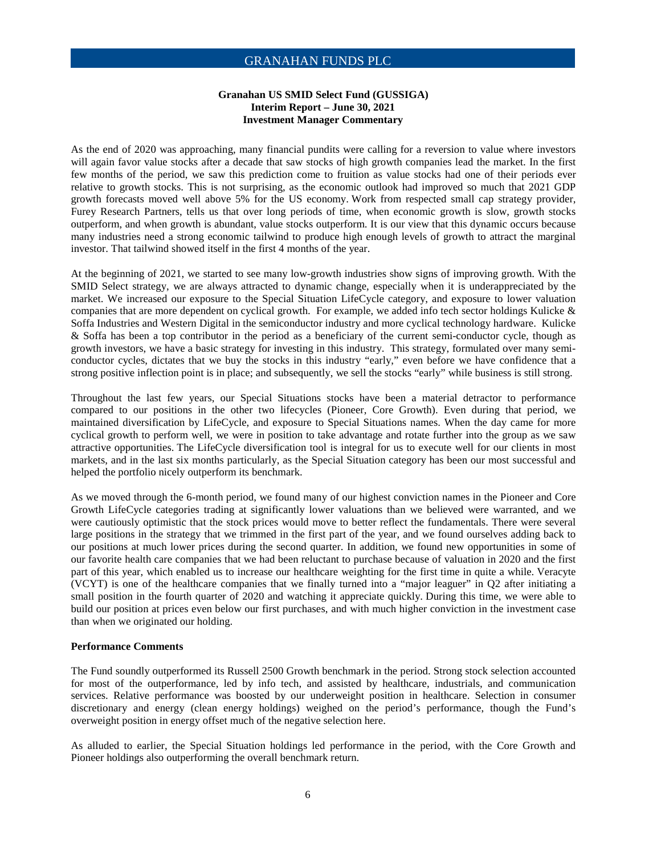#### **Granahan US SMID Select Fund (GUSSIGA) Interim Report – June 30, 2021 Investment Manager Commentary**

As the end of 2020 was approaching, many financial pundits were calling for a reversion to value where investors will again favor value stocks after a decade that saw stocks of high growth companies lead the market. In the first few months of the period, we saw this prediction come to fruition as value stocks had one of their periods ever relative to growth stocks. This is not surprising, as the economic outlook had improved so much that 2021 GDP growth forecasts moved well above 5% for the US economy. Work from respected small cap strategy provider, Furey Research Partners, tells us that over long periods of time, when economic growth is slow, growth stocks outperform, and when growth is abundant, value stocks outperform. It is our view that this dynamic occurs because many industries need a strong economic tailwind to produce high enough levels of growth to attract the marginal investor. That tailwind showed itself in the first 4 months of the year.

At the beginning of 2021, we started to see many low-growth industries show signs of improving growth. With the SMID Select strategy, we are always attracted to dynamic change, especially when it is underappreciated by the market. We increased our exposure to the Special Situation LifeCycle category, and exposure to lower valuation companies that are more dependent on cyclical growth. For example, we added info tech sector holdings Kulicke  $\&$ Soffa Industries and Western Digital in the semiconductor industry and more cyclical technology hardware. Kulicke & Soffa has been a top contributor in the period as a beneficiary of the current semi-conductor cycle, though as growth investors, we have a basic strategy for investing in this industry. This strategy, formulated over many semiconductor cycles, dictates that we buy the stocks in this industry "early," even before we have confidence that a strong positive inflection point is in place; and subsequently, we sell the stocks "early" while business is still strong.

Throughout the last few years, our Special Situations stocks have been a material detractor to performance compared to our positions in the other two lifecycles (Pioneer, Core Growth). Even during that period, we maintained diversification by LifeCycle, and exposure to Special Situations names. When the day came for more cyclical growth to perform well, we were in position to take advantage and rotate further into the group as we saw attractive opportunities. The LifeCycle diversification tool is integral for us to execute well for our clients in most markets, and in the last six months particularly, as the Special Situation category has been our most successful and helped the portfolio nicely outperform its benchmark.

As we moved through the 6-month period, we found many of our highest conviction names in the Pioneer and Core Growth LifeCycle categories trading at significantly lower valuations than we believed were warranted, and we were cautiously optimistic that the stock prices would move to better reflect the fundamentals. There were several large positions in the strategy that we trimmed in the first part of the year, and we found ourselves adding back to our positions at much lower prices during the second quarter. In addition, we found new opportunities in some of our favorite health care companies that we had been reluctant to purchase because of valuation in 2020 and the first part of this year, which enabled us to increase our healthcare weighting for the first time in quite a while. Veracyte (VCYT) is one of the healthcare companies that we finally turned into a "major leaguer" in Q2 after initiating a small position in the fourth quarter of 2020 and watching it appreciate quickly. During this time, we were able to build our position at prices even below our first purchases, and with much higher conviction in the investment case than when we originated our holding.

#### **Performance Comments**

The Fund soundly outperformed its Russell 2500 Growth benchmark in the period. Strong stock selection accounted for most of the outperformance, led by info tech, and assisted by healthcare, industrials, and communication services. Relative performance was boosted by our underweight position in healthcare. Selection in consumer discretionary and energy (clean energy holdings) weighed on the period's performance, though the Fund's overweight position in energy offset much of the negative selection here.

As alluded to earlier, the Special Situation holdings led performance in the period, with the Core Growth and Pioneer holdings also outperforming the overall benchmark return.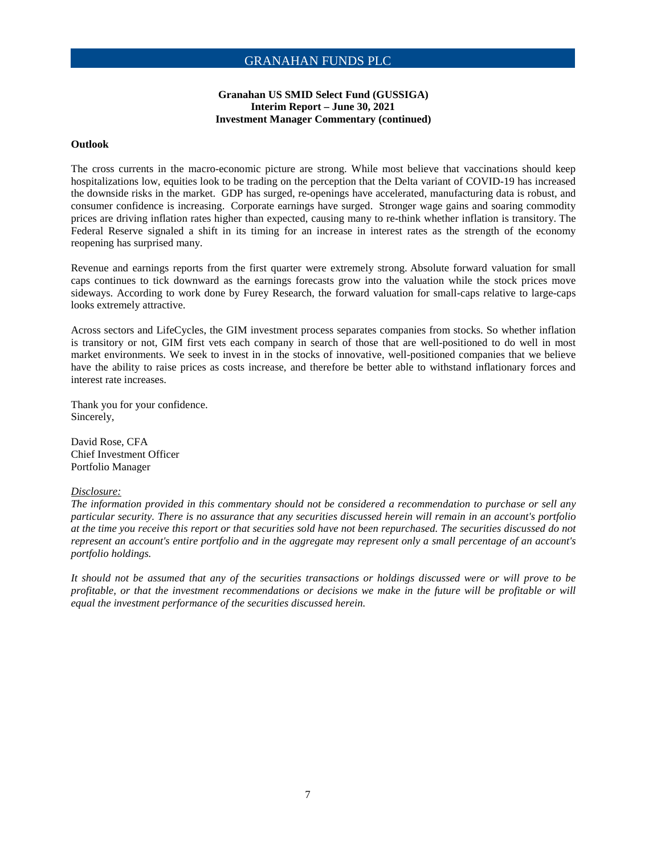#### **Granahan US SMID Select Fund (GUSSIGA) Interim Report – June 30, 2021 Investment Manager Commentary (continued)**

#### **Outlook**

The cross currents in the macro-economic picture are strong. While most believe that vaccinations should keep hospitalizations low, equities look to be trading on the perception that the Delta variant of COVID-19 has increased the downside risks in the market. GDP has surged, re-openings have accelerated, manufacturing data is robust, and consumer confidence is increasing. Corporate earnings have surged. Stronger wage gains and soaring commodity prices are driving inflation rates higher than expected, causing many to re-think whether inflation is transitory. The Federal Reserve signaled a shift in its timing for an increase in interest rates as the strength of the economy reopening has surprised many.

Revenue and earnings reports from the first quarter were extremely strong. Absolute forward valuation for small caps continues to tick downward as the earnings forecasts grow into the valuation while the stock prices move sideways. According to work done by Furey Research, the forward valuation for small-caps relative to large-caps looks extremely attractive.

Across sectors and LifeCycles, the GIM investment process separates companies from stocks. So whether inflation is transitory or not, GIM first vets each company in search of those that are well-positioned to do well in most market environments. We seek to invest in in the stocks of innovative, well-positioned companies that we believe have the ability to raise prices as costs increase, and therefore be better able to withstand inflationary forces and interest rate increases.

Thank you for your confidence. Sincerely,

David Rose, CFA Chief Investment Officer Portfolio Manager

#### *Disclosure:*

*The information provided in this commentary should not be considered a recommendation to purchase or sell any particular security. There is no assurance that any securities discussed herein will remain in an account's portfolio at the time you receive this report or that securities sold have not been repurchased. The securities discussed do not represent an account's entire portfolio and in the aggregate may represent only a small percentage of an account's portfolio holdings.* 

*It should not be assumed that any of the securities transactions or holdings discussed were or will prove to be profitable, or that the investment recommendations or decisions we make in the future will be profitable or will equal the investment performance of the securities discussed herein.*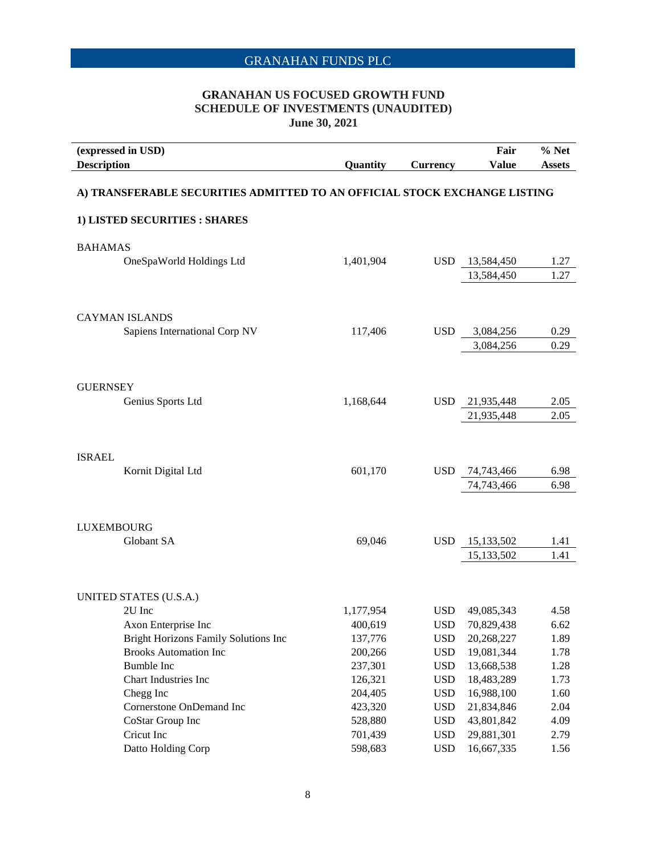### **GRANAHAN US FOCUSED GROWTH FUND SCHEDULE OF INVESTMENTS (UNAUDITED) June 30, 2021**

| <b>Description</b> | (expressed in USD)                                                        | Quantity  | <b>Currency</b> | Fair<br><b>Value</b> | % Net<br><b>Assets</b> |
|--------------------|---------------------------------------------------------------------------|-----------|-----------------|----------------------|------------------------|
|                    | A) TRANSFERABLE SECURITIES ADMITTED TO AN OFFICIAL STOCK EXCHANGE LISTING |           |                 |                      |                        |
|                    | 1) LISTED SECURITIES : SHARES                                             |           |                 |                      |                        |
| <b>BAHAMAS</b>     |                                                                           |           |                 |                      |                        |
|                    | OneSpaWorld Holdings Ltd                                                  | 1,401,904 | <b>USD</b>      | 13,584,450           | 1.27                   |
|                    |                                                                           |           |                 | 13,584,450           | 1.27                   |
|                    |                                                                           |           |                 |                      |                        |
|                    | <b>CAYMAN ISLANDS</b><br>Sapiens International Corp NV                    | 117,406   | <b>USD</b>      | 3,084,256            | 0.29                   |
|                    |                                                                           |           |                 | 3,084,256            | 0.29                   |
|                    |                                                                           |           |                 |                      |                        |
| <b>GUERNSEY</b>    |                                                                           |           |                 |                      |                        |
|                    | Genius Sports Ltd                                                         | 1,168,644 | <b>USD</b>      | 21,935,448           | 2.05                   |
|                    |                                                                           |           |                 | 21,935,448           | 2.05                   |
| <b>ISRAEL</b>      |                                                                           |           |                 |                      |                        |
|                    | Kornit Digital Ltd                                                        | 601,170   | <b>USD</b>      | 74,743,466           | 6.98                   |
|                    |                                                                           |           |                 | 74,743,466           | 6.98                   |
| <b>LUXEMBOURG</b>  |                                                                           |           |                 |                      |                        |
|                    | Globant SA                                                                | 69,046    | <b>USD</b>      | 15,133,502           | 1.41                   |
|                    |                                                                           |           |                 | 15,133,502           | 1.41                   |
|                    |                                                                           |           |                 |                      |                        |
|                    | UNITED STATES (U.S.A.)<br>2U Inc                                          | 1,177,954 | <b>USD</b>      | 49,085,343           | 4.58                   |
|                    | Axon Enterprise Inc                                                       | 400,619   | <b>USD</b>      | 70,829,438           | 6.62                   |
|                    | Bright Horizons Family Solutions Inc                                      | 137,776   | <b>USD</b>      | 20,268,227           | 1.89                   |
|                    | <b>Brooks Automation Inc</b>                                              | 200,266   | <b>USD</b>      | 19,081,344           | 1.78                   |
|                    | <b>Bumble Inc</b>                                                         | 237,301   | <b>USD</b>      | 13,668,538           | 1.28                   |
|                    | Chart Industries Inc                                                      | 126,321   | <b>USD</b>      | 18,483,289           | 1.73                   |
|                    | Chegg Inc                                                                 | 204,405   | <b>USD</b>      | 16,988,100           | 1.60                   |
|                    | Cornerstone OnDemand Inc                                                  | 423,320   | <b>USD</b>      | 21,834,846           | 2.04                   |
|                    | CoStar Group Inc                                                          | 528,880   | <b>USD</b>      | 43,801,842           | 4.09                   |
|                    | Cricut Inc                                                                | 701,439   | <b>USD</b>      | 29,881,301           | 2.79                   |
|                    | Datto Holding Corp                                                        | 598,683   | <b>USD</b>      | 16,667,335           | 1.56                   |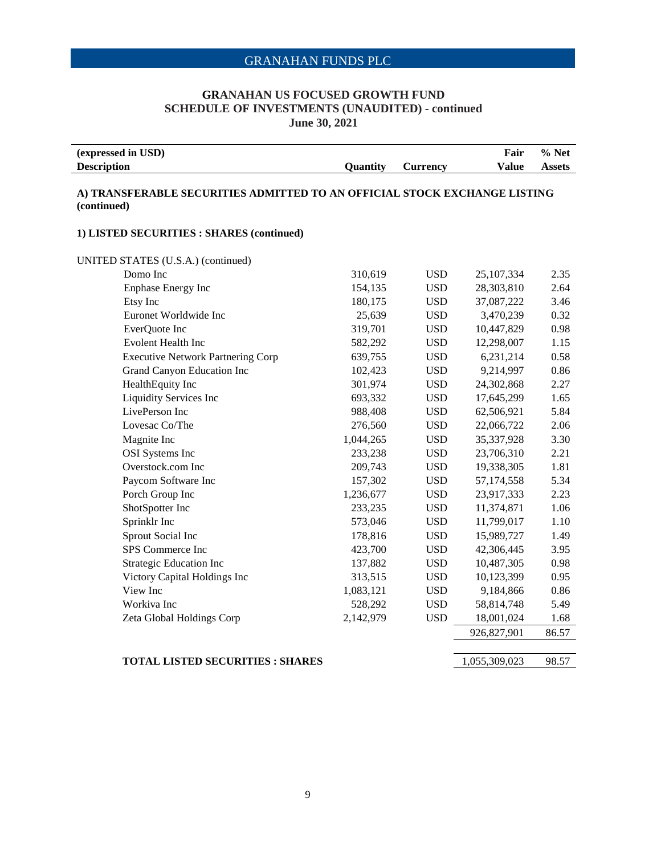#### **GRANAHAN US FOCUSED GROWTH FUND SCHEDULE OF INVESTMENTS (UNAUDITED) - continued June 30, 2021**

| (expressed in USD) |                 |                 | Fair  | % Net         |
|--------------------|-----------------|-----------------|-------|---------------|
| <b>Description</b> | <b>Ouantity</b> | <b>Currency</b> | Value | <b>Assets</b> |

#### **A) TRANSFERABLE SECURITIES ADMITTED TO AN OFFICIAL STOCK EXCHANGE LISTING (continued)**

#### **1) LISTED SECURITIES : SHARES (continued)**

UNITED STATES (U.S.A.) (continued)

| Domo Inc                                 | 310,619   | <b>USD</b> | 25,107,334  | 2.35  |
|------------------------------------------|-----------|------------|-------------|-------|
| <b>Enphase Energy Inc</b>                | 154,135   | <b>USD</b> | 28,303,810  | 2.64  |
| Etsy Inc                                 | 180,175   | <b>USD</b> | 37,087,222  | 3.46  |
| Euronet Worldwide Inc                    | 25,639    | <b>USD</b> | 3,470,239   | 0.32  |
| EverQuote Inc                            | 319,701   | <b>USD</b> | 10,447,829  | 0.98  |
| Evolent Health Inc                       | 582,292   | <b>USD</b> | 12,298,007  | 1.15  |
| <b>Executive Network Partnering Corp</b> | 639,755   | <b>USD</b> | 6,231,214   | 0.58  |
| Grand Canyon Education Inc               | 102,423   | <b>USD</b> | 9,214,997   | 0.86  |
| HealthEquity Inc                         | 301,974   | <b>USD</b> | 24,302,868  | 2.27  |
| <b>Liquidity Services Inc</b>            | 693,332   | <b>USD</b> | 17,645,299  | 1.65  |
| LivePerson Inc                           | 988,408   | <b>USD</b> | 62,506,921  | 5.84  |
| Lovesac Co/The                           | 276,560   | <b>USD</b> | 22,066,722  | 2.06  |
| Magnite Inc                              | 1,044,265 | <b>USD</b> | 35,337,928  | 3.30  |
| <b>OSI</b> Systems Inc                   | 233,238   | <b>USD</b> | 23,706,310  | 2.21  |
| Overstock.com Inc                        | 209,743   | <b>USD</b> | 19,338,305  | 1.81  |
| Paycom Software Inc                      | 157,302   | <b>USD</b> | 57,174,558  | 5.34  |
| Porch Group Inc                          | 1,236,677 | <b>USD</b> | 23,917,333  | 2.23  |
| ShotSpotter Inc                          | 233,235   | <b>USD</b> | 11,374,871  | 1.06  |
| Sprinklr Inc                             | 573,046   | <b>USD</b> | 11,799,017  | 1.10  |
| Sprout Social Inc                        | 178,816   | <b>USD</b> | 15,989,727  | 1.49  |
| SPS Commerce Inc                         | 423,700   | <b>USD</b> | 42,306,445  | 3.95  |
| <b>Strategic Education Inc</b>           | 137,882   | <b>USD</b> | 10,487,305  | 0.98  |
| Victory Capital Holdings Inc             | 313,515   | <b>USD</b> | 10,123,399  | 0.95  |
| View Inc                                 | 1,083,121 | <b>USD</b> | 9,184,866   | 0.86  |
| Workiva Inc                              | 528,292   | <b>USD</b> | 58,814,748  | 5.49  |
| Zeta Global Holdings Corp                | 2,142,979 | <b>USD</b> | 18,001,024  | 1.68  |
|                                          |           |            | 926,827,901 | 86.57 |
|                                          |           |            |             |       |

#### **TOTAL LISTED SECURITIES : SHARES** 1,055,309,023 98.57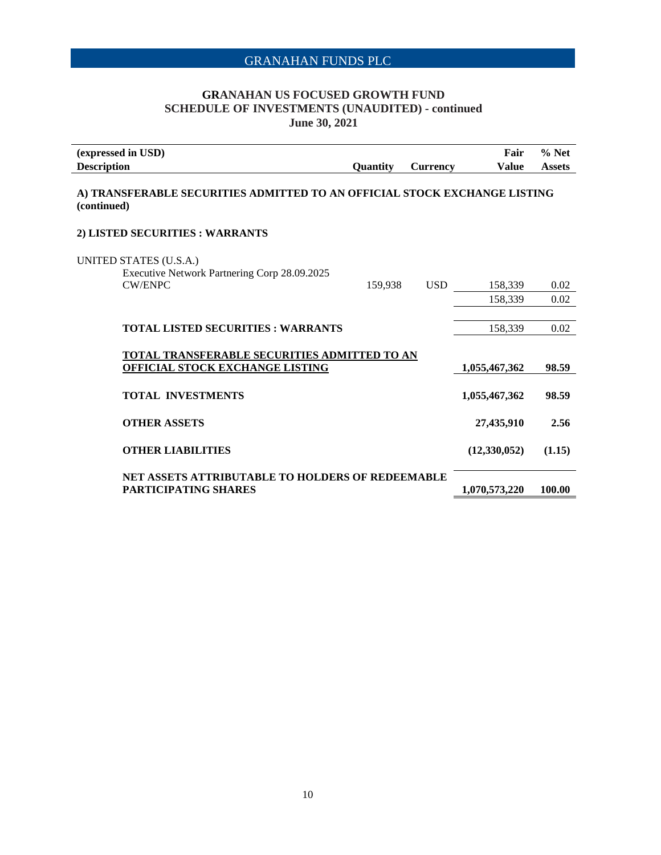### **GRANAHAN US FOCUSED GROWTH FUND SCHEDULE OF INVESTMENTS (UNAUDITED) - continued June 30, 2021**

| (expressed in USD)                                                                       |                 |                 | Fair           | $%$ Net       |
|------------------------------------------------------------------------------------------|-----------------|-----------------|----------------|---------------|
| <b>Description</b>                                                                       | <b>Quantity</b> | <b>Currency</b> | Value          | <b>Assets</b> |
| A) TRANSFERABLE SECURITIES ADMITTED TO AN OFFICIAL STOCK EXCHANGE LISTING<br>(continued) |                 |                 |                |               |
| 2) LISTED SECURITIES : WARRANTS                                                          |                 |                 |                |               |
| UNITED STATES (U.S.A.)<br>Executive Network Partnering Corp 28.09.2025                   |                 |                 |                |               |
| <b>CW/ENPC</b>                                                                           | 159,938         | <b>USD</b>      | 158,339        | 0.02          |
|                                                                                          |                 |                 | 158,339        | 0.02          |
| <b>TOTAL LISTED SECURITIES : WARRANTS</b>                                                |                 |                 | 158,339        | 0.02          |
| TOTAL TRANSFERABLE SECURITIES ADMITTED TO AN<br><b>OFFICIAL STOCK EXCHANGE LISTING</b>   |                 |                 | 1,055,467,362  | 98.59         |
| <b>TOTAL INVESTMENTS</b>                                                                 |                 |                 | 1,055,467,362  | 98.59         |
| <b>OTHER ASSETS</b>                                                                      |                 |                 | 27,435,910     | 2.56          |
| <b>OTHER LIABILITIES</b>                                                                 |                 |                 | (12, 330, 052) | (1.15)        |
| NET ASSETS ATTRIBUTABLE TO HOLDERS OF REDEEMABLE<br>PARTICIPATING SHARES                 |                 |                 | 1,070,573,220  | 100.00        |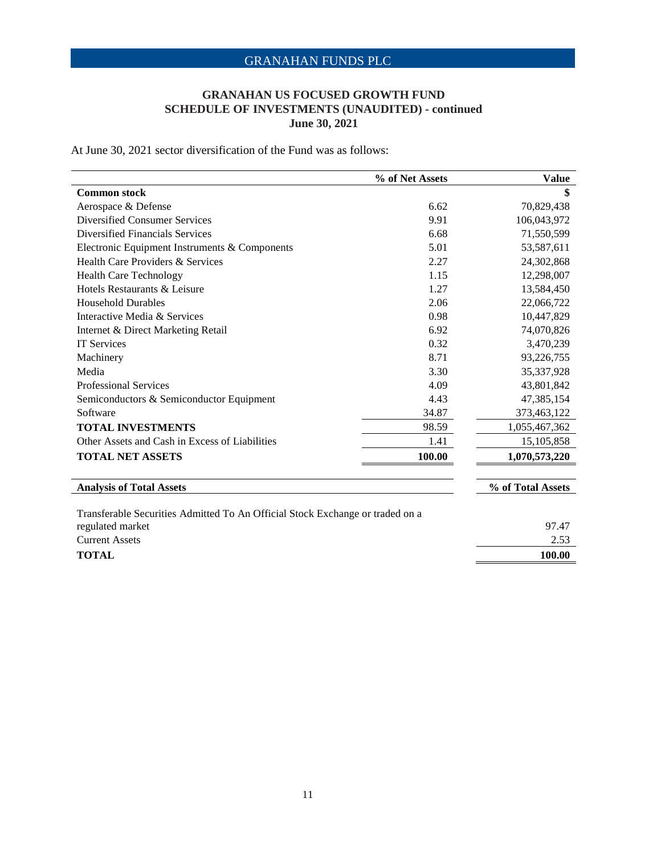### **GRANAHAN US FOCUSED GROWTH FUND SCHEDULE OF INVESTMENTS (UNAUDITED) - continued June 30, 2021**

At June 30, 2021 sector diversification of the Fund was as follows:

|                                                | % of Net Assets | <b>Value</b>      |
|------------------------------------------------|-----------------|-------------------|
| <b>Common stock</b>                            |                 | \$                |
| Aerospace & Defense                            | 6.62            | 70,829,438        |
| Diversified Consumer Services                  | 9.91            | 106,043,972       |
| Diversified Financials Services                | 6.68            | 71,550,599        |
| Electronic Equipment Instruments & Components  | 5.01            | 53,587,611        |
| Health Care Providers & Services               | 2.27            | 24,302,868        |
| <b>Health Care Technology</b>                  | 1.15            | 12,298,007        |
| Hotels Restaurants & Leisure                   | 1.27            | 13,584,450        |
| <b>Household Durables</b>                      | 2.06            | 22,066,722        |
| Interactive Media & Services                   | 0.98            | 10,447,829        |
| Internet & Direct Marketing Retail             | 6.92            | 74,070,826        |
| <b>IT Services</b>                             | 0.32            | 3,470,239         |
| Machinery                                      | 8.71            | 93,226,755        |
| Media                                          | 3.30            | 35,337,928        |
| <b>Professional Services</b>                   | 4.09            | 43,801,842        |
| Semiconductors & Semiconductor Equipment       | 4.43            | 47,385,154        |
| Software                                       | 34.87           | 373,463,122       |
| <b>TOTAL INVESTMENTS</b>                       | 98.59           | 1,055,467,362     |
| Other Assets and Cash in Excess of Liabilities | 1.41            | 15, 105, 858      |
| <b>TOTAL NET ASSETS</b>                        | 100.00          | 1,070,573,220     |
| <b>Analysis of Total Assets</b>                |                 | % of Total Assets |

| Transferable Securities Admitted To An Official Stock Exchange or traded on a |        |
|-------------------------------------------------------------------------------|--------|
| regulated market                                                              | 97.47  |
| Current Assets                                                                | 2.53   |
| TOTAL                                                                         | 100.00 |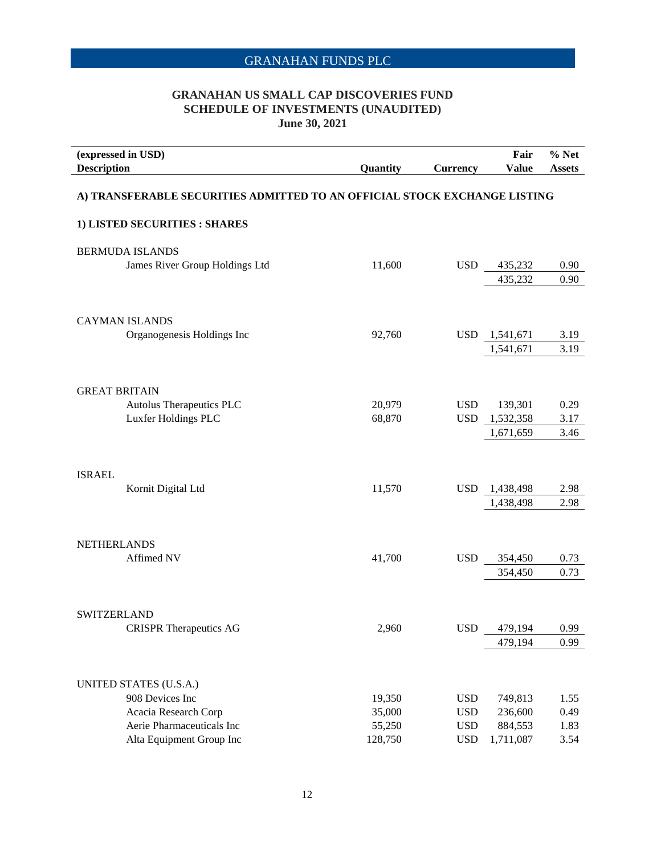### **GRANAHAN US SMALL CAP DISCOVERIES FUND SCHEDULE OF INVESTMENTS (UNAUDITED) June 30, 2021**

| (expressed in USD)                                                                                | Fair               | $%$ Net       |
|---------------------------------------------------------------------------------------------------|--------------------|---------------|
| <b>Description</b><br>Quantity<br><b>Currency</b>                                                 | <b>Value</b>       | <b>Assets</b> |
|                                                                                                   |                    |               |
| A) TRANSFERABLE SECURITIES ADMITTED TO AN OFFICIAL STOCK EXCHANGE LISTING                         |                    |               |
| 1) LISTED SECURITIES : SHARES                                                                     |                    |               |
| <b>BERMUDA ISLANDS</b>                                                                            |                    |               |
| James River Group Holdings Ltd<br>11,600<br><b>USD</b>                                            | 435,232            | 0.90          |
|                                                                                                   | 435,232            | 0.90          |
|                                                                                                   |                    |               |
| <b>CAYMAN ISLANDS</b>                                                                             |                    |               |
| 92,760<br>Organogenesis Holdings Inc<br><b>USD</b><br>1,541,671                                   |                    | 3.19          |
| 1,541,671                                                                                         |                    | 3.19          |
|                                                                                                   |                    |               |
|                                                                                                   |                    |               |
| <b>GREAT BRITAIN</b><br>Autolus Therapeutics PLC<br>20,979<br><b>USD</b>                          | 139,301            | 0.29          |
| Luxfer Holdings PLC<br>68,870<br><b>USD</b><br>1,532,358                                          |                    | 3.17          |
| 1,671,659                                                                                         |                    | 3.46          |
|                                                                                                   |                    |               |
|                                                                                                   |                    |               |
| <b>ISRAEL</b>                                                                                     |                    |               |
| 11,570<br>Kornit Digital Ltd<br><b>USD</b><br>1,438,498                                           |                    | 2.98          |
| 1,438,498                                                                                         |                    | 2.98          |
|                                                                                                   |                    |               |
| <b>NETHERLANDS</b>                                                                                |                    |               |
| <b>USD</b><br>Affimed NV<br>41,700                                                                | 354,450            | 0.73          |
|                                                                                                   | 354,450            | 0.73          |
|                                                                                                   |                    |               |
| <b>SWITZERLAND</b>                                                                                |                    |               |
| <b>CRISPR Therapeutics AG</b><br>2,960<br><b>USD</b>                                              | 479,194            | 0.99          |
|                                                                                                   | 479,194            | 0.99          |
|                                                                                                   |                    |               |
|                                                                                                   |                    |               |
| UNITED STATES (U.S.A.)                                                                            |                    |               |
| 908 Devices Inc<br>19,350<br><b>USD</b>                                                           | 749,813            | 1.55          |
| Acacia Research Corp<br>35,000<br><b>USD</b><br>Aerie Pharmaceuticals Inc<br><b>USD</b><br>55,250 | 236,600<br>884,553 | 0.49<br>1.83  |
| 1,711,087<br>Alta Equipment Group Inc<br>128,750<br><b>USD</b>                                    |                    | 3.54          |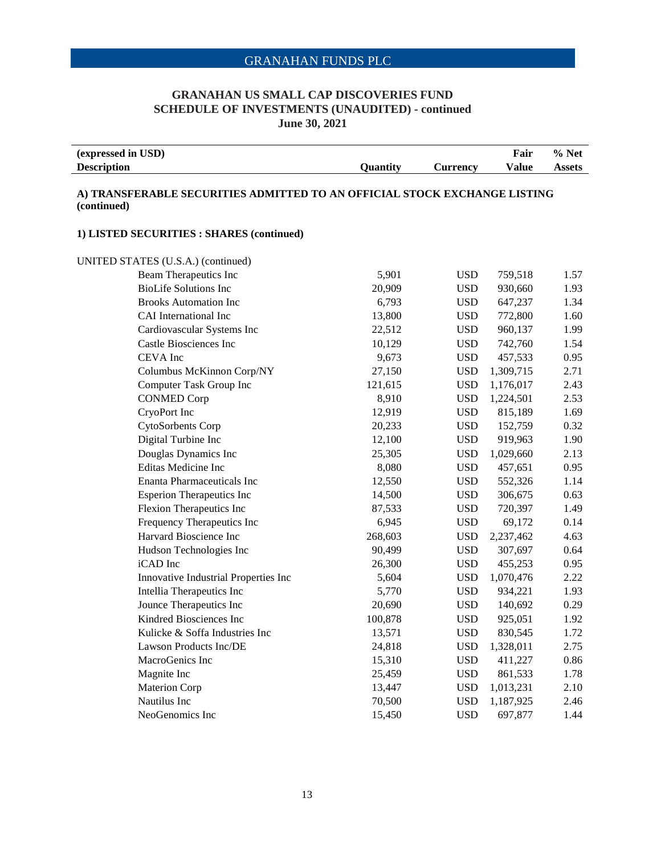### **GRANAHAN US SMALL CAP DISCOVERIES FUND SCHEDULE OF INVESTMENTS (UNAUDITED) - continued June 30, 2021**

| (expressed in USD) |                 |                 | Fair  | $%$ Net |
|--------------------|-----------------|-----------------|-------|---------|
| <b>Description</b> | <b>Ouantity</b> | <b>Lurrencv</b> | Value | Assets  |

#### **A) TRANSFERABLE SECURITIES ADMITTED TO AN OFFICIAL STOCK EXCHANGE LISTING (continued)**

#### **1) LISTED SECURITIES : SHARES (continued)**

UNITED STATES (U.S.A.) (continued)

| I ED STATES (U.S.A.) (continued)     |         |            |           |      |
|--------------------------------------|---------|------------|-----------|------|
| Beam Therapeutics Inc                | 5,901   | <b>USD</b> | 759,518   | 1.57 |
| <b>BioLife Solutions Inc</b>         | 20,909  | <b>USD</b> | 930,660   | 1.93 |
| <b>Brooks Automation Inc</b>         | 6,793   | <b>USD</b> | 647,237   | 1.34 |
| CAI International Inc                | 13,800  | <b>USD</b> | 772,800   | 1.60 |
| Cardiovascular Systems Inc           | 22,512  | <b>USD</b> | 960,137   | 1.99 |
| <b>Castle Biosciences Inc</b>        | 10,129  | <b>USD</b> | 742,760   | 1.54 |
| CEVA Inc                             | 9,673   | <b>USD</b> | 457,533   | 0.95 |
| Columbus McKinnon Corp/NY            | 27,150  | <b>USD</b> | 1,309,715 | 2.71 |
| Computer Task Group Inc              | 121,615 | <b>USD</b> | 1,176,017 | 2.43 |
| <b>CONMED Corp</b>                   | 8,910   | <b>USD</b> | 1,224,501 | 2.53 |
| CryoPort Inc                         | 12,919  | <b>USD</b> | 815,189   | 1.69 |
| CytoSorbents Corp                    | 20,233  | <b>USD</b> | 152,759   | 0.32 |
| Digital Turbine Inc                  | 12,100  | <b>USD</b> | 919,963   | 1.90 |
| Douglas Dynamics Inc                 | 25,305  | <b>USD</b> | 1,029,660 | 2.13 |
| <b>Editas Medicine Inc</b>           | 8,080   | <b>USD</b> | 457,651   | 0.95 |
| <b>Enanta Pharmaceuticals Inc</b>    | 12,550  | <b>USD</b> | 552,326   | 1.14 |
| <b>Esperion Therapeutics Inc</b>     | 14,500  | <b>USD</b> | 306,675   | 0.63 |
| Flexion Therapeutics Inc             | 87,533  | <b>USD</b> | 720,397   | 1.49 |
| Frequency Therapeutics Inc           | 6,945   | <b>USD</b> | 69,172    | 0.14 |
| Harvard Bioscience Inc               | 268,603 | <b>USD</b> | 2,237,462 | 4.63 |
| Hudson Technologies Inc              | 90,499  | <b>USD</b> | 307,697   | 0.64 |
| iCAD Inc                             | 26,300  | <b>USD</b> | 455,253   | 0.95 |
| Innovative Industrial Properties Inc | 5,604   | <b>USD</b> | 1,070,476 | 2.22 |
| Intellia Therapeutics Inc            | 5,770   | <b>USD</b> | 934,221   | 1.93 |
| Jounce Therapeutics Inc              | 20,690  | <b>USD</b> | 140,692   | 0.29 |
| Kindred Biosciences Inc              | 100,878 | <b>USD</b> | 925,051   | 1.92 |
| Kulicke & Soffa Industries Inc       | 13,571  | <b>USD</b> | 830,545   | 1.72 |
| Lawson Products Inc/DE               | 24,818  | <b>USD</b> | 1,328,011 | 2.75 |
| MacroGenics Inc                      | 15,310  | <b>USD</b> | 411,227   | 0.86 |
| Magnite Inc                          | 25,459  | <b>USD</b> | 861,533   | 1.78 |
| Materion Corp                        | 13,447  | <b>USD</b> | 1,013,231 | 2.10 |
| Nautilus Inc                         | 70,500  | <b>USD</b> | 1,187,925 | 2.46 |
| NeoGenomics Inc                      | 15,450  | <b>USD</b> | 697,877   | 1.44 |
|                                      |         |            |           |      |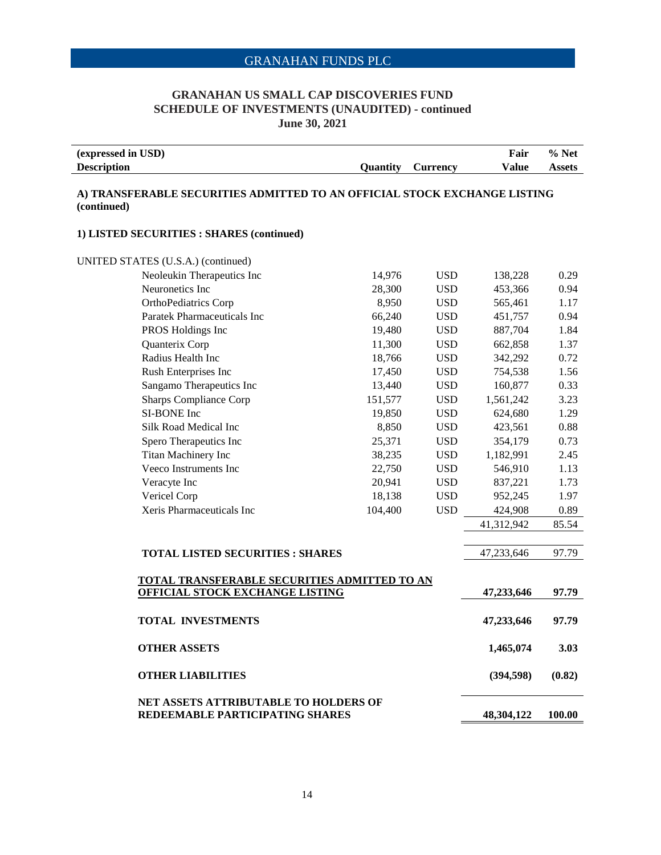### **GRANAHAN US SMALL CAP DISCOVERIES FUND SCHEDULE OF INVESTMENTS (UNAUDITED) - continued June 30, 2021**

| (expressed in USD) |          |                 | Fair  | <b>Net</b><br>$\%$ |
|--------------------|----------|-----------------|-------|--------------------|
| <b>Description</b> | Ouantitv | <b>Currency</b> | Value | Assets             |

#### **A) TRANSFERABLE SECURITIES ADMITTED TO AN OFFICIAL STOCK EXCHANGE LISTING (continued)**

#### **1) LISTED SECURITIES : SHARES (continued)**

| UNITED STATES (U.S.A.) (continued)                                                     |         |            |            |        |
|----------------------------------------------------------------------------------------|---------|------------|------------|--------|
| Neoleukin Therapeutics Inc                                                             | 14,976  | <b>USD</b> | 138,228    | 0.29   |
| Neuronetics Inc                                                                        | 28,300  | <b>USD</b> | 453,366    | 0.94   |
| OrthoPediatrics Corp                                                                   | 8,950   | <b>USD</b> | 565,461    | 1.17   |
| Paratek Pharmaceuticals Inc                                                            | 66,240  | <b>USD</b> | 451,757    | 0.94   |
| PROS Holdings Inc                                                                      | 19,480  | <b>USD</b> | 887,704    | 1.84   |
| Quanterix Corp                                                                         | 11,300  | <b>USD</b> | 662,858    | 1.37   |
| Radius Health Inc                                                                      | 18,766  | <b>USD</b> | 342,292    | 0.72   |
| Rush Enterprises Inc                                                                   | 17,450  | <b>USD</b> | 754,538    | 1.56   |
| Sangamo Therapeutics Inc                                                               | 13,440  | <b>USD</b> | 160,877    | 0.33   |
| <b>Sharps Compliance Corp</b>                                                          | 151,577 | <b>USD</b> | 1,561,242  | 3.23   |
| SI-BONE Inc                                                                            | 19,850  | <b>USD</b> | 624,680    | 1.29   |
| Silk Road Medical Inc                                                                  | 8,850   | <b>USD</b> | 423,561    | 0.88   |
| Spero Therapeutics Inc                                                                 | 25,371  | <b>USD</b> | 354,179    | 0.73   |
| Titan Machinery Inc                                                                    | 38,235  | <b>USD</b> | 1,182,991  | 2.45   |
| Veeco Instruments Inc                                                                  | 22,750  | <b>USD</b> | 546,910    | 1.13   |
| Veracyte Inc                                                                           | 20,941  | <b>USD</b> | 837,221    | 1.73   |
| Vericel Corp                                                                           | 18,138  | <b>USD</b> | 952,245    | 1.97   |
| Xeris Pharmaceuticals Inc                                                              | 104,400 | <b>USD</b> | 424,908    | 0.89   |
|                                                                                        |         |            | 41,312,942 | 85.54  |
| <b>TOTAL LISTED SECURITIES : SHARES</b>                                                |         |            | 47,233,646 | 97.79  |
| TOTAL TRANSFERABLE SECURITIES ADMITTED TO AN<br><b>OFFICIAL STOCK EXCHANGE LISTING</b> |         |            | 47,233,646 | 97.79  |
| <b>TOTAL INVESTMENTS</b>                                                               |         |            | 47,233,646 | 97.79  |
| <b>OTHER ASSETS</b>                                                                    |         |            | 1,465,074  | 3.03   |
| <b>OTHER LIABILITIES</b>                                                               |         |            | (394, 598) | (0.82) |
| <b>NET ASSETS ATTRIBUTABLE TO HOLDERS OF</b><br>REDEEMABLE PARTICIPATING SHARES        |         |            | 48,304,122 | 100.00 |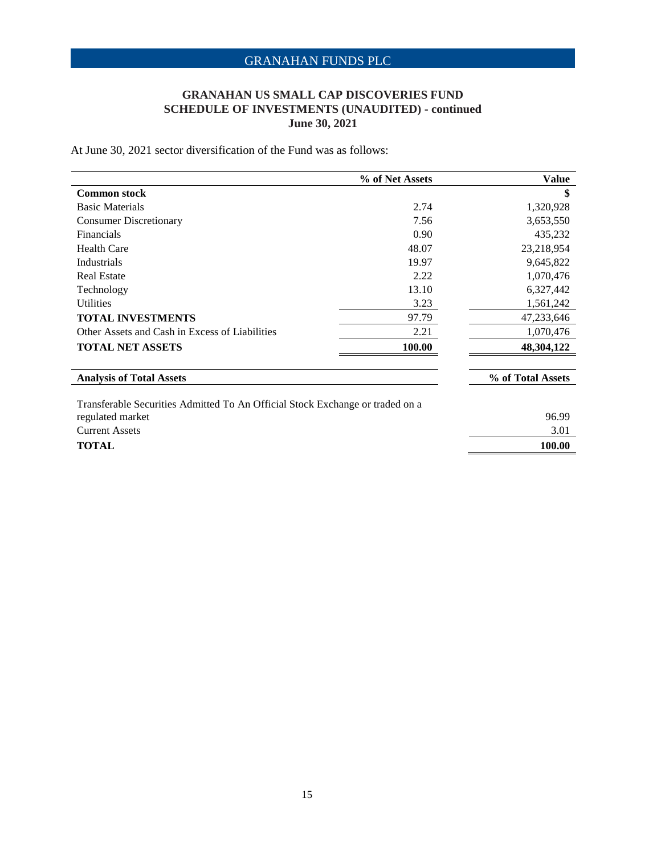### **GRANAHAN US SMALL CAP DISCOVERIES FUND SCHEDULE OF INVESTMENTS (UNAUDITED) - continued June 30, 2021**

At June 30, 2021 sector diversification of the Fund was as follows:

|                                                                               | % of Net Assets | <b>Value</b>      |
|-------------------------------------------------------------------------------|-----------------|-------------------|
| <b>Common stock</b>                                                           |                 | \$                |
| <b>Basic Materials</b>                                                        | 2.74            | 1,320,928         |
| <b>Consumer Discretionary</b>                                                 | 7.56            | 3,653,550         |
| Financials                                                                    | 0.90            | 435,232           |
| <b>Health Care</b>                                                            | 48.07           | 23,218,954        |
| <b>Industrials</b>                                                            | 19.97           | 9,645,822         |
| <b>Real Estate</b>                                                            | 2.22            | 1,070,476         |
| Technology                                                                    | 13.10           | 6,327,442         |
| <b>Utilities</b>                                                              | 3.23            | 1,561,242         |
| <b>TOTAL INVESTMENTS</b>                                                      | 97.79           | 47,233,646        |
| Other Assets and Cash in Excess of Liabilities                                | 2.21            | 1,070,476         |
| <b>TOTAL NET ASSETS</b>                                                       | 100.00          | 48,304,122        |
| <b>Analysis of Total Assets</b>                                               |                 | % of Total Assets |
| Transferable Securities Admitted To An Official Stock Exchange or traded on a |                 |                   |
| regulated market                                                              |                 | 96.99             |
| <b>Current Assets</b>                                                         |                 | 3.01              |
| TOTAL                                                                         |                 | 100.00            |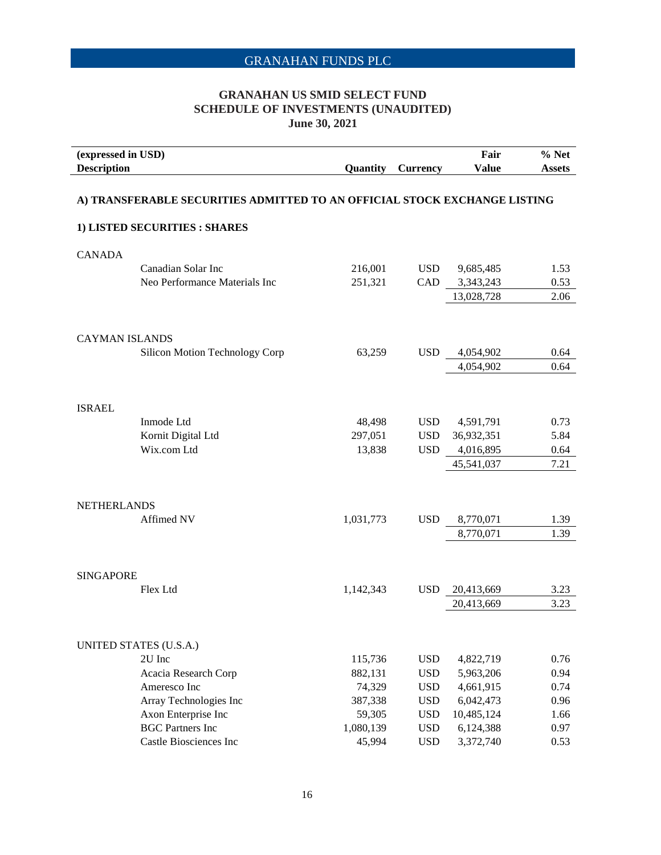### **GRANAHAN US SMID SELECT FUND SCHEDULE OF INVESTMENTS (UNAUDITED) June 30, 2021**

| (expressed in USD)<br><b>Description</b> |                                                                           | Quantity  | <b>Currency</b> | Fair<br><b>Value</b> | % Net<br><b>Assets</b> |
|------------------------------------------|---------------------------------------------------------------------------|-----------|-----------------|----------------------|------------------------|
|                                          | A) TRANSFERABLE SECURITIES ADMITTED TO AN OFFICIAL STOCK EXCHANGE LISTING |           |                 |                      |                        |
|                                          | 1) LISTED SECURITIES : SHARES                                             |           |                 |                      |                        |
| <b>CANADA</b>                            |                                                                           |           |                 |                      |                        |
|                                          | Canadian Solar Inc                                                        | 216,001   | <b>USD</b>      | 9,685,485            | 1.53                   |
|                                          | Neo Performance Materials Inc                                             | 251,321   | CAD             | 3,343,243            | 0.53                   |
|                                          |                                                                           |           |                 | 13,028,728           | 2.06                   |
| <b>CAYMAN ISLANDS</b>                    |                                                                           |           |                 |                      |                        |
|                                          | Silicon Motion Technology Corp                                            | 63,259    | <b>USD</b>      | 4,054,902            | 0.64                   |
|                                          |                                                                           |           |                 | 4,054,902            | 0.64                   |
|                                          |                                                                           |           |                 |                      |                        |
| <b>ISRAEL</b>                            |                                                                           |           |                 |                      |                        |
|                                          | Inmode Ltd                                                                | 48,498    | <b>USD</b>      | 4,591,791            | 0.73                   |
|                                          | Kornit Digital Ltd                                                        | 297,051   | <b>USD</b>      | 36,932,351           | 5.84                   |
|                                          | Wix.com Ltd                                                               | 13,838    | <b>USD</b>      | 4,016,895            | 0.64                   |
|                                          |                                                                           |           |                 | 45,541,037           | 7.21                   |
|                                          |                                                                           |           |                 |                      |                        |
| <b>NETHERLANDS</b>                       |                                                                           |           |                 |                      |                        |
|                                          | Affimed NV                                                                | 1,031,773 | <b>USD</b>      | 8,770,071            | 1.39                   |
|                                          |                                                                           |           |                 | 8,770,071            | 1.39                   |
| <b>SINGAPORE</b>                         |                                                                           |           |                 |                      |                        |
|                                          | Flex Ltd                                                                  | 1,142,343 | <b>USD</b>      | 20,413,669           | 3.23                   |
|                                          |                                                                           |           |                 | 20,413,669           | 3.23                   |
|                                          |                                                                           |           |                 |                      |                        |
|                                          | UNITED STATES (U.S.A.)                                                    |           |                 |                      |                        |
|                                          | 2U Inc                                                                    | 115,736   | <b>USD</b>      | 4,822,719            | 0.76                   |
|                                          | Acacia Research Corp                                                      | 882,131   | <b>USD</b>      | 5,963,206            | 0.94                   |
|                                          | Ameresco Inc                                                              | 74,329    | <b>USD</b>      | 4,661,915            | 0.74                   |
|                                          | Array Technologies Inc                                                    | 387,338   | <b>USD</b>      | 6,042,473            | 0.96                   |
|                                          | Axon Enterprise Inc                                                       | 59,305    | <b>USD</b>      | 10,485,124           | 1.66                   |
|                                          | <b>BGC Partners Inc</b>                                                   | 1,080,139 | <b>USD</b>      | 6,124,388            | 0.97                   |
|                                          | Castle Biosciences Inc                                                    | 45,994    | <b>USD</b>      | 3,372,740            | 0.53                   |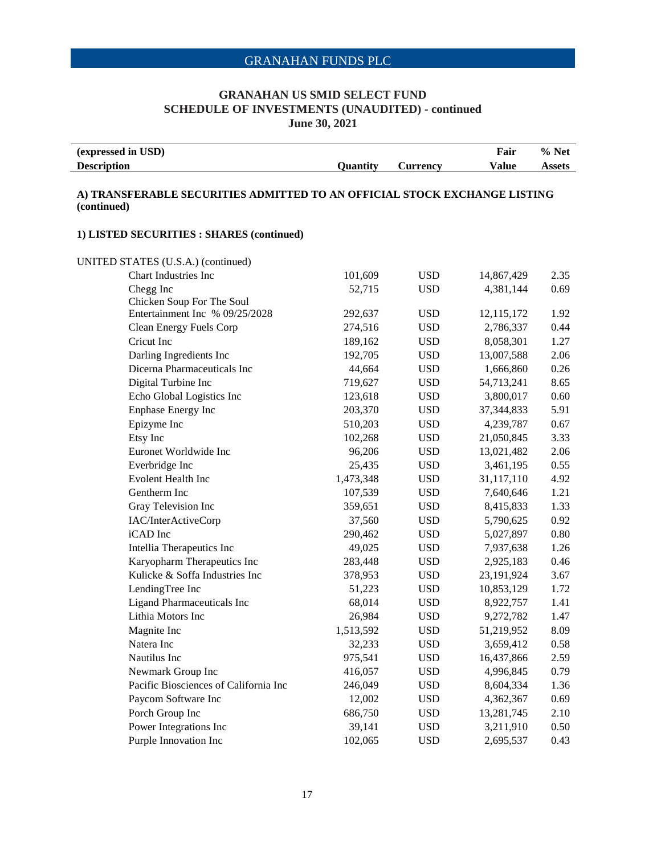#### **GRANAHAN US SMID SELECT FUND SCHEDULE OF INVESTMENTS (UNAUDITED) - continued June 30, 2021**

| (expressed in USD) |                 |          | Fair  | % Net         |
|--------------------|-----------------|----------|-------|---------------|
| <b>Description</b> | <b>Ouantity</b> | Currency | Value | <b>Assets</b> |

#### **A) TRANSFERABLE SECURITIES ADMITTED TO AN OFFICIAL STOCK EXCHANGE LISTING (continued)**

#### **1) LISTED SECURITIES : SHARES (continued)**

UNITED STATES (U.S.A.) (continued) Chart Industries Inc 101,609 USD 14,867,429 2.35 Chegg Inc 69 10 20 20 20 32,715 USD 4,381,144 0.69 Chicken Soup For The Soul Entertainment Inc % 09/25/2028 292,637 USD 12,115,172 1.92 Clean Energy Fuels Corp 274,516 USD 2,786,337 0.44 Cricut Inc **189,162** USD 8,058,301 1.27 Darling Ingredients Inc 192,705 USD 13,007,588 2.06 Dicerna Pharmaceuticals Inc 44,664 USD 1,666,860 0.26 Digital Turbine Inc 719,627 USD 54,713,241 8.65 Echo Global Logistics Inc 123,618 USD 3,800,017 0.60 Enphase Energy Inc 203,370 USD 37,344,833 5.91 Epizyme Inc 610,203 USD 4,239,787 0.67 Etsy Inc 102,268 USD 21,050,845 3.33 Euronet Worldwide Inc 96,206 USD 13,021,482 2.06 Everbridge Inc 25,435 USD 3,461,195 0.55 Evolent Health Inc  $1,473,348$  USD  $31,117,110$   $4.92$ Gentherm Inc 107,539 USD 7,640,646 1.21 Gray Television Inc 259,651 USD 8,415,833 1.33 IAC/InterActiveCorp 37,560 USD 5,790,625 0.92 iCAD Inc 290,462 USD 5,027,897 0.80 Intellia Therapeutics Inc 49,025 USD 7,937,638 1.26 Karyopharm Therapeutics Inc 283,448 USD 2,925,183 0.46 Kulicke & Soffa Industries Inc 378,953 USD 23,191,924 3.67 LendingTree Inc 51,223 USD 10,853,129 1.72 Ligand Pharmaceuticals Inc 68,014 USD 8,922,757 1.41 Lithia Motors Inc 26,984 USD 9,272,782 1.47 Magnite Inc 1,513,592 USD 51,219,952 8.09 Natera Inc 50, 100 and 32,233 USD 3,659,412 0.58 Nautilus Inc **16,437,866** 2.59 Newmark Group Inc  $416,057$  USD  $4,996,845$  0.79 Pacific Biosciences of California Inc 246,049 USD 8,604,334 1.36 Paycom Software Inc 12,002 USD 4,362,367 0.69 Porch Group Inc 686,750 USD 13,281,745 2.10 Power Integrations Inc 39,141 USD 3,211,910 0.50 Purple Innovation Inc 102,065 USD 2,695,537 0.43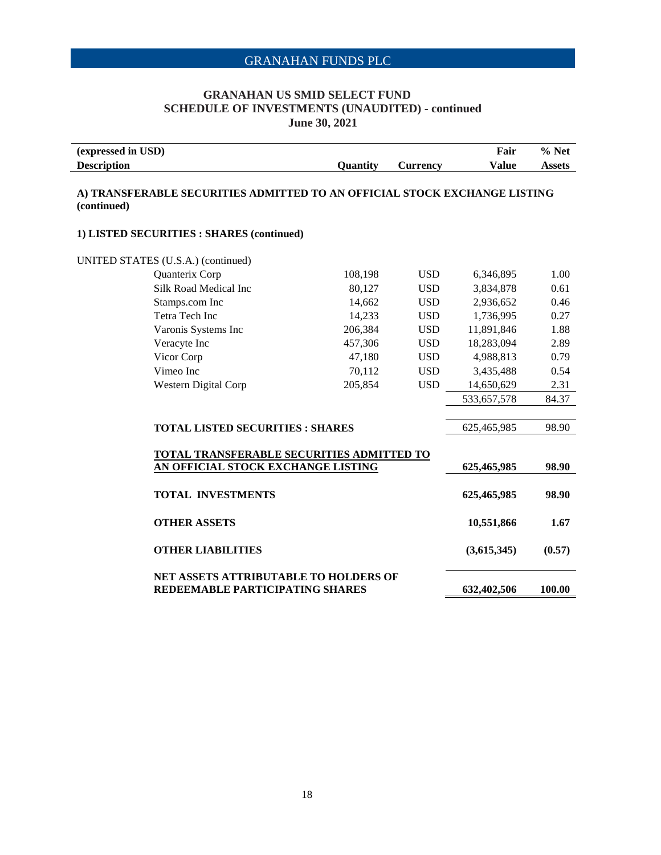### **GRANAHAN US SMID SELECT FUND SCHEDULE OF INVESTMENTS (UNAUDITED) - continued June 30, 2021**

| (expressed in USD)                                                                       |          |                 | Fair         | $%$ Net       |
|------------------------------------------------------------------------------------------|----------|-----------------|--------------|---------------|
| <b>Description</b>                                                                       | Quantity | <b>Currency</b> | <b>Value</b> | <b>Assets</b> |
| A) TRANSFERABLE SECURITIES ADMITTED TO AN OFFICIAL STOCK EXCHANGE LISTING<br>(continued) |          |                 |              |               |
| 1) LISTED SECURITIES : SHARES (continued)                                                |          |                 |              |               |
| UNITED STATES (U.S.A.) (continued)                                                       |          |                 |              |               |
| Quanterix Corp                                                                           | 108,198  | <b>USD</b>      | 6,346,895    | 1.00          |
| Silk Road Medical Inc                                                                    | 80,127   | <b>USD</b>      | 3,834,878    | 0.61          |
| Stamps.com Inc                                                                           | 14,662   | <b>USD</b>      | 2,936,652    | 0.46          |
| Tetra Tech Inc                                                                           | 14,233   | <b>USD</b>      | 1,736,995    | 0.27          |
| Varonis Systems Inc                                                                      | 206,384  | <b>USD</b>      | 11,891,846   | 1.88          |
| Veracyte Inc                                                                             | 457,306  | <b>USD</b>      | 18,283,094   | 2.89          |
| Vicor Corp                                                                               | 47,180   | <b>USD</b>      | 4,988,813    | 0.79          |
| Vimeo Inc                                                                                | 70,112   | <b>USD</b>      | 3,435,488    | 0.54          |
| Western Digital Corp                                                                     | 205,854  | <b>USD</b>      | 14,650,629   | 2.31          |
|                                                                                          |          |                 | 533,657,578  | 84.37         |
|                                                                                          |          |                 |              |               |
| <b>TOTAL LISTED SECURITIES : SHARES</b>                                                  |          |                 | 625,465,985  | 98.90         |
|                                                                                          |          |                 |              |               |
| TOTAL TRANSFERABLE SECURITIES ADMITTED TO                                                |          |                 |              | 98.90         |
| AN OFFICIAL STOCK EXCHANGE LISTING                                                       |          |                 | 625,465,985  |               |
| <b>TOTAL INVESTMENTS</b>                                                                 |          |                 | 625,465,985  | 98.90         |
| <b>OTHER ASSETS</b>                                                                      |          |                 | 10,551,866   | 1.67          |
| <b>OTHER LIABILITIES</b>                                                                 |          |                 | (3,615,345)  | (0.57)        |
| NET ASSETS ATTRIBUTABLE TO HOLDERS OF<br>REDEEMABLE PARTICIPATING SHARES                 |          |                 | 632,402,506  | 100.00        |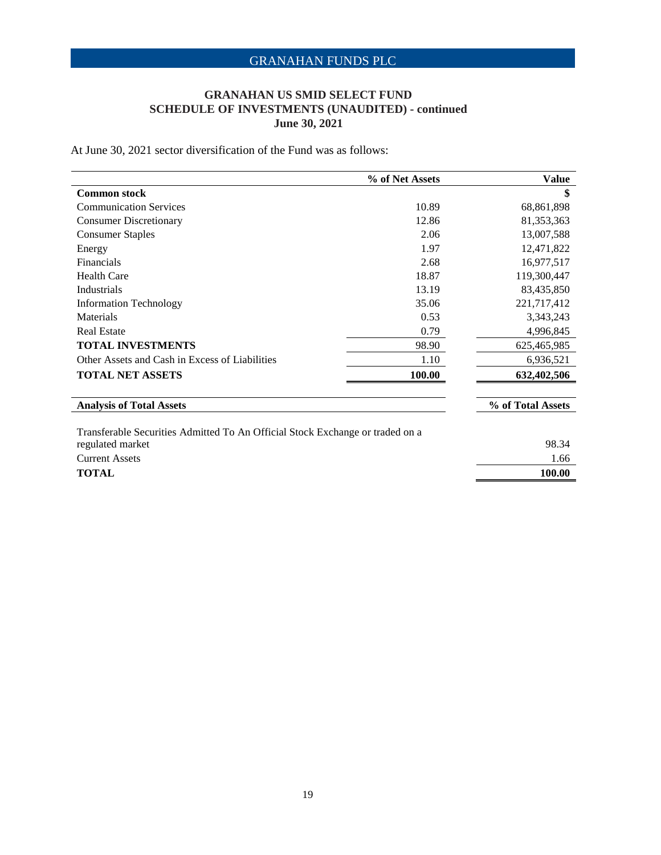### **GRANAHAN US SMID SELECT FUND SCHEDULE OF INVESTMENTS (UNAUDITED) - continued June 30, 2021**

At June 30, 2021 sector diversification of the Fund was as follows:

|                                                                               | % of Net Assets | <b>Value</b>      |
|-------------------------------------------------------------------------------|-----------------|-------------------|
| <b>Common stock</b>                                                           |                 | \$                |
| <b>Communication Services</b>                                                 | 10.89           | 68,861,898        |
| <b>Consumer Discretionary</b>                                                 | 12.86           | 81,353,363        |
| <b>Consumer Staples</b>                                                       | 2.06            | 13,007,588        |
| Energy                                                                        | 1.97            | 12,471,822        |
| Financials                                                                    | 2.68            | 16,977,517        |
| Health Care                                                                   | 18.87           | 119,300,447       |
| <b>Industrials</b>                                                            | 13.19           | 83,435,850        |
| <b>Information Technology</b>                                                 | 35.06           | 221,717,412       |
| Materials                                                                     | 0.53            | 3,343,243         |
| <b>Real Estate</b>                                                            | 0.79            | 4,996,845         |
| <b>TOTAL INVESTMENTS</b>                                                      | 98.90           | 625,465,985       |
| Other Assets and Cash in Excess of Liabilities                                | 1.10            | 6,936,521         |
| <b>TOTAL NET ASSETS</b>                                                       | 100.00          | 632,402,506       |
| <b>Analysis of Total Assets</b>                                               |                 | % of Total Assets |
|                                                                               |                 |                   |
| Transferable Securities Admitted To An Official Stock Exchange or traded on a |                 |                   |
| regulated market                                                              |                 | 98.34             |
| <b>Current Assets</b>                                                         |                 | 1.66              |
| <b>TOTAL</b>                                                                  |                 | 100.00            |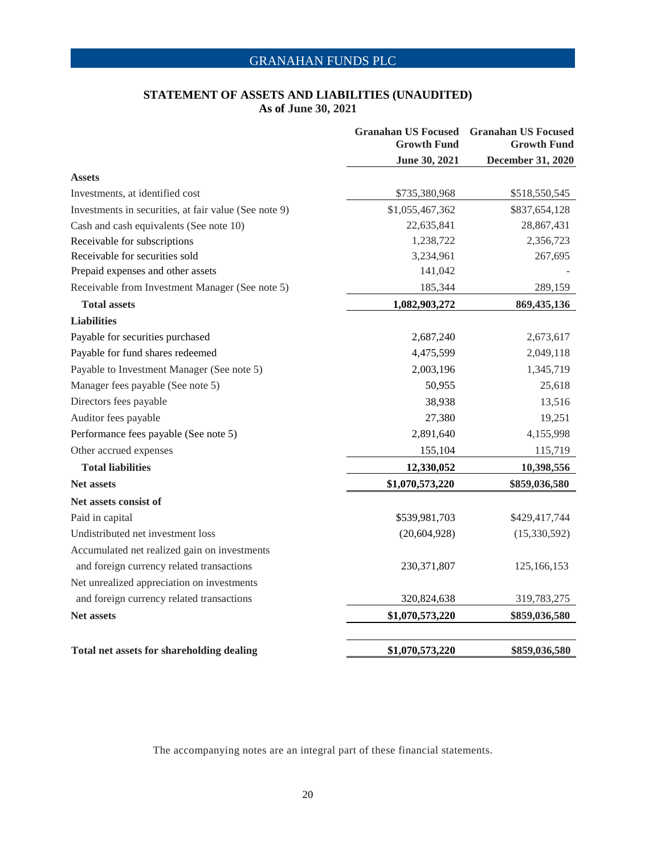### **STATEMENT OF ASSETS AND LIABILITIES (UNAUDITED) As of June 30, 2021**

|                                                       | <b>Growth Fund</b> | <b>Granahan US Focused Granahan US Focused</b><br><b>Growth Fund</b> |
|-------------------------------------------------------|--------------------|----------------------------------------------------------------------|
|                                                       | June 30, 2021      | <b>December 31, 2020</b>                                             |
| <b>Assets</b>                                         |                    |                                                                      |
| Investments, at identified cost                       | \$735,380,968      | \$518,550,545                                                        |
| Investments in securities, at fair value (See note 9) | \$1,055,467,362    | \$837,654,128                                                        |
| Cash and cash equivalents (See note 10)               | 22,635,841         | 28,867,431                                                           |
| Receivable for subscriptions                          | 1,238,722          | 2,356,723                                                            |
| Receivable for securities sold                        | 3,234,961          | 267,695                                                              |
| Prepaid expenses and other assets                     | 141,042            |                                                                      |
| Receivable from Investment Manager (See note 5)       | 185,344            | 289,159                                                              |
| <b>Total assets</b>                                   | 1,082,903,272      | 869,435,136                                                          |
| <b>Liabilities</b>                                    |                    |                                                                      |
| Payable for securities purchased                      | 2,687,240          | 2,673,617                                                            |
| Payable for fund shares redeemed                      | 4,475,599          | 2,049,118                                                            |
| Payable to Investment Manager (See note 5)            | 2,003,196          | 1,345,719                                                            |
| Manager fees payable (See note 5)                     | 50,955             | 25,618                                                               |
| Directors fees payable                                | 38,938             | 13,516                                                               |
| Auditor fees payable                                  | 27,380             | 19,251                                                               |
| Performance fees payable (See note 5)                 | 2,891,640          | 4,155,998                                                            |
| Other accrued expenses                                | 155,104            | 115,719                                                              |
| <b>Total liabilities</b>                              | 12,330,052         | 10,398,556                                                           |
| <b>Net assets</b>                                     | \$1,070,573,220    | \$859,036,580                                                        |
| Net assets consist of                                 |                    |                                                                      |
| Paid in capital                                       | \$539,981,703      | \$429,417,744                                                        |
| Undistributed net investment loss                     | (20, 604, 928)     | (15,330,592)                                                         |
| Accumulated net realized gain on investments          |                    |                                                                      |
| and foreign currency related transactions             | 230, 371, 807      | 125,166,153                                                          |
| Net unrealized appreciation on investments            |                    |                                                                      |
| and foreign currency related transactions             | 320,824,638        | 319,783,275                                                          |
| <b>Net assets</b>                                     | \$1,070,573,220    | \$859,036,580                                                        |
|                                                       |                    |                                                                      |
| Total net assets for shareholding dealing             | \$1,070,573,220    | \$859,036,580                                                        |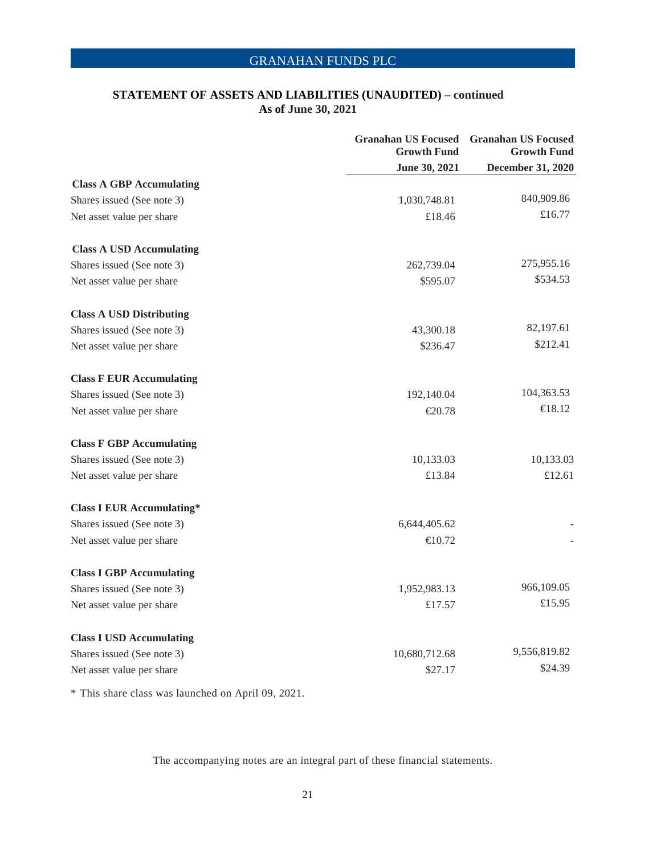### **STATEMENT OF ASSETS AND LIABILITIES (UNAUDITED) – continued As of June 30, 2021**

|                                  | <b>Granahan US Focused Granahan US Focused</b><br><b>Growth Fund</b> | <b>Growth Fund</b> |
|----------------------------------|----------------------------------------------------------------------|--------------------|
|                                  | June 30, 2021                                                        | December 31, 2020  |
| <b>Class A GBP Accumulating</b>  |                                                                      |                    |
| Shares issued (See note 3)       | 1,030,748.81                                                         | 840,909.86         |
| Net asset value per share        | £18.46                                                               | £16.77             |
| <b>Class A USD Accumulating</b>  |                                                                      |                    |
| Shares issued (See note 3)       | 262,739.04                                                           | 275,955.16         |
| Net asset value per share        | \$595.07                                                             | \$534.53           |
| <b>Class A USD Distributing</b>  |                                                                      |                    |
| Shares issued (See note 3)       | 43,300.18                                                            | 82,197.61          |
| Net asset value per share        | \$236.47                                                             | \$212.41           |
| <b>Class F EUR Accumulating</b>  |                                                                      |                    |
| Shares issued (See note 3)       | 192,140.04                                                           | 104,363.53         |
| Net asset value per share        | €20.78                                                               | €18.12             |
| <b>Class F GBP Accumulating</b>  |                                                                      |                    |
| Shares issued (See note 3)       | 10,133.03                                                            | 10,133.03          |
| Net asset value per share        | £13.84                                                               | £12.61             |
| <b>Class I EUR Accumulating*</b> |                                                                      |                    |
| Shares issued (See note 3)       | 6,644,405.62                                                         |                    |
| Net asset value per share        | €10.72                                                               |                    |
| <b>Class I GBP Accumulating</b>  |                                                                      |                    |
| Shares issued (See note 3)       | 1,952,983.13                                                         | 966,109.05         |
| Net asset value per share        | £17.57                                                               | £15.95             |
| <b>Class I USD Accumulating</b>  |                                                                      |                    |
| Shares issued (See note 3)       | 10,680,712.68                                                        | 9,556,819.82       |
| Net asset value per share        | \$27.17                                                              | \$24.39            |

\* This share class was launched on April 09, 2021.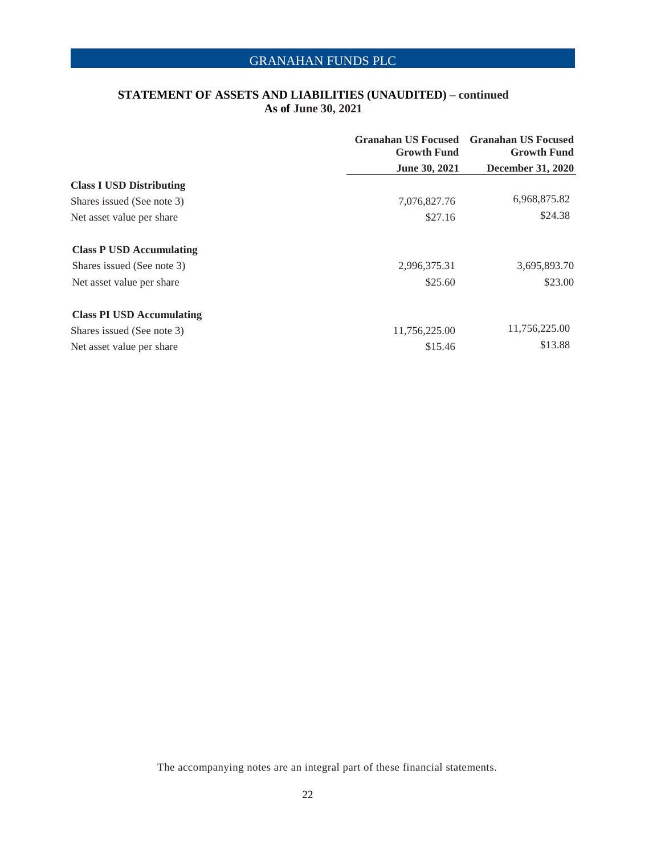### **STATEMENT OF ASSETS AND LIABILITIES (UNAUDITED) – continued As of June 30, 2021**

|                                  | <b>Growth Fund</b> | <b>Granahan US Focused Granahan US Focused</b><br><b>Growth Fund</b> |
|----------------------------------|--------------------|----------------------------------------------------------------------|
|                                  | June 30, 2021      | <b>December 31, 2020</b>                                             |
| <b>Class I USD Distributing</b>  |                    |                                                                      |
| Shares issued (See note 3)       | 7,076,827.76       | 6,968,875.82                                                         |
| Net asset value per share        | \$27.16            | \$24.38                                                              |
| <b>Class P USD Accumulating</b>  |                    |                                                                      |
| Shares issued (See note 3)       | 2,996,375.31       | 3,695,893.70                                                         |
| Net asset value per share        | \$25.60            | \$23.00                                                              |
| <b>Class PI USD Accumulating</b> |                    |                                                                      |
| Shares issued (See note 3)       | 11,756,225.00      | 11,756,225.00                                                        |
| Net asset value per share        | \$15.46            | \$13.88                                                              |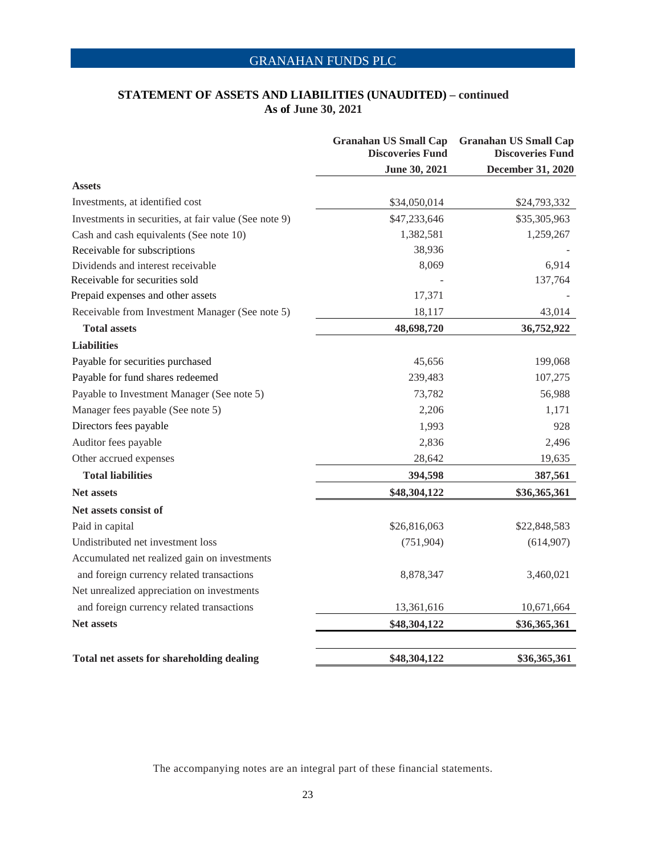### **STATEMENT OF ASSETS AND LIABILITIES (UNAUDITED) – continued As of June 30, 2021**

|                                                       | <b>Granahan US Small Cap</b><br><b>Discoveries Fund</b> | <b>Granahan US Small Cap</b><br><b>Discoveries Fund</b> |
|-------------------------------------------------------|---------------------------------------------------------|---------------------------------------------------------|
|                                                       | June 30, 2021                                           | December 31, 2020                                       |
| <b>Assets</b>                                         |                                                         |                                                         |
| Investments, at identified cost                       | \$34,050,014                                            | \$24,793,332                                            |
| Investments in securities, at fair value (See note 9) | \$47,233,646                                            | \$35,305,963                                            |
| Cash and cash equivalents (See note 10)               | 1,382,581                                               | 1,259,267                                               |
| Receivable for subscriptions                          | 38,936                                                  |                                                         |
| Dividends and interest receivable                     | 8,069                                                   | 6,914                                                   |
| Receivable for securities sold                        |                                                         | 137,764                                                 |
| Prepaid expenses and other assets                     | 17,371                                                  |                                                         |
| Receivable from Investment Manager (See note 5)       | 18,117                                                  | 43,014                                                  |
| <b>Total assets</b>                                   | 48,698,720                                              | 36,752,922                                              |
| <b>Liabilities</b>                                    |                                                         |                                                         |
| Payable for securities purchased                      | 45,656                                                  | 199,068                                                 |
| Payable for fund shares redeemed                      | 239,483                                                 | 107,275                                                 |
| Payable to Investment Manager (See note 5)            | 73,782                                                  | 56,988                                                  |
| Manager fees payable (See note 5)                     | 2,206                                                   | 1,171                                                   |
| Directors fees payable                                | 1,993                                                   | 928                                                     |
| Auditor fees payable                                  | 2,836                                                   | 2,496                                                   |
| Other accrued expenses                                | 28,642                                                  | 19,635                                                  |
| <b>Total liabilities</b>                              | 394,598                                                 | 387,561                                                 |
| <b>Net assets</b>                                     | \$48,304,122                                            | \$36,365,361                                            |
| Net assets consist of                                 |                                                         |                                                         |
| Paid in capital                                       | \$26,816,063                                            | \$22,848,583                                            |
| Undistributed net investment loss                     | (751, 904)                                              | (614,907)                                               |
| Accumulated net realized gain on investments          |                                                         |                                                         |
| and foreign currency related transactions             | 8,878,347                                               | 3,460,021                                               |
| Net unrealized appreciation on investments            |                                                         |                                                         |
| and foreign currency related transactions             | 13,361,616                                              | 10,671,664                                              |
| <b>Net assets</b>                                     | \$48,304,122                                            | \$36,365,361                                            |
|                                                       | \$48,304,122                                            |                                                         |
| Total net assets for shareholding dealing             |                                                         | \$36,365,361                                            |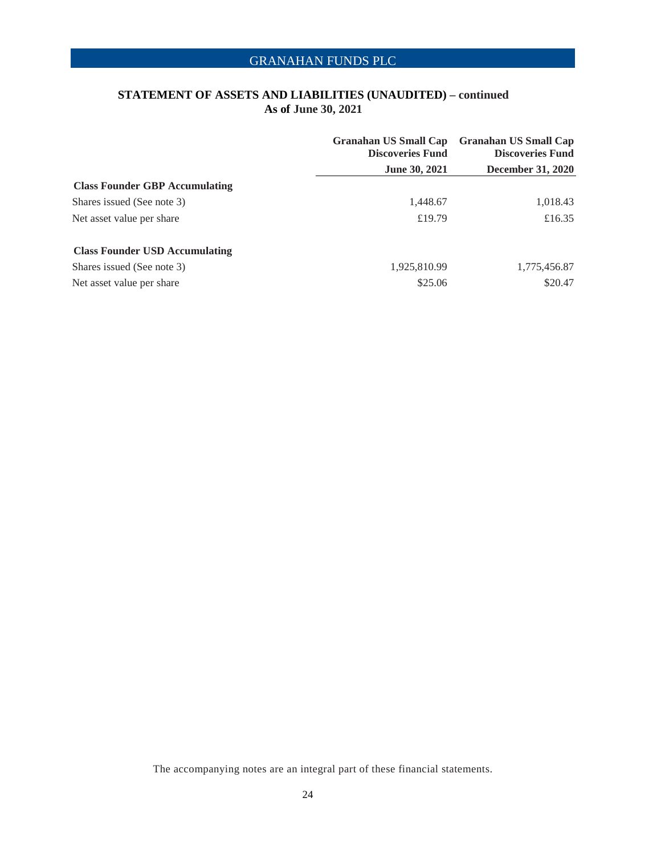### **STATEMENT OF ASSETS AND LIABILITIES (UNAUDITED) – continued As of June 30, 2021**

|                                       | <b>Granahan US Small Cap</b><br><b>Discoveries Fund</b> | <b>Granahan US Small Cap</b><br><b>Discoveries Fund</b> |
|---------------------------------------|---------------------------------------------------------|---------------------------------------------------------|
|                                       | <b>June 30, 2021</b>                                    | <b>December 31, 2020</b>                                |
| <b>Class Founder GBP Accumulating</b> |                                                         |                                                         |
| Shares issued (See note 3)            | 1,448.67                                                | 1,018.43                                                |
| Net asset value per share             | £19.79                                                  | £16.35                                                  |
| <b>Class Founder USD Accumulating</b> |                                                         |                                                         |
| Shares issued (See note 3)            | 1,925,810.99                                            | 1,775,456.87                                            |
| Net asset value per share             | \$25.06                                                 | \$20.47                                                 |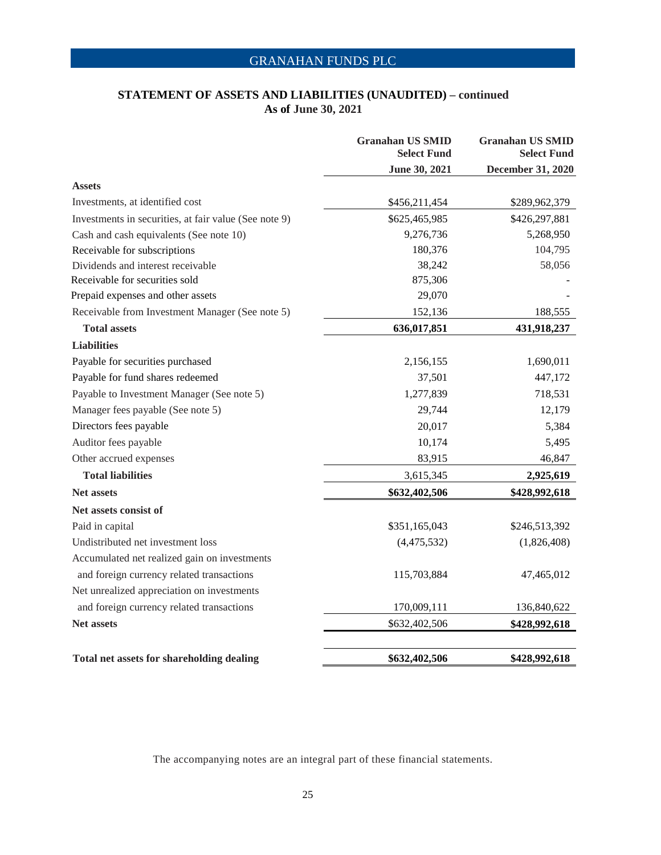### **STATEMENT OF ASSETS AND LIABILITIES (UNAUDITED) – continued As of June 30, 2021**

|                                                       | <b>Granahan US SMID</b><br><b>Select Fund</b> | <b>Granahan US SMID</b><br><b>Select Fund</b> |
|-------------------------------------------------------|-----------------------------------------------|-----------------------------------------------|
|                                                       | June 30, 2021                                 | December 31, 2020                             |
| <b>Assets</b>                                         |                                               |                                               |
| Investments, at identified cost                       | \$456,211,454                                 | \$289,962,379                                 |
| Investments in securities, at fair value (See note 9) | \$625,465,985                                 | \$426,297,881                                 |
| Cash and cash equivalents (See note 10)               | 9,276,736                                     | 5,268,950                                     |
| Receivable for subscriptions                          | 180,376                                       | 104,795                                       |
| Dividends and interest receivable                     | 38,242                                        | 58,056                                        |
| Receivable for securities sold                        | 875,306                                       |                                               |
| Prepaid expenses and other assets                     | 29,070                                        |                                               |
| Receivable from Investment Manager (See note 5)       | 152,136                                       | 188,555                                       |
| <b>Total assets</b>                                   | 636,017,851                                   | 431,918,237                                   |
| <b>Liabilities</b>                                    |                                               |                                               |
| Payable for securities purchased                      | 2,156,155                                     | 1,690,011                                     |
| Payable for fund shares redeemed                      | 37,501                                        | 447,172                                       |
| Payable to Investment Manager (See note 5)            | 1,277,839                                     | 718,531                                       |
| Manager fees payable (See note 5)                     | 29,744                                        | 12,179                                        |
| Directors fees payable                                | 20,017                                        | 5,384                                         |
| Auditor fees payable                                  | 10,174                                        | 5,495                                         |
| Other accrued expenses                                | 83,915                                        | 46,847                                        |
| <b>Total liabilities</b>                              | 3,615,345                                     | 2,925,619                                     |
| <b>Net assets</b>                                     | \$632,402,506                                 | \$428,992,618                                 |
| Net assets consist of                                 |                                               |                                               |
| Paid in capital                                       | \$351,165,043                                 | \$246,513,392                                 |
| Undistributed net investment loss                     | (4,475,532)                                   | (1,826,408)                                   |
| Accumulated net realized gain on investments          |                                               |                                               |
| and foreign currency related transactions             | 115,703,884                                   | 47,465,012                                    |
| Net unrealized appreciation on investments            |                                               |                                               |
| and foreign currency related transactions             | 170,009,111                                   | 136,840,622                                   |
| <b>Net assets</b>                                     | \$632,402,506                                 | \$428,992,618                                 |
| Total net assets for shareholding dealing             | \$632,402,506                                 | \$428,992,618                                 |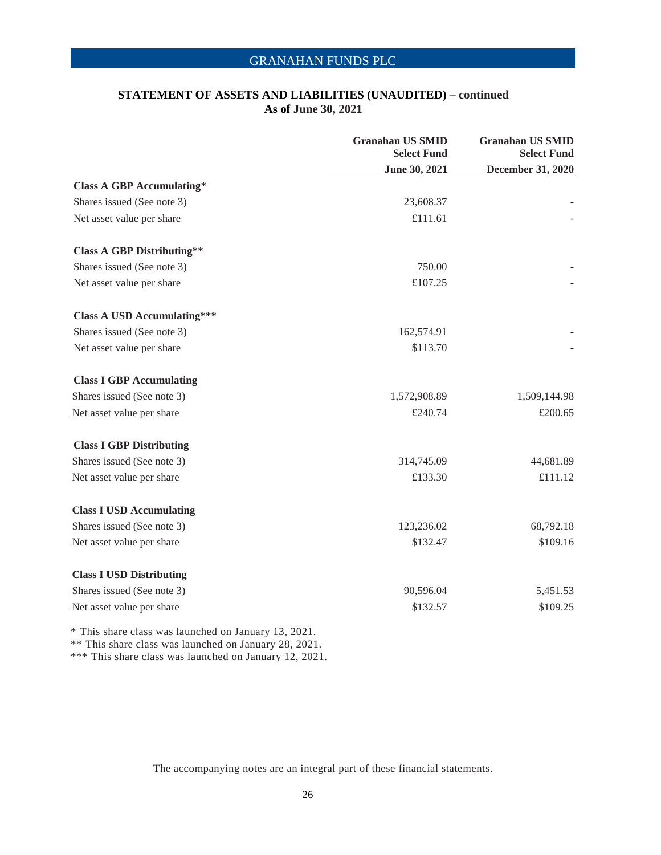### **STATEMENT OF ASSETS AND LIABILITIES (UNAUDITED) – continued As of June 30, 2021**

|                                                       | <b>Granahan US SMID</b><br><b>Select Fund</b> | <b>Granahan US SMID</b><br><b>Select Fund</b> |
|-------------------------------------------------------|-----------------------------------------------|-----------------------------------------------|
|                                                       | June 30, 2021                                 | December 31, 2020                             |
| <b>Class A GBP Accumulating*</b>                      |                                               |                                               |
| Shares issued (See note 3)                            | 23,608.37                                     |                                               |
| Net asset value per share                             | £111.61                                       |                                               |
| <b>Class A GBP Distributing**</b>                     |                                               |                                               |
| Shares issued (See note 3)                            | 750.00                                        |                                               |
| Net asset value per share                             | £107.25                                       |                                               |
| <b>Class A USD Accumulating***</b>                    |                                               |                                               |
| Shares issued (See note 3)                            | 162,574.91                                    |                                               |
| Net asset value per share                             | \$113.70                                      |                                               |
| <b>Class I GBP Accumulating</b>                       |                                               |                                               |
| Shares issued (See note 3)                            | 1,572,908.89                                  | 1,509,144.98                                  |
| Net asset value per share                             | £240.74                                       | £200.65                                       |
| <b>Class I GBP Distributing</b>                       |                                               |                                               |
| Shares issued (See note 3)                            | 314,745.09                                    | 44,681.89                                     |
| Net asset value per share                             | £133.30                                       | £111.12                                       |
| <b>Class I USD Accumulating</b>                       |                                               |                                               |
| Shares issued (See note 3)                            | 123,236.02                                    | 68,792.18                                     |
| Net asset value per share                             | \$132.47                                      | \$109.16                                      |
| <b>Class I USD Distributing</b>                       |                                               |                                               |
| Shares issued (See note 3)                            | 90,596.04                                     | 5,451.53                                      |
| Net asset value per share                             | \$132.57                                      | \$109.25                                      |
| $*$ This sharp along was loweaked an Isnuary 12, 2021 |                                               |                                               |

This share class was launched on January 13, 2021. \*\* This share class was launched on January 28, 2021.

\*\*\* This share class was launched on January 12, 2021.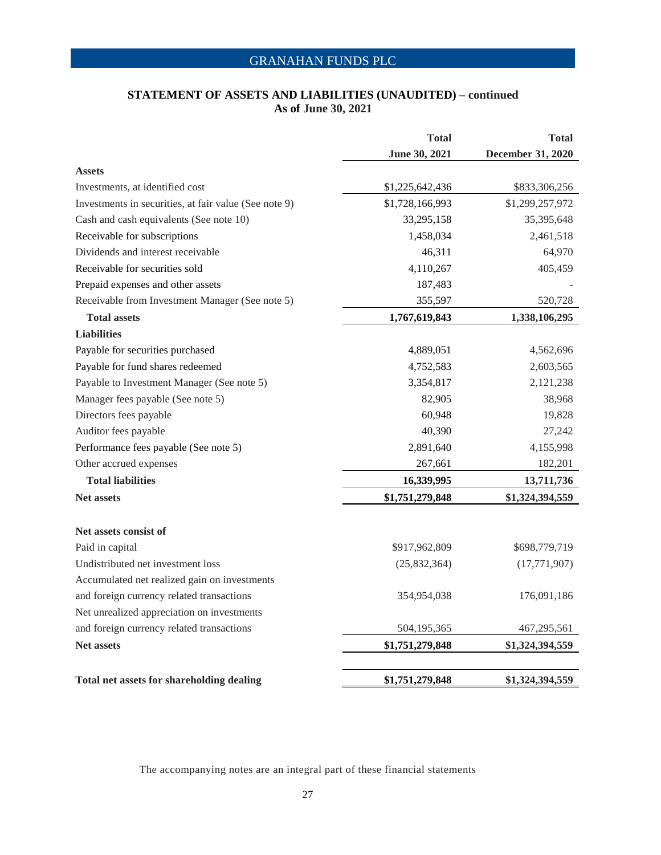### **STATEMENT OF ASSETS AND LIABILITIES (UNAUDITED) – continued As of June 30, 2021**

|                                                       | <b>Total</b>    | <b>Total</b>      |
|-------------------------------------------------------|-----------------|-------------------|
|                                                       | June 30, 2021   | December 31, 2020 |
| <b>Assets</b>                                         |                 |                   |
| Investments, at identified cost                       | \$1,225,642,436 | \$833,306,256     |
| Investments in securities, at fair value (See note 9) | \$1,728,166,993 | \$1,299,257,972   |
| Cash and cash equivalents (See note 10)               | 33,295,158      | 35,395,648        |
| Receivable for subscriptions                          | 1,458,034       | 2,461,518         |
| Dividends and interest receivable                     | 46,311          | 64,970            |
| Receivable for securities sold                        | 4,110,267       | 405,459           |
| Prepaid expenses and other assets                     | 187,483         |                   |
| Receivable from Investment Manager (See note 5)       | 355,597         | 520,728           |
| <b>Total assets</b>                                   | 1,767,619,843   | 1,338,106,295     |
| <b>Liabilities</b>                                    |                 |                   |
| Payable for securities purchased                      | 4,889,051       | 4,562,696         |
| Payable for fund shares redeemed                      | 4,752,583       | 2,603,565         |
| Payable to Investment Manager (See note 5)            | 3,354,817       | 2,121,238         |
| Manager fees payable (See note 5)                     | 82,905          | 38,968            |
| Directors fees payable                                | 60,948          | 19,828            |
| Auditor fees payable                                  | 40,390          | 27,242            |
| Performance fees payable (See note 5)                 | 2,891,640       | 4,155,998         |
| Other accrued expenses                                | 267,661         | 182,201           |
| <b>Total liabilities</b>                              | 16,339,995      | 13,711,736        |
| <b>Net assets</b>                                     | \$1,751,279,848 | \$1,324,394,559   |
| Net assets consist of                                 |                 |                   |
| Paid in capital                                       | \$917,962,809   | \$698,779,719     |
| Undistributed net investment loss                     | (25,832,364)    | (17,771,907)      |
| Accumulated net realized gain on investments          |                 |                   |
| and foreign currency related transactions             | 354,954,038     | 176,091,186       |
| Net unrealized appreciation on investments            |                 |                   |
| and foreign currency related transactions             | 504,195,365     | 467,295,561       |
| <b>Net assets</b>                                     | \$1,751,279,848 | \$1,324,394,559   |
| <b>Total net assets for shareholding dealing</b>      | \$1,751,279,848 | \$1,324,394,559   |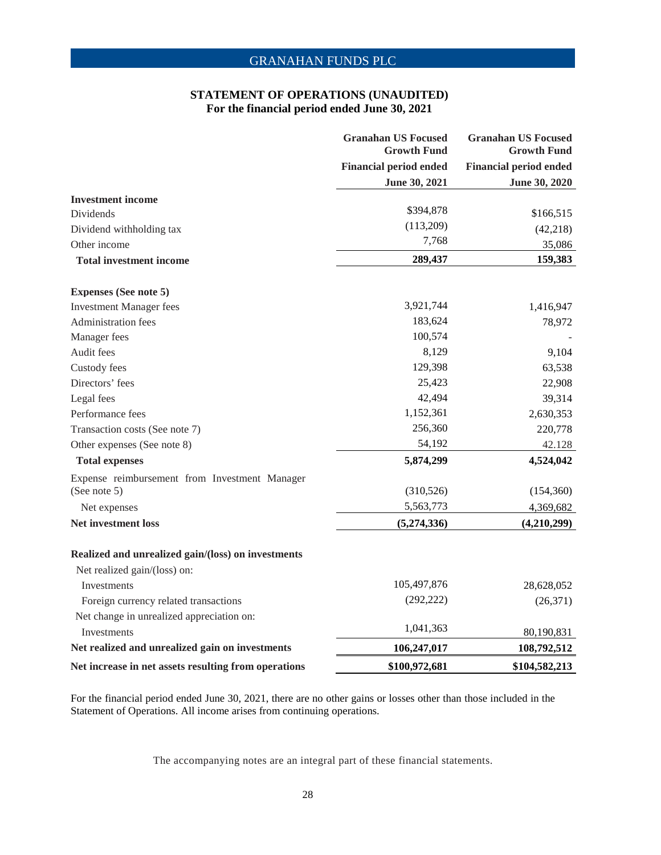#### **STATEMENT OF OPERATIONS (UNAUDITED) For the financial period ended June 30, 2021**

|                                                      | <b>Granahan US Focused</b><br><b>Growth Fund</b><br><b>Financial period ended</b> | <b>Granahan US Focused</b><br><b>Growth Fund</b><br><b>Financial period ended</b> |
|------------------------------------------------------|-----------------------------------------------------------------------------------|-----------------------------------------------------------------------------------|
|                                                      |                                                                                   |                                                                                   |
|                                                      | June 30, 2021                                                                     | June 30, 2020                                                                     |
| <b>Investment income</b>                             |                                                                                   |                                                                                   |
| <b>Dividends</b>                                     | \$394,878                                                                         | \$166,515                                                                         |
| Dividend withholding tax                             | (113,209)                                                                         | (42, 218)                                                                         |
| Other income                                         | 7,768                                                                             | 35,086                                                                            |
| <b>Total investment income</b>                       | 289,437                                                                           | 159,383                                                                           |
| <b>Expenses (See note 5)</b>                         |                                                                                   |                                                                                   |
| <b>Investment Manager fees</b>                       | 3,921,744                                                                         | 1,416,947                                                                         |
| Administration fees                                  | 183,624                                                                           | 78,972                                                                            |
| Manager fees                                         | 100,574                                                                           |                                                                                   |
| Audit fees                                           | 8,129                                                                             | 9,104                                                                             |
| Custody fees                                         | 129,398                                                                           | 63,538                                                                            |
| Directors' fees                                      | 25,423                                                                            | 22,908                                                                            |
| Legal fees                                           | 42,494                                                                            | 39,314                                                                            |
| Performance fees                                     | 1,152,361                                                                         | 2,630,353                                                                         |
| Transaction costs (See note 7)                       | 256,360                                                                           | 220,778                                                                           |
| Other expenses (See note 8)                          | 54,192                                                                            | 42.128                                                                            |
| <b>Total expenses</b>                                | 5,874,299                                                                         | 4,524,042                                                                         |
| Expense reimbursement from Investment Manager        |                                                                                   |                                                                                   |
| (See note 5)                                         | (310, 526)                                                                        | (154,360)                                                                         |
| Net expenses                                         | 5,563,773                                                                         | 4,369,682                                                                         |
| <b>Net investment loss</b>                           | (5,274,336)                                                                       | (4,210,299)                                                                       |
| Realized and unrealized gain/(loss) on investments   |                                                                                   |                                                                                   |
| Net realized gain/(loss) on:                         |                                                                                   |                                                                                   |
| Investments                                          | 105,497,876                                                                       | 28,628,052                                                                        |
| Foreign currency related transactions                | (292, 222)                                                                        | (26,371)                                                                          |
| Net change in unrealized appreciation on:            |                                                                                   |                                                                                   |
| <b>Investments</b>                                   | 1,041,363                                                                         | 80,190,831                                                                        |
| Net realized and unrealized gain on investments      | 106,247,017                                                                       | 108,792,512                                                                       |
| Net increase in net assets resulting from operations | \$100,972,681                                                                     | \$104,582,213                                                                     |

For the financial period ended June 30, 2021, there are no other gains or losses other than those included in the Statement of Operations. All income arises from continuing operations.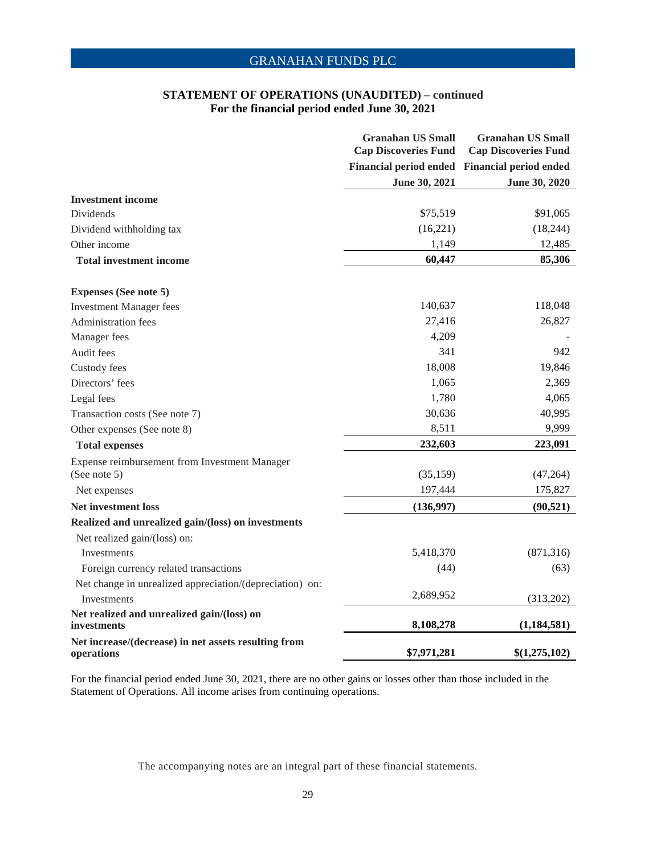#### **STATEMENT OF OPERATIONS (UNAUDITED) – continued For the financial period ended June 30, 2021**

|                                                                    | <b>Granahan US Small</b><br><b>Cap Discoveries Fund</b> | <b>Granahan US Small</b><br><b>Cap Discoveries Fund</b> |
|--------------------------------------------------------------------|---------------------------------------------------------|---------------------------------------------------------|
|                                                                    |                                                         | Financial period ended Financial period ended           |
|                                                                    | June 30, 2021                                           | June 30, 2020                                           |
| <b>Investment</b> income                                           |                                                         |                                                         |
| <b>Dividends</b>                                                   | \$75,519                                                | \$91,065                                                |
| Dividend withholding tax                                           | (16, 221)                                               | (18, 244)                                               |
| Other income                                                       | 1,149                                                   | 12,485                                                  |
| <b>Total investment income</b>                                     | 60,447                                                  | 85,306                                                  |
| <b>Expenses (See note 5)</b>                                       |                                                         |                                                         |
| <b>Investment Manager fees</b>                                     | 140,637                                                 | 118,048                                                 |
| Administration fees                                                | 27,416                                                  | 26,827                                                  |
| Manager fees                                                       | 4,209                                                   |                                                         |
| Audit fees                                                         | 341                                                     | 942                                                     |
| Custody fees                                                       | 18,008                                                  | 19,846                                                  |
| Directors' fees                                                    | 1,065                                                   | 2,369                                                   |
| Legal fees                                                         | 1,780                                                   | 4,065                                                   |
| Transaction costs (See note 7)                                     | 30,636                                                  | 40,995                                                  |
| Other expenses (See note 8)                                        | 8,511                                                   | 9,999                                                   |
| <b>Total expenses</b>                                              | 232,603                                                 | 223,091                                                 |
| Expense reimbursement from Investment Manager                      |                                                         |                                                         |
| (See note 5)                                                       | (35, 159)                                               | (47,264)                                                |
| Net expenses                                                       | 197,444                                                 | 175,827                                                 |
| <b>Net investment loss</b>                                         | (136,997)                                               | (90, 521)                                               |
| Realized and unrealized gain/(loss) on investments                 |                                                         |                                                         |
| Net realized gain/(loss) on:                                       |                                                         |                                                         |
| <b>Investments</b>                                                 | 5,418,370                                               | (871, 316)                                              |
| Foreign currency related transactions                              | (44)                                                    | (63)                                                    |
| Net change in unrealized appreciation/(depreciation) on:           |                                                         |                                                         |
| Investments                                                        | 2,689,952                                               | (313,202)                                               |
| Net realized and unrealized gain/(loss) on<br>investments          | 8,108,278                                               | (1, 184, 581)                                           |
| Net increase/(decrease) in net assets resulting from<br>operations | \$7,971,281                                             | \$(1,275,102)                                           |

For the financial period ended June 30, 2021, there are no other gains or losses other than those included in the Statement of Operations. All income arises from continuing operations.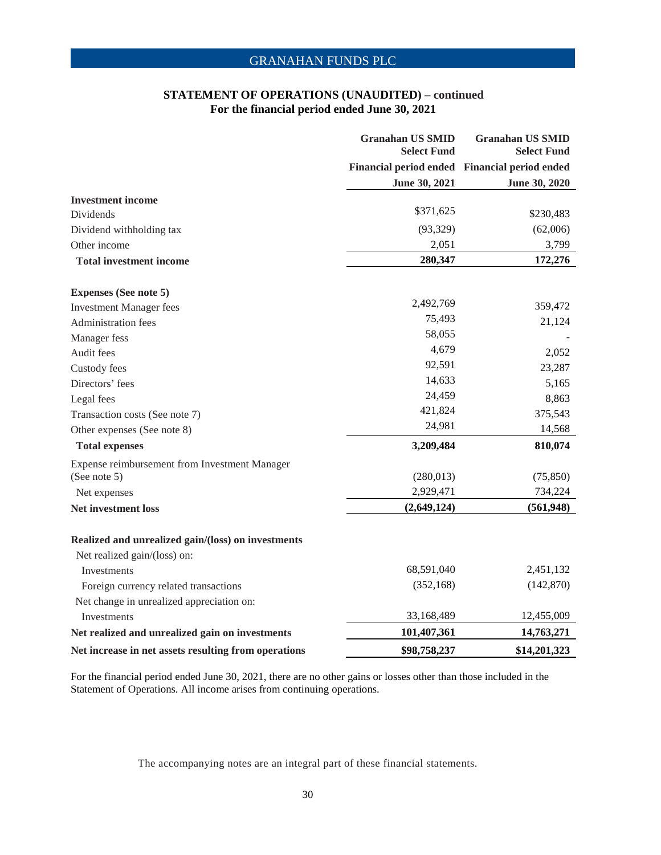#### **STATEMENT OF OPERATIONS (UNAUDITED) – continued For the financial period ended June 30, 2021**

|                                                      | <b>Granahan US SMID</b><br><b>Select Fund</b> | <b>Granahan US SMID</b><br><b>Select Fund</b> |
|------------------------------------------------------|-----------------------------------------------|-----------------------------------------------|
|                                                      |                                               | Financial period ended Financial period ended |
|                                                      | June 30, 2021                                 | <b>June 30, 2020</b>                          |
| <b>Investment</b> income                             |                                               |                                               |
| <b>Dividends</b>                                     | \$371,625                                     | \$230,483                                     |
| Dividend withholding tax                             | (93, 329)                                     | (62,006)                                      |
| Other income                                         | 2,051                                         | 3,799                                         |
| <b>Total investment income</b>                       | 280,347                                       | 172,276                                       |
| <b>Expenses (See note 5)</b>                         |                                               |                                               |
| <b>Investment Manager fees</b>                       | 2,492,769                                     | 359,472                                       |
| Administration fees                                  | 75,493                                        | 21,124                                        |
| Manager fess                                         | 58,055                                        |                                               |
| Audit fees                                           | 4,679                                         | 2,052                                         |
| Custody fees                                         | 92,591                                        | 23,287                                        |
| Directors' fees                                      | 14,633                                        | 5,165                                         |
| Legal fees                                           | 24,459                                        | 8,863                                         |
| Transaction costs (See note 7)                       | 421,824                                       | 375,543                                       |
| Other expenses (See note 8)                          | 24,981                                        | 14,568                                        |
| <b>Total expenses</b>                                | 3,209,484                                     | 810,074                                       |
| Expense reimbursement from Investment Manager        |                                               |                                               |
| (See note 5)                                         | (280,013)                                     | (75, 850)                                     |
| Net expenses                                         | 2,929,471                                     | 734,224                                       |
| <b>Net investment loss</b>                           | (2,649,124)                                   | (561, 948)                                    |
| Realized and unrealized gain/(loss) on investments   |                                               |                                               |
| Net realized gain/(loss) on:                         |                                               |                                               |
| Investments                                          | 68,591,040                                    | 2,451,132                                     |
| Foreign currency related transactions                | (352, 168)                                    | (142, 870)                                    |
| Net change in unrealized appreciation on:            |                                               |                                               |
| <b>Investments</b>                                   | 33,168,489                                    | 12,455,009                                    |
| Net realized and unrealized gain on investments      | 101,407,361                                   | 14,763,271                                    |
| Net increase in net assets resulting from operations | \$98,758,237                                  | \$14,201,323                                  |

For the financial period ended June 30, 2021, there are no other gains or losses other than those included in the Statement of Operations. All income arises from continuing operations.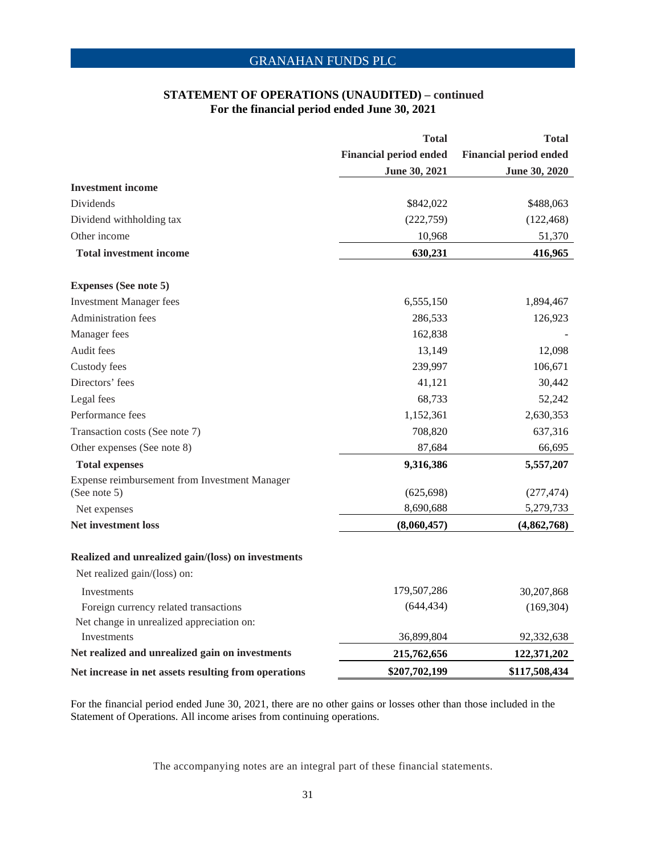#### **STATEMENT OF OPERATIONS (UNAUDITED) – continued For the financial period ended June 30, 2021**

|                                                      | <b>Total</b>                  | <b>Total</b>                  |
|------------------------------------------------------|-------------------------------|-------------------------------|
|                                                      | <b>Financial period ended</b> | <b>Financial period ended</b> |
|                                                      | June 30, 2021                 | June 30, 2020                 |
| <b>Investment income</b>                             |                               |                               |
| Dividends                                            | \$842,022                     | \$488,063                     |
| Dividend withholding tax                             | (222, 759)                    | (122, 468)                    |
| Other income                                         | 10,968                        | 51,370                        |
| <b>Total investment income</b>                       | 630,231                       | 416,965                       |
| <b>Expenses (See note 5)</b>                         |                               |                               |
| <b>Investment Manager fees</b>                       | 6,555,150                     | 1,894,467                     |
| Administration fees                                  | 286,533                       | 126,923                       |
| Manager fees                                         | 162,838                       |                               |
| Audit fees                                           | 13,149                        | 12,098                        |
| Custody fees                                         | 239,997                       | 106,671                       |
| Directors' fees                                      | 41,121                        | 30,442                        |
| Legal fees                                           | 68,733                        | 52,242                        |
| Performance fees                                     | 1,152,361                     | 2,630,353                     |
| Transaction costs (See note 7)                       | 708,820                       | 637,316                       |
| Other expenses (See note 8)                          | 87,684                        | 66,695                        |
| <b>Total expenses</b>                                | 9,316,386                     | 5,557,207                     |
| Expense reimbursement from Investment Manager        |                               |                               |
| (See note 5)                                         | (625, 698)                    | (277, 474)                    |
| Net expenses                                         | 8,690,688                     | 5,279,733                     |
| <b>Net investment loss</b>                           | (8,060,457)                   | (4,862,768)                   |
| Realized and unrealized gain/(loss) on investments   |                               |                               |
| Net realized gain/(loss) on:                         |                               |                               |
| Investments                                          | 179,507,286                   | 30,207,868                    |
| Foreign currency related transactions                | (644, 434)                    | (169, 304)                    |
| Net change in unrealized appreciation on:            |                               |                               |
| Investments                                          | 36,899,804                    | 92,332,638                    |
| Net realized and unrealized gain on investments      | 215,762,656                   | 122,371,202                   |
| Net increase in net assets resulting from operations | \$207,702,199                 | \$117,508,434                 |

For the financial period ended June 30, 2021, there are no other gains or losses other than those included in the Statement of Operations. All income arises from continuing operations.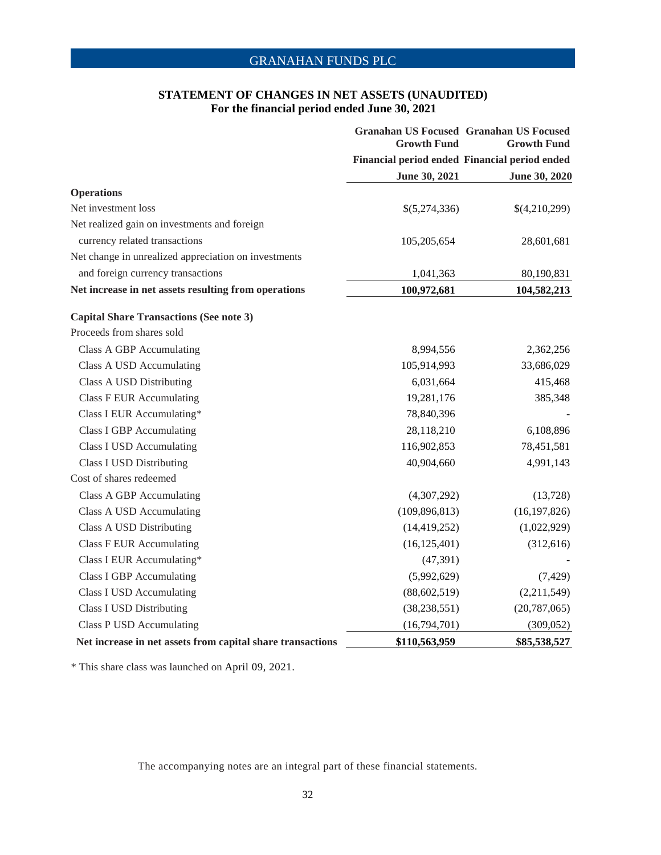### **STATEMENT OF CHANGES IN NET ASSETS (UNAUDITED) For the financial period ended June 30, 2021**

|                                                            | <b>Growth Fund</b> | <b>Granahan US Focused Granahan US Focused</b><br><b>Growth Fund</b><br>Financial period ended Financial period ended |
|------------------------------------------------------------|--------------------|-----------------------------------------------------------------------------------------------------------------------|
|                                                            |                    |                                                                                                                       |
|                                                            | June 30, 2021      | June 30, 2020                                                                                                         |
| <b>Operations</b>                                          |                    |                                                                                                                       |
| Net investment loss                                        | \$(5,274,336)      | \$(4,210,299)                                                                                                         |
| Net realized gain on investments and foreign               |                    |                                                                                                                       |
| currency related transactions                              | 105,205,654        | 28,601,681                                                                                                            |
| Net change in unrealized appreciation on investments       |                    |                                                                                                                       |
| and foreign currency transactions                          | 1,041,363          | 80,190,831                                                                                                            |
| Net increase in net assets resulting from operations       | 100,972,681        | 104,582,213                                                                                                           |
| <b>Capital Share Transactions (See note 3)</b>             |                    |                                                                                                                       |
| Proceeds from shares sold                                  |                    |                                                                                                                       |
| Class A GBP Accumulating                                   | 8,994,556          | 2,362,256                                                                                                             |
| Class A USD Accumulating                                   | 105,914,993        | 33,686,029                                                                                                            |
| Class A USD Distributing                                   | 6,031,664          | 415,468                                                                                                               |
| <b>Class F EUR Accumulating</b>                            | 19,281,176         | 385,348                                                                                                               |
| Class I EUR Accumulating*                                  | 78,840,396         |                                                                                                                       |
| <b>Class I GBP</b> Accumulating                            | 28,118,210         | 6,108,896                                                                                                             |
| <b>Class I USD Accumulating</b>                            | 116,902,853        | 78,451,581                                                                                                            |
| <b>Class I USD Distributing</b>                            | 40,904,660         | 4,991,143                                                                                                             |
| Cost of shares redeemed                                    |                    |                                                                                                                       |
| Class A GBP Accumulating                                   | (4,307,292)        | (13, 728)                                                                                                             |
| Class A USD Accumulating                                   | (109, 896, 813)    | (16, 197, 826)                                                                                                        |
| Class A USD Distributing                                   | (14, 419, 252)     | (1,022,929)                                                                                                           |
| <b>Class F EUR Accumulating</b>                            | (16, 125, 401)     | (312, 616)                                                                                                            |
| Class I EUR Accumulating*                                  | (47, 391)          |                                                                                                                       |
| <b>Class I GBP</b> Accumulating                            | (5,992,629)        | (7, 429)                                                                                                              |
| <b>Class I USD Accumulating</b>                            | (88, 602, 519)     | (2,211,549)                                                                                                           |
| <b>Class I USD Distributing</b>                            | (38, 238, 551)     | (20, 787, 065)                                                                                                        |
| Class P USD Accumulating                                   | (16,794,701)       | (309, 052)                                                                                                            |
| Net increase in net assets from capital share transactions | \$110,563,959      | \$85,538,527                                                                                                          |

\* This share class was launched on April 09, 2021.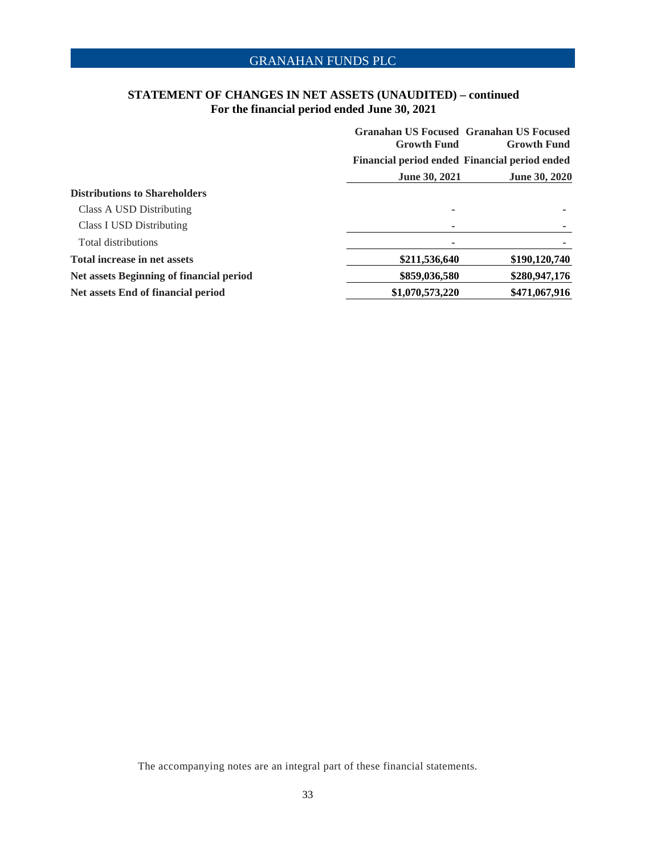### **STATEMENT OF CHANGES IN NET ASSETS (UNAUDITED) – continued For the financial period ended June 30, 2021**

|                                          | <b>Growth Fund</b>   | <b>Granahan US Focused Granahan US Focused</b><br><b>Growth Fund</b> |
|------------------------------------------|----------------------|----------------------------------------------------------------------|
|                                          |                      | Financial period ended Financial period ended                        |
|                                          | <b>June 30, 2021</b> | <b>June 30, 2020</b>                                                 |
| <b>Distributions to Shareholders</b>     |                      |                                                                      |
| Class A USD Distributing                 |                      |                                                                      |
| <b>Class I USD Distributing</b>          |                      |                                                                      |
| Total distributions                      |                      |                                                                      |
| <b>Total increase in net assets</b>      | \$211,536,640        | \$190,120,740                                                        |
| Net assets Beginning of financial period | \$859,036,580        | \$280,947,176                                                        |
| Net assets End of financial period       | \$1,070,573,220      | \$471,067,916                                                        |
|                                          |                      |                                                                      |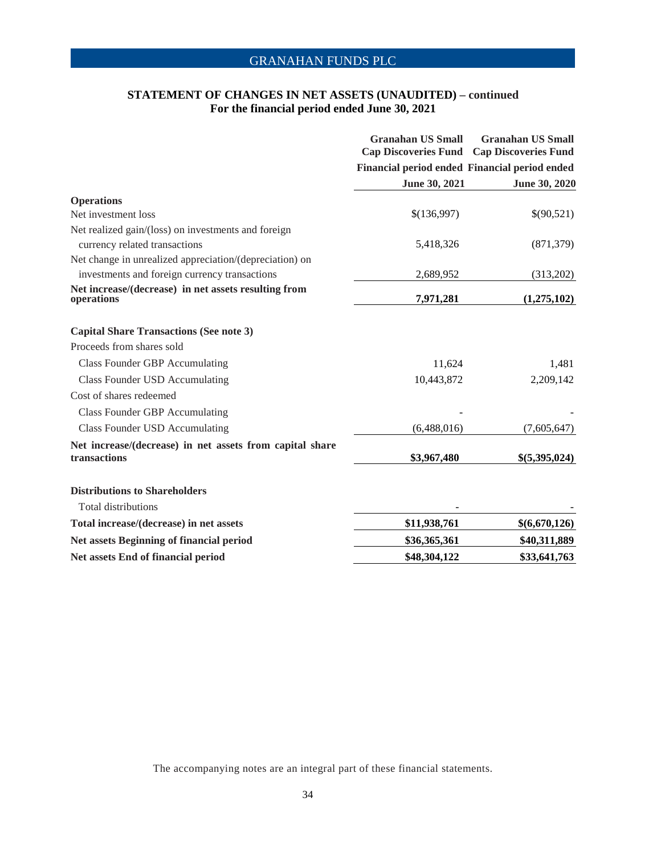### **STATEMENT OF CHANGES IN NET ASSETS (UNAUDITED) – continued For the financial period ended June 30, 2021**

|                                                                          | <b>Granahan US Small</b><br><b>Cap Discoveries Fund</b> | <b>Granahan US Small</b><br><b>Cap Discoveries Fund</b> |
|--------------------------------------------------------------------------|---------------------------------------------------------|---------------------------------------------------------|
|                                                                          | Financial period ended Financial period ended           |                                                         |
|                                                                          | June 30, 2021                                           | June 30, 2020                                           |
| <b>Operations</b>                                                        |                                                         |                                                         |
| Net investment loss                                                      | \$(136,997)                                             | \$(90,521)                                              |
| Net realized gain/(loss) on investments and foreign                      |                                                         |                                                         |
| currency related transactions                                            | 5,418,326                                               | (871, 379)                                              |
| Net change in unrealized appreciation/(depreciation) on                  |                                                         |                                                         |
| investments and foreign currency transactions                            | 2,689,952                                               | (313,202)                                               |
| Net increase/(decrease) in net assets resulting from<br>operations       | 7,971,281                                               | (1,275,102)                                             |
| <b>Capital Share Transactions (See note 3)</b>                           |                                                         |                                                         |
| Proceeds from shares sold                                                |                                                         |                                                         |
| <b>Class Founder GBP Accumulating</b>                                    | 11,624                                                  | 1,481                                                   |
| <b>Class Founder USD Accumulating</b>                                    | 10,443,872                                              | 2,209,142                                               |
| Cost of shares redeemed                                                  |                                                         |                                                         |
| <b>Class Founder GBP Accumulating</b>                                    |                                                         |                                                         |
| <b>Class Founder USD Accumulating</b>                                    | (6,488,016)                                             | (7,605,647)                                             |
| Net increase/(decrease) in net assets from capital share<br>transactions | \$3,967,480                                             | \$(5,395,024)                                           |
| <b>Distributions to Shareholders</b>                                     |                                                         |                                                         |
| <b>Total distributions</b>                                               |                                                         |                                                         |
| Total increase/(decrease) in net assets                                  | \$11,938,761                                            | \$(6,670,126)                                           |
| Net assets Beginning of financial period                                 | \$36,365,361                                            | \$40,311,889                                            |
| Net assets End of financial period                                       | \$48,304,122                                            | \$33,641,763                                            |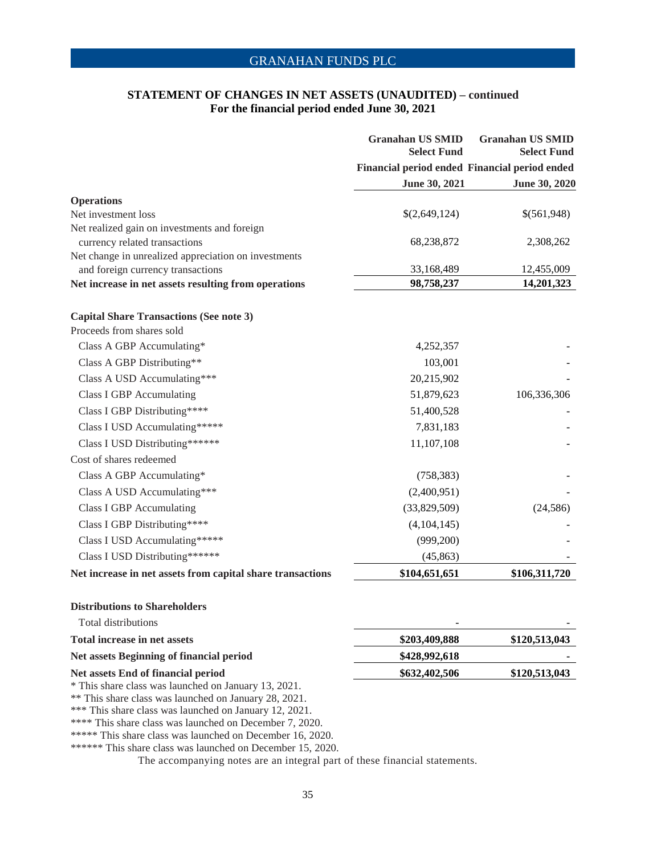### **STATEMENT OF CHANGES IN NET ASSETS (UNAUDITED) – continued For the financial period ended June 30, 2021**

|                                                                                                               | <b>Granahan US SMID</b><br><b>Select Fund</b> | <b>Granahan US SMID</b><br><b>Select Fund</b> |
|---------------------------------------------------------------------------------------------------------------|-----------------------------------------------|-----------------------------------------------|
|                                                                                                               |                                               | Financial period ended Financial period ended |
|                                                                                                               | June 30, 2021                                 | <b>June 30, 2020</b>                          |
| <b>Operations</b>                                                                                             |                                               |                                               |
| Net investment loss                                                                                           | \$(2,649,124)                                 | \$(561,948)                                   |
| Net realized gain on investments and foreign                                                                  |                                               |                                               |
| currency related transactions                                                                                 | 68,238,872                                    | 2,308,262                                     |
| Net change in unrealized appreciation on investments<br>and foreign currency transactions                     | 33,168,489                                    | 12,455,009                                    |
| Net increase in net assets resulting from operations                                                          | 98,758,237                                    | 14,201,323                                    |
|                                                                                                               |                                               |                                               |
| <b>Capital Share Transactions (See note 3)</b>                                                                |                                               |                                               |
| Proceeds from shares sold                                                                                     |                                               |                                               |
| Class A GBP Accumulating*                                                                                     | 4,252,357                                     |                                               |
| Class A GBP Distributing**                                                                                    | 103,001                                       |                                               |
| Class A USD Accumulating***                                                                                   | 20,215,902                                    |                                               |
| Class I GBP Accumulating                                                                                      | 51,879,623                                    | 106,336,306                                   |
| Class I GBP Distributing****                                                                                  | 51,400,528                                    |                                               |
| Class I USD Accumulating*****                                                                                 | 7,831,183                                     |                                               |
| Class I USD Distributing******                                                                                | 11,107,108                                    |                                               |
| Cost of shares redeemed                                                                                       |                                               |                                               |
| Class A GBP Accumulating*                                                                                     | (758, 383)                                    |                                               |
| Class A USD Accumulating***                                                                                   | (2,400,951)                                   |                                               |
| <b>Class I GBP Accumulating</b>                                                                               | (33,829,509)                                  | (24, 586)                                     |
| Class I GBP Distributing****                                                                                  | (4,104,145)                                   |                                               |
| Class I USD Accumulating*****                                                                                 | (999,200)                                     |                                               |
| Class I USD Distributing******                                                                                | (45, 863)                                     |                                               |
| Net increase in net assets from capital share transactions                                                    | \$104,651,651                                 | \$106,311,720                                 |
| <b>Distributions to Shareholders</b>                                                                          |                                               |                                               |
| <b>Total distributions</b>                                                                                    |                                               |                                               |
| <b>Total increase in net assets</b>                                                                           | \$203,409,888                                 | \$120,513,043                                 |
| Net assets Beginning of financial period                                                                      | \$428,992,618                                 |                                               |
| Net assets End of financial period                                                                            | \$632,402,506                                 | \$120,513,043                                 |
| * This share class was launched on January 13, 2021.<br>** This share class was launched on January 28, 2021. |                                               |                                               |

\*\*\* This share class was launched on January 12, 2021.

\*\*\*\* This share class was launched on December 7, 2020.

\*\*\*\*\* This share class was launched on December 16, 2020.

\*\*\*\*\*\* This share class was launched on December 15, 2020.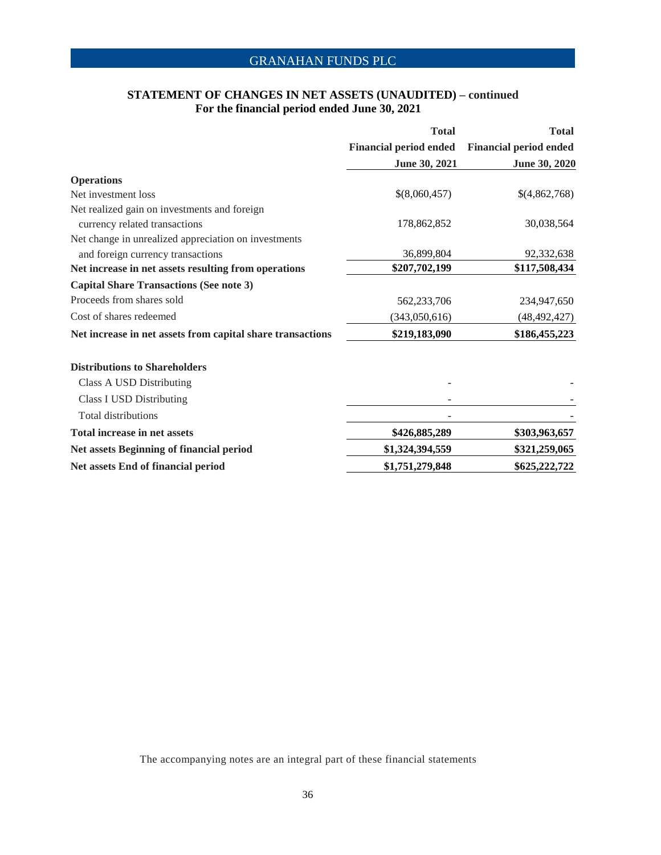# **STATEMENT OF CHANGES IN NET ASSETS (UNAUDITED) – continued For the financial period ended June 30, 2021**

|                                                            | <b>Total</b>                  | <b>Total</b>                  |
|------------------------------------------------------------|-------------------------------|-------------------------------|
|                                                            | <b>Financial period ended</b> | <b>Financial period ended</b> |
|                                                            | June 30, 2021                 | June 30, 2020                 |
| <b>Operations</b>                                          |                               |                               |
| Net investment loss                                        | \$(8,060,457)                 | \$(4,862,768)                 |
| Net realized gain on investments and foreign               |                               |                               |
| currency related transactions                              | 178,862,852                   | 30,038,564                    |
| Net change in unrealized appreciation on investments       |                               |                               |
| and foreign currency transactions                          | 36,899,804                    | 92,332,638                    |
| Net increase in net assets resulting from operations       | \$207,702,199                 | \$117,508,434                 |
| <b>Capital Share Transactions (See note 3)</b>             |                               |                               |
| Proceeds from shares sold                                  | 562,233,706                   | 234,947,650                   |
| Cost of shares redeemed                                    | (343,050,616)                 | (48, 492, 427)                |
| Net increase in net assets from capital share transactions | \$219,183,090                 | \$186,455,223                 |
| <b>Distributions to Shareholders</b>                       |                               |                               |
| Class A USD Distributing                                   |                               |                               |
| <b>Class I USD Distributing</b>                            |                               |                               |
| <b>Total distributions</b>                                 |                               |                               |
| <b>Total increase in net assets</b>                        | \$426,885,289                 | \$303,963,657                 |
| Net assets Beginning of financial period                   | \$1,324,394,559               | \$321,259,065                 |
| Net assets End of financial period                         | \$1,751,279,848               | \$625,222,722                 |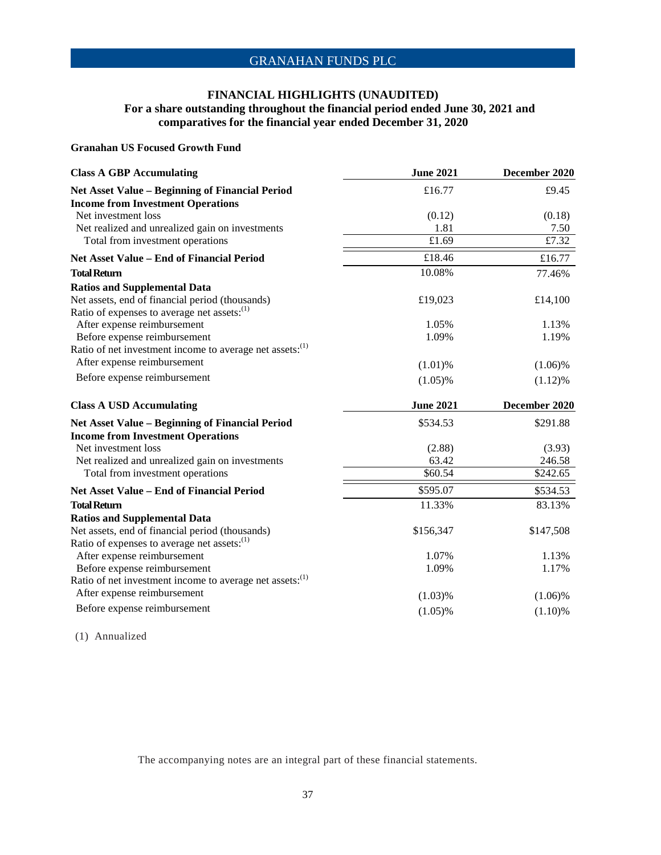### **FINANCIAL HIGHLIGHTS (UNAUDITED) For a share outstanding throughout the financial period ended June 30, 2021 and comparatives for the financial year ended December 31, 2020**

### **Granahan US Focused Growth Fund**

| <b>Class A GBP Accumulating</b>                                      | <b>June 2021</b>      | December 2020         |
|----------------------------------------------------------------------|-----------------------|-----------------------|
| Net Asset Value - Beginning of Financial Period                      | £16.77                | £9.45                 |
| <b>Income from Investment Operations</b>                             |                       |                       |
| Net investment loss                                                  | (0.12)                | (0.18)                |
| Net realized and unrealized gain on investments                      | 1.81                  | 7.50                  |
| Total from investment operations                                     | £1.69                 | £7.32                 |
| <b>Net Asset Value - End of Financial Period</b>                     | £18.46                | £16.77                |
| <b>Total Return</b>                                                  | 10.08%                | 77.46%                |
| <b>Ratios and Supplemental Data</b>                                  |                       |                       |
| Net assets, end of financial period (thousands)                      | £19,023               | £14,100               |
| Ratio of expenses to average net assets: <sup>(1)</sup>              |                       |                       |
| After expense reimbursement                                          | 1.05%                 | 1.13%                 |
| Before expense reimbursement                                         | 1.09%                 | 1.19%                 |
| Ratio of net investment income to average net assets: <sup>(1)</sup> |                       |                       |
| After expense reimbursement                                          | $(1.01)$ %            | $(1.06)\%$            |
| Before expense reimbursement                                         | $(1.05)\%$            | (1.12)%               |
| <b>Class A USD Accumulating</b>                                      | <b>June 2021</b>      | December 2020         |
| Net Asset Value - Beginning of Financial Period                      | \$534.53              | \$291.88              |
| <b>Income from Investment Operations</b>                             |                       |                       |
| Net investment loss                                                  | (2.88)                | (3.93)                |
| Net realized and unrealized gain on investments                      | 63.42                 | 246.58                |
| Total from investment operations                                     | \$60.54               | \$242.65              |
| <b>Net Asset Value - End of Financial Period</b>                     | \$595.07              | \$534.53              |
| <b>Total Return</b>                                                  | 11.33%                | 83.13%                |
| <b>Ratios and Supplemental Data</b>                                  |                       |                       |
| Net assets, end of financial period (thousands)                      | \$156,347             | \$147,508             |
| Ratio of expenses to average net assets: <sup>(1)</sup>              |                       |                       |
| After expense reimbursement                                          | 1.07%                 | 1.13%                 |
| Before expense reimbursement                                         | 1.09%                 | 1.17%                 |
| Ratio of net investment income to average net assets: <sup>(1)</sup> |                       |                       |
|                                                                      |                       |                       |
| After expense reimbursement                                          |                       |                       |
| Before expense reimbursement                                         | (1.03)%<br>$(1.05)\%$ | $(1.06)\%$<br>(1.10)% |

(1) Annualized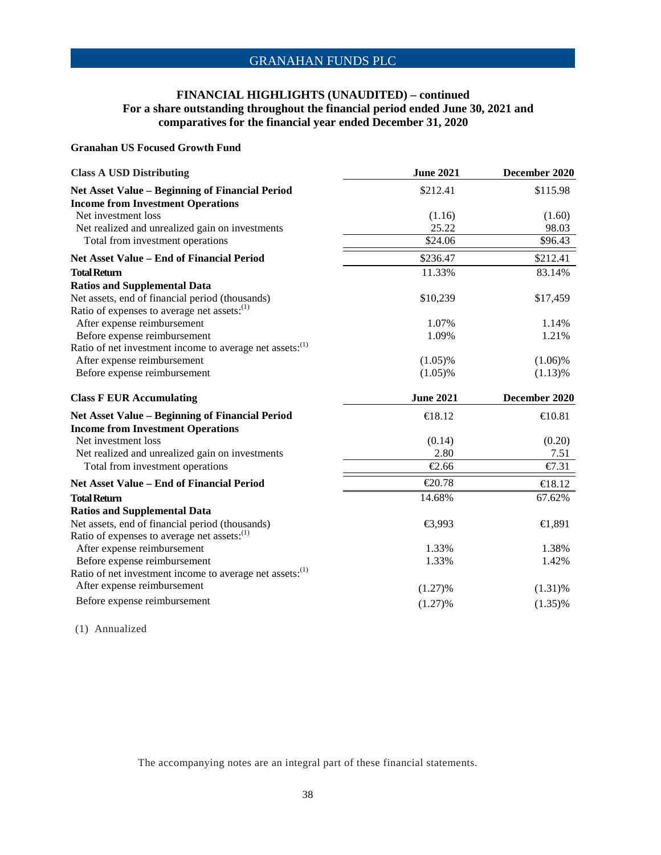### **FINANCIAL HIGHLIGHTS (UNAUDITED) – continued For a share outstanding throughout the financial period ended June 30, 2021 and comparatives for the financial year ended December 31, 2020**

### **Granahan US Focused Growth Fund**

| <b>Class A USD Distributing</b>                                                             | <b>June 2021</b> | December 2020 |
|---------------------------------------------------------------------------------------------|------------------|---------------|
| Net Asset Value - Beginning of Financial Period                                             | \$212.41         | \$115.98      |
| <b>Income from Investment Operations</b>                                                    |                  |               |
| Net investment loss                                                                         | (1.16)           | (1.60)        |
| Net realized and unrealized gain on investments                                             | 25.22            | 98.03         |
| Total from investment operations                                                            | \$24.06          | \$96.43       |
| <b>Net Asset Value - End of Financial Period</b>                                            | \$236.47         | \$212.41      |
| <b>Total Return</b>                                                                         | 11.33%           | 83.14%        |
| <b>Ratios and Supplemental Data</b>                                                         |                  |               |
| Net assets, end of financial period (thousands)                                             | \$10,239         | \$17,459      |
| Ratio of expenses to average net assets: <sup>(1)</sup>                                     |                  |               |
| After expense reimbursement                                                                 | 1.07%            | 1.14%         |
| Before expense reimbursement                                                                | 1.09%            | 1.21%         |
| Ratio of net investment income to average net assets: <sup>(1)</sup>                        |                  |               |
| After expense reimbursement                                                                 | $(1.05)\%$       | $(1.06)\%$    |
| Before expense reimbursement                                                                | $(1.05)\%$       | $(1.13)\%$    |
|                                                                                             |                  |               |
| <b>Class F EUR Accumulating</b>                                                             | <b>June 2021</b> | December 2020 |
|                                                                                             | €18.12           | €10.81        |
| Net Asset Value - Beginning of Financial Period<br><b>Income from Investment Operations</b> |                  |               |
| Net investment loss                                                                         | (0.14)           | (0.20)        |
| Net realized and unrealized gain on investments                                             | 2.80             | 7.51          |
| Total from investment operations                                                            | €2.66            | €7.31         |
| <b>Net Asset Value - End of Financial Period</b>                                            | €20.78           | €18.12        |
| <b>Total Return</b>                                                                         | 14.68%           | 67.62%        |
| <b>Ratios and Supplemental Data</b>                                                         |                  |               |
| Net assets, end of financial period (thousands)                                             | €3,993           | €1,891        |
| Ratio of expenses to average net assets: <sup>(1)</sup>                                     |                  |               |
| After expense reimbursement                                                                 | 1.33%            | 1.38%         |
| Before expense reimbursement                                                                | 1.33%            | 1.42%         |
| Ratio of net investment income to average net assets: <sup>(1)</sup>                        |                  |               |
| After expense reimbursement                                                                 | (1.27)%          | $(1.31)\%$    |

(1) Annualized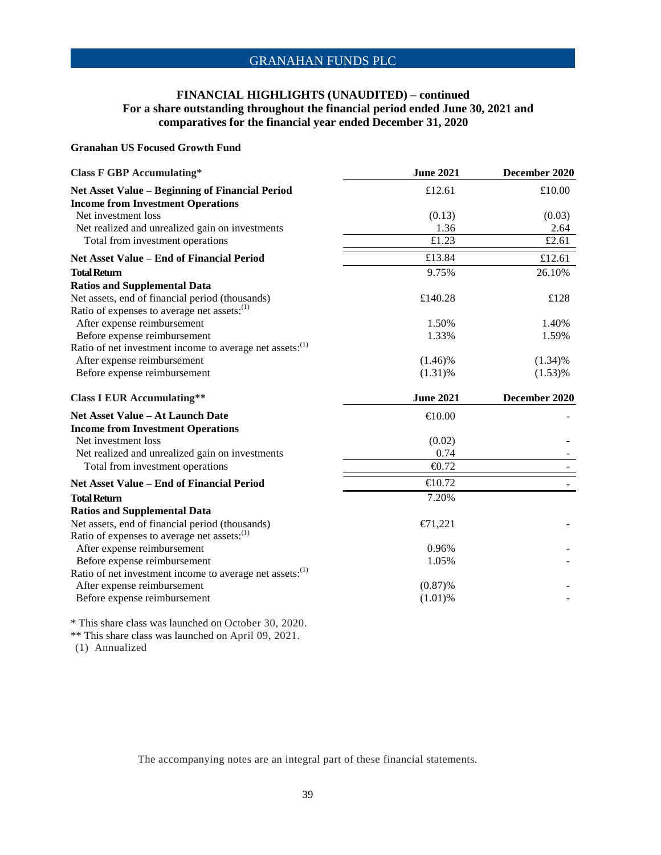### **FINANCIAL HIGHLIGHTS (UNAUDITED) – continued For a share outstanding throughout the financial period ended June 30, 2021 and comparatives for the financial year ended December 31, 2020**

#### **Granahan US Focused Growth Fund**

| <b>Class F GBP Accumulating*</b>                                     | <b>June 2021</b> | December 2020 |
|----------------------------------------------------------------------|------------------|---------------|
| Net Asset Value - Beginning of Financial Period                      | £12.61           | £10.00        |
| <b>Income from Investment Operations</b>                             |                  |               |
| Net investment loss                                                  | (0.13)           | (0.03)        |
| Net realized and unrealized gain on investments                      | 1.36             | 2.64          |
| Total from investment operations                                     | £1.23            | £2.61         |
| <b>Net Asset Value – End of Financial Period</b>                     | £13.84           | £12.61        |
| <b>Total Return</b>                                                  | 9.75%            | 26.10%        |
| <b>Ratios and Supplemental Data</b>                                  |                  |               |
| Net assets, end of financial period (thousands)                      | £140.28          | £128          |
| Ratio of expenses to average net assets: <sup>(1)</sup>              |                  |               |
| After expense reimbursement                                          | 1.50%            | 1.40%         |
| Before expense reimbursement                                         | 1.33%            | 1.59%         |
| Ratio of net investment income to average net assets: <sup>(1)</sup> |                  |               |
| After expense reimbursement                                          | $(1.46)\%$       | $(1.34)\%$    |
| Before expense reimbursement                                         | $(1.31)\%$       | $(1.53)\%$    |
| <b>Class I EUR Accumulating**</b>                                    | <b>June 2021</b> | December 2020 |
| <b>Net Asset Value - At Launch Date</b>                              | €10.00           |               |
| <b>Income from Investment Operations</b>                             |                  |               |
| Net investment loss                                                  | (0.02)           |               |
| Net realized and unrealized gain on investments                      | 0.74             |               |
| Total from investment operations                                     | € $0.72$         |               |
| <b>Net Asset Value - End of Financial Period</b>                     | €10.72           |               |
| <b>Total Return</b>                                                  | 7.20%            |               |
| <b>Ratios and Supplemental Data</b>                                  |                  |               |
| Net assets, end of financial period (thousands)                      | €71221           |               |
| Ratio of expenses to average net assets: <sup>(1)</sup>              |                  |               |
| After expense reimbursement                                          | 0.96%            |               |
| Before expense reimbursement                                         | 1.05%            |               |
| Ratio of net investment income to average net assets: <sup>(1)</sup> |                  |               |
| After expense reimbursement                                          | (0.87)%          |               |
| Before expense reimbursement                                         | $(1.01)$ %       |               |
|                                                                      |                  |               |

\* This share class was launched on October 30, 2020.

\*\* This share class was launched on April 09, 2021.

(1) Annualized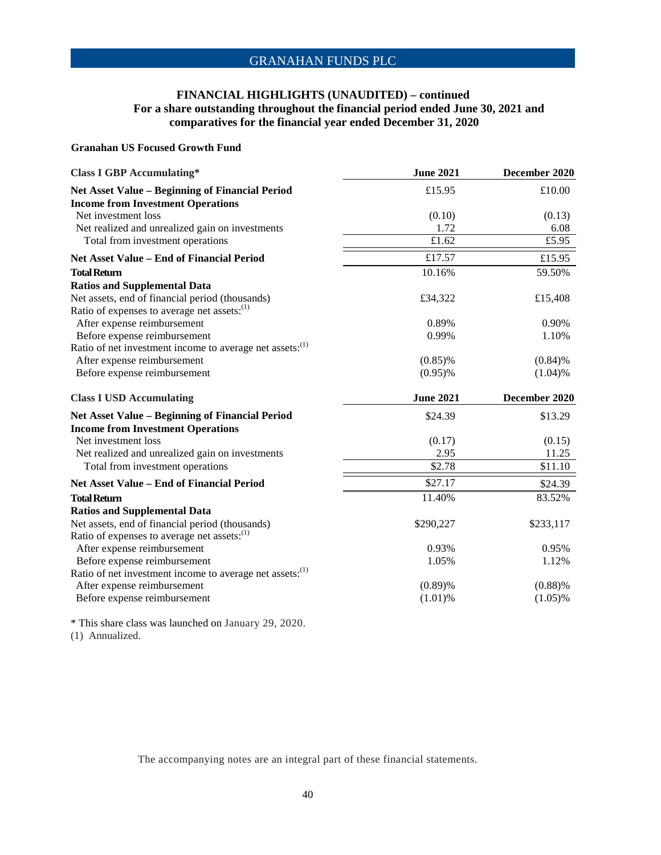### **FINANCIAL HIGHLIGHTS (UNAUDITED) – continued For a share outstanding throughout the financial period ended June 30, 2021 and comparatives for the financial year ended December 31, 2020**

#### **Granahan US Focused Growth Fund**

| <b>Class I GBP Accumulating*</b>                                                                           | <b>June 2021</b>   | December 2020 |
|------------------------------------------------------------------------------------------------------------|--------------------|---------------|
| <b>Net Asset Value - Beginning of Financial Period</b><br><b>Income from Investment Operations</b>         | £15.95             | £10.00        |
| Net investment loss                                                                                        | (0.10)             | (0.13)        |
| Net realized and unrealized gain on investments                                                            | 1.72               | 6.08          |
| Total from investment operations                                                                           | £1.62              | £5.95         |
| <b>Net Asset Value - End of Financial Period</b>                                                           | £17.57             | £15.95        |
| <b>Total Return</b>                                                                                        | 10.16%             | 59.50%        |
| <b>Ratios and Supplemental Data</b>                                                                        |                    |               |
| Net assets, end of financial period (thousands)<br>Ratio of expenses to average net assets: <sup>(1)</sup> | £34,322            | £15,408       |
| After expense reimbursement                                                                                | 0.89%              | 0.90%         |
| Before expense reimbursement                                                                               | 0.99%              | 1.10%         |
| Ratio of net investment income to average net assets: <sup>(1)</sup>                                       |                    |               |
| After expense reimbursement                                                                                | $(0.85)\%$         | (0.84)%       |
| Before expense reimbursement                                                                               | $(0.95)\%$         | (1.04)%       |
| <b>Class I USD Accumulating</b>                                                                            | <b>June 2021</b>   | December 2020 |
| <b>Net Asset Value - Beginning of Financial Period</b>                                                     | \$24.39            | \$13.29       |
| <b>Income from Investment Operations</b>                                                                   |                    |               |
| Net investment loss                                                                                        | (0.17)             | (0.15)        |
| Net realized and unrealized gain on investments                                                            | 2.95               | 11.25         |
| Total from investment operations                                                                           | $\overline{$}2.78$ | \$11.10       |
| <b>Net Asset Value - End of Financial Period</b>                                                           | \$27.17            | \$24.39       |
| <b>Total Return</b>                                                                                        | 11.40%             | 83.52%        |
| <b>Ratios and Supplemental Data</b>                                                                        |                    |               |
| Net assets, end of financial period (thousands)                                                            | \$290,227          | \$233,117     |
| Ratio of expenses to average net assets: <sup>(1)</sup>                                                    |                    |               |
| After expense reimbursement                                                                                | 0.93%              | 0.95%         |
| Before expense reimbursement                                                                               | 1.05%              | 1.12%         |
| Ratio of net investment income to average net assets: <sup>(1)</sup>                                       |                    |               |
| After expense reimbursement                                                                                | (0.89)%            | (0.88)%       |
| Before expense reimbursement                                                                               | $(1.01)$ %         | $(1.05)\%$    |

\* This share class was launched on January 29, 2020. (1) Annualized.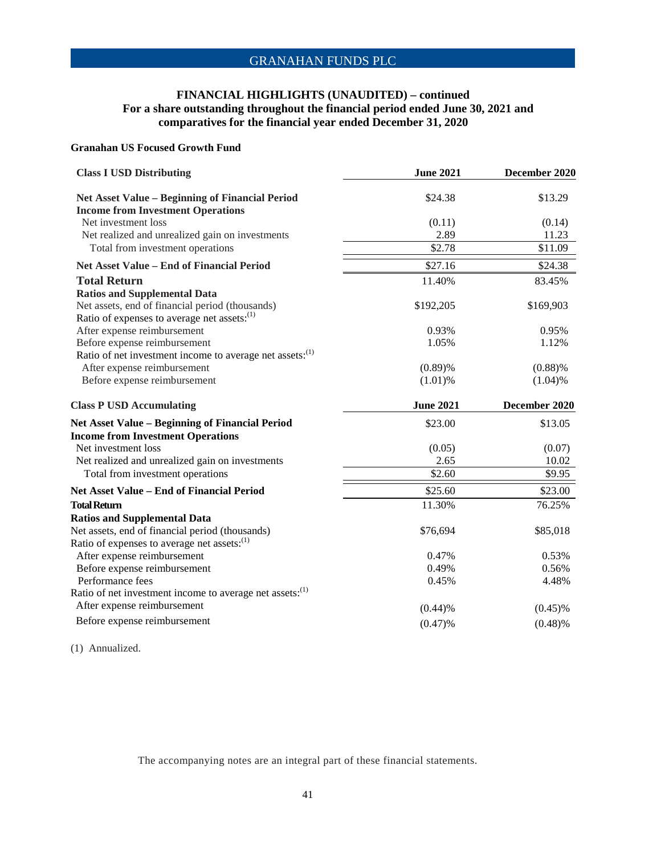### **FINANCIAL HIGHLIGHTS (UNAUDITED) – continued For a share outstanding throughout the financial period ended June 30, 2021 and comparatives for the financial year ended December 31, 2020**

### **Granahan US Focused Growth Fund**

| <b>Class I USD Distributing</b>                                                                            | <b>June 2021</b> | December 2020 |
|------------------------------------------------------------------------------------------------------------|------------------|---------------|
| Net Asset Value - Beginning of Financial Period<br><b>Income from Investment Operations</b>                | \$24.38          | \$13.29       |
| Net investment loss                                                                                        | (0.11)           | (0.14)        |
| Net realized and unrealized gain on investments                                                            | 2.89             | 11.23         |
| Total from investment operations                                                                           | \$2.78           | \$11.09       |
| <b>Net Asset Value - End of Financial Period</b>                                                           | \$27.16          | \$24.38       |
| <b>Total Return</b><br><b>Ratios and Supplemental Data</b>                                                 | 11.40%           | 83.45%        |
| Net assets, end of financial period (thousands)<br>Ratio of expenses to average net assets: <sup>(1)</sup> | \$192,205        | \$169,903     |
| After expense reimbursement                                                                                | 0.93%            | 0.95%         |
| Before expense reimbursement<br>Ratio of net investment income to average net assets: <sup>(1)</sup>       | 1.05%            | 1.12%         |
| After expense reimbursement                                                                                | (0.89)%          | (0.88)%       |
| Before expense reimbursement                                                                               | $(1.01)$ %       | (1.04)%       |
| <b>Class P USD Accumulating</b>                                                                            | <b>June 2021</b> | December 2020 |
| <b>Net Asset Value - Beginning of Financial Period</b>                                                     | \$23.00          | \$13.05       |
| <b>Income from Investment Operations</b>                                                                   |                  |               |
| Net investment loss                                                                                        | (0.05)           | (0.07)        |
| Net realized and unrealized gain on investments                                                            | 2.65             | 10.02         |
| Total from investment operations                                                                           | \$2.60           | \$9.95        |
| Net Asset Value - End of Financial Period                                                                  | \$25.60          | \$23.00       |
| <b>Total Return</b>                                                                                        | 11.30%           | 76.25%        |
| <b>Ratios and Supplemental Data</b>                                                                        |                  |               |
| Net assets, end of financial period (thousands)<br>Ratio of expenses to average net assets: <sup>(1)</sup> | \$76,694         | \$85,018      |
| After expense reimbursement                                                                                | 0.47%            | 0.53%         |
| Before expense reimbursement                                                                               | 0.49%            | 0.56%         |
| Performance fees                                                                                           | 0.45%            | 4.48%         |
| Ratio of net investment income to average net assets: <sup>(1)</sup>                                       |                  |               |
| After expense reimbursement                                                                                | (0.44)%          | $(0.45)\%$    |
| Before expense reimbursement                                                                               | (0.47)%          | (0.48)%       |
|                                                                                                            |                  |               |

(1) Annualized.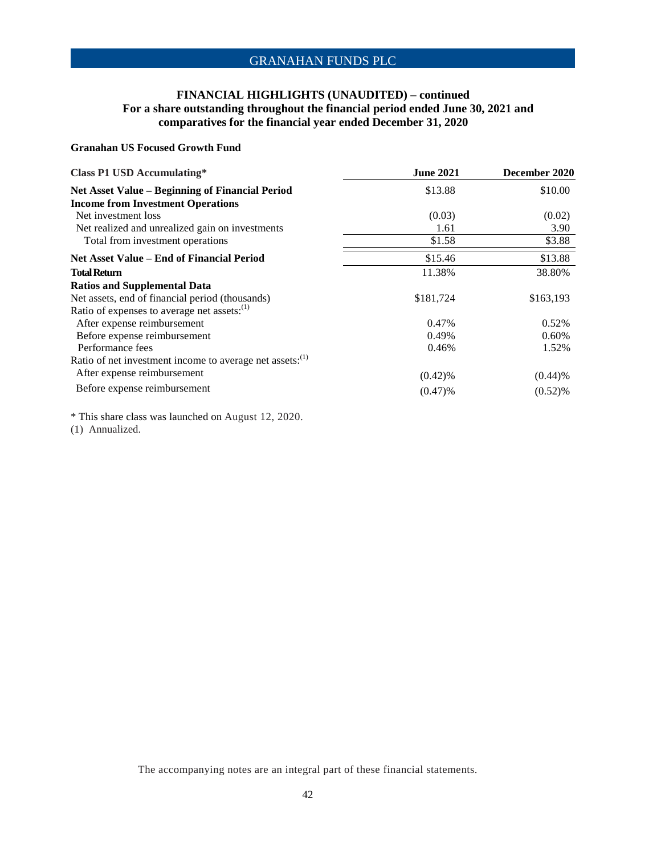### **FINANCIAL HIGHLIGHTS (UNAUDITED) – continued For a share outstanding throughout the financial period ended June 30, 2021 and comparatives for the financial year ended December 31, 2020**

#### **Granahan US Focused Growth Fund**

| <b>Class P1 USD Accumulating*</b>                                    | <b>June 2021</b> | December 2020 |
|----------------------------------------------------------------------|------------------|---------------|
| Net Asset Value - Beginning of Financial Period                      | \$13.88          | \$10.00       |
| <b>Income from Investment Operations</b>                             |                  |               |
| Net investment loss                                                  | (0.03)           | (0.02)        |
| Net realized and unrealized gain on investments                      | 1.61             | 3.90          |
| Total from investment operations                                     | \$1.58           | \$3.88        |
| <b>Net Asset Value – End of Financial Period</b>                     | \$15.46          | \$13.88       |
| <b>Total Return</b>                                                  | 11.38%           | 38.80%        |
| <b>Ratios and Supplemental Data</b>                                  |                  |               |
| Net assets, end of financial period (thousands)                      | \$181,724        | \$163,193     |
| Ratio of expenses to average net assets: <sup>(1)</sup>              |                  |               |
| After expense reimbursement                                          | 0.47%            | 0.52%         |
| Before expense reimbursement                                         | 0.49%            | 0.60%         |
| Performance fees                                                     | 0.46%            | 1.52%         |
| Ratio of net investment income to average net assets: <sup>(1)</sup> |                  |               |
| After expense reimbursement                                          | $(0.42)$ %       | $(0.44)$ %    |
| Before expense reimbursement                                         | (0.47)%          | (0.52)%       |

\* This share class was launched on August 12, 2020.

(1) Annualized.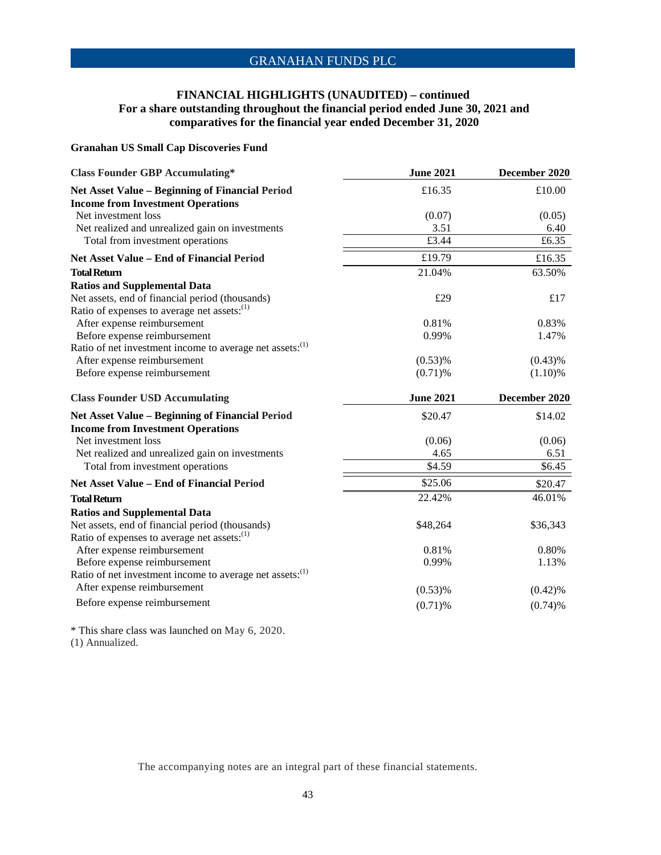### **FINANCIAL HIGHLIGHTS (UNAUDITED) – continued For a share outstanding throughout the financial period ended June 30, 2021 and comparatives for the financial year ended December 31, 2020**

### **Granahan US Small Cap Discoveries Fund**

| <b>Class Founder GBP Accumulating*</b>                               | <b>June 2021</b> | December 2020 |
|----------------------------------------------------------------------|------------------|---------------|
| Net Asset Value - Beginning of Financial Period                      | £16.35           | £10.00        |
| <b>Income from Investment Operations</b>                             |                  |               |
| Net investment loss                                                  | (0.07)           | (0.05)        |
| Net realized and unrealized gain on investments                      | 3.51             | 6.40          |
| Total from investment operations                                     | £3.44            | £6.35         |
| <b>Net Asset Value - End of Financial Period</b>                     | £19.79           | £16.35        |
| <b>Total Return</b>                                                  | 21.04%           | 63.50%        |
| <b>Ratios and Supplemental Data</b>                                  |                  |               |
| Net assets, end of financial period (thousands)                      | £29              | £17           |
| Ratio of expenses to average net assets: <sup>(1)</sup>              |                  |               |
| After expense reimbursement                                          | 0.81%            | 0.83%         |
| Before expense reimbursement                                         | 0.99%            | 1.47%         |
| Ratio of net investment income to average net assets: <sup>(1)</sup> |                  |               |
| After expense reimbursement                                          | $(0.53)$ %       | $(0.43)$ %    |
| Before expense reimbursement                                         | $(0.71)$ %       | (1.10)%       |
| <b>Class Founder USD Accumulating</b>                                | <b>June 2021</b> | December 2020 |
| Net Asset Value - Beginning of Financial Period                      | \$20.47          | \$14.02       |
| <b>Income from Investment Operations</b>                             |                  |               |
| Net investment loss                                                  | (0.06)           | (0.06)        |
| Net realized and unrealized gain on investments                      | 4.65             | 6.51          |
| Total from investment operations                                     | \$4.59           | \$6.45        |
| <b>Net Asset Value - End of Financial Period</b>                     | \$25.06          | \$20.47       |
| <b>Total Return</b>                                                  | 22.42%           | 46.01%        |
| <b>Ratios and Supplemental Data</b>                                  |                  |               |
| Net assets, end of financial period (thousands)                      | \$48,264         | \$36,343      |
| Ratio of expenses to average net assets: <sup>(1)</sup>              |                  |               |
| After expense reimbursement                                          | 0.81%            | 0.80%         |
| Before expense reimbursement                                         | 0.99%            | 1.13%         |
| Ratio of net investment income to average net assets: <sup>(1)</sup> |                  |               |
| After expense reimbursement                                          |                  |               |
|                                                                      | $(0.53)$ %       | $(0.42)$ %    |
| Before expense reimbursement                                         | $(0.71)$ %       | (0.74)%       |

\* This share class was launched on May 6, 2020.

(1) Annualized.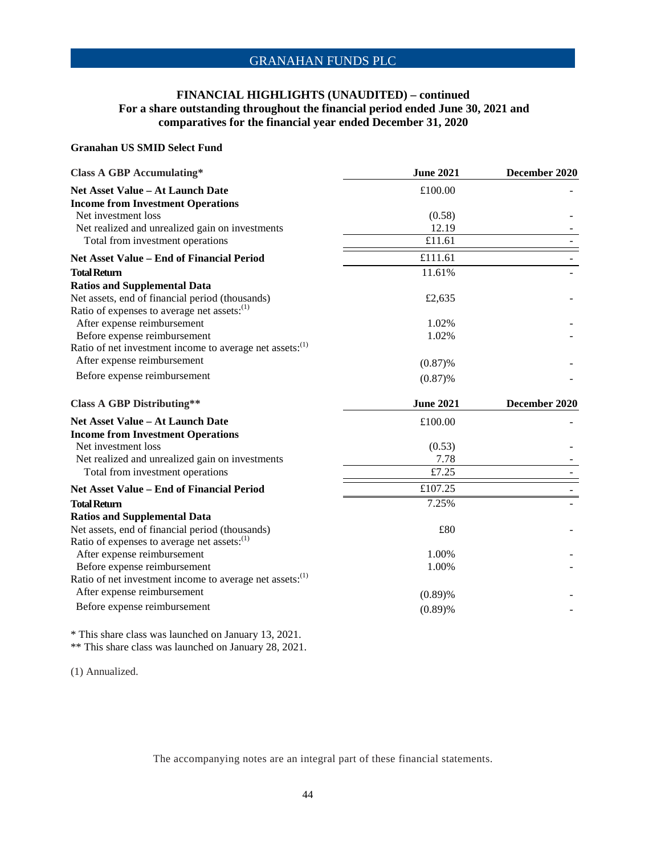### **FINANCIAL HIGHLIGHTS (UNAUDITED) – continued For a share outstanding throughout the financial period ended June 30, 2021 and comparatives for the financial year ended December 31, 2020**

#### **Granahan US SMID Select Fund**

| <b>Class A GBP Accumulating*</b>                                     | <b>June 2021</b> | December 2020 |
|----------------------------------------------------------------------|------------------|---------------|
| <b>Net Asset Value - At Launch Date</b>                              | £100.00          |               |
| <b>Income from Investment Operations</b>                             |                  |               |
| Net investment loss                                                  | (0.58)           |               |
| Net realized and unrealized gain on investments                      | 12.19            |               |
| Total from investment operations                                     | £11.61           |               |
| <b>Net Asset Value - End of Financial Period</b>                     | £111.61          |               |
| <b>Total Return</b>                                                  | 11.61%           |               |
| <b>Ratios and Supplemental Data</b>                                  |                  |               |
| Net assets, end of financial period (thousands)                      | £2,635           |               |
| Ratio of expenses to average net assets: <sup>(1)</sup>              |                  |               |
| After expense reimbursement                                          | 1.02%            |               |
| Before expense reimbursement                                         | 1.02%            |               |
| Ratio of net investment income to average net assets: <sup>(1)</sup> |                  |               |
| After expense reimbursement                                          | (0.87)%          |               |
| Before expense reimbursement                                         | (0.87)%          |               |
| <b>Class A GBP Distributing**</b>                                    | <b>June 2021</b> | December 2020 |
| <b>Net Asset Value - At Launch Date</b>                              | £100.00          |               |
| <b>Income from Investment Operations</b>                             |                  |               |
| Net investment loss                                                  | (0.53)           |               |
| Net realized and unrealized gain on investments                      | 7.78             |               |
| Total from investment operations                                     | £7.25            |               |
| Net Asset Value - End of Financial Period                            | £107.25          |               |
| <b>Total Return</b>                                                  | 7.25%            |               |
| <b>Ratios and Supplemental Data</b>                                  |                  |               |
| Net assets, end of financial period (thousands)                      | £80              |               |
| Ratio of expenses to average net assets: <sup>(1)</sup>              |                  |               |
| After expense reimbursement                                          | 1.00%            |               |
| Before expense reimbursement                                         | 1.00%            |               |
| Ratio of net investment income to average net assets: <sup>(1)</sup> |                  |               |
| After expense reimbursement                                          | (0.89)%          |               |
| Before expense reimbursement                                         | (0.89)%          |               |
|                                                                      |                  |               |

\* This share class was launched on January 13, 2021.

\*\* This share class was launched on January 28, 2021.

(1) Annualized.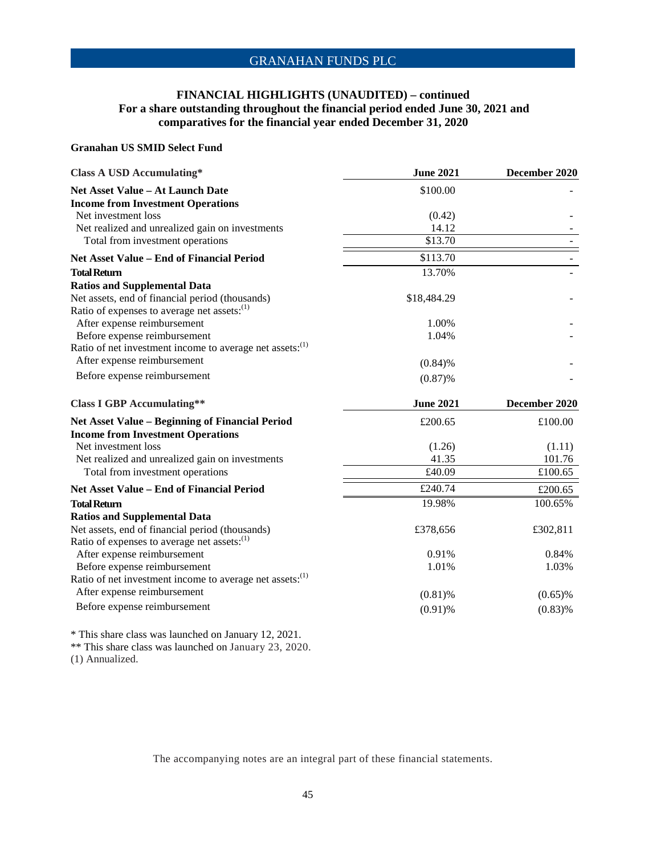### **FINANCIAL HIGHLIGHTS (UNAUDITED) – continued For a share outstanding throughout the financial period ended June 30, 2021 and comparatives for the financial year ended December 31, 2020**

#### **Granahan US SMID Select Fund**

| <b>Class A USD Accumulating*</b>                                     | <b>June 2021</b> | December 2020 |
|----------------------------------------------------------------------|------------------|---------------|
| <b>Net Asset Value - At Launch Date</b>                              | \$100.00         |               |
| <b>Income from Investment Operations</b>                             |                  |               |
| Net investment loss                                                  | (0.42)           |               |
| Net realized and unrealized gain on investments                      | 14.12            |               |
| Total from investment operations                                     | \$13.70          |               |
| Net Asset Value - End of Financial Period                            | \$113.70         |               |
| <b>Total Return</b>                                                  | 13.70%           |               |
| <b>Ratios and Supplemental Data</b>                                  |                  |               |
| Net assets, end of financial period (thousands)                      | \$18,484.29      |               |
| Ratio of expenses to average net assets: <sup>(1)</sup>              |                  |               |
| After expense reimbursement                                          | 1.00%            |               |
| Before expense reimbursement                                         | 1.04%            |               |
| Ratio of net investment income to average net assets: <sup>(1)</sup> |                  |               |
| After expense reimbursement                                          | (0.84)%          |               |
| Before expense reimbursement                                         | (0.87)%          |               |
| <b>Class I GBP Accumulating**</b>                                    | <b>June 2021</b> | December 2020 |
| <b>Net Asset Value - Beginning of Financial Period</b>               | £200.65          | £100.00       |
| <b>Income from Investment Operations</b>                             |                  |               |
| Net investment loss                                                  | (1.26)           | (1.11)        |
| Net realized and unrealized gain on investments                      | 41.35            | 101.76        |
| Total from investment operations                                     | £40.09           | £100.65       |
| Net Asset Value - End of Financial Period                            | £240.74          | £200.65       |
| <b>Total Return</b>                                                  | 19.98%           | 100.65%       |
| <b>Ratios and Supplemental Data</b>                                  |                  |               |
| Net assets, end of financial period (thousands)                      | £378,656         | £302,811      |
| Ratio of expenses to average net assets: <sup>(1)</sup>              |                  |               |
| After expense reimbursement                                          | 0.91%            | 0.84%         |
| Before expense reimbursement                                         | 1.01%            | 1.03%         |
| Ratio of net investment income to average net assets: <sup>(1)</sup> |                  |               |
| After expense reimbursement                                          | $(0.81)$ %       | $(0.65)\%$    |
| Before expense reimbursement                                         | $(0.91)$ %       | (0.83)%       |
|                                                                      |                  |               |

\* This share class was launched on January 12, 2021.

\*\* This share class was launched on January 23, 2020.

(1) Annualized.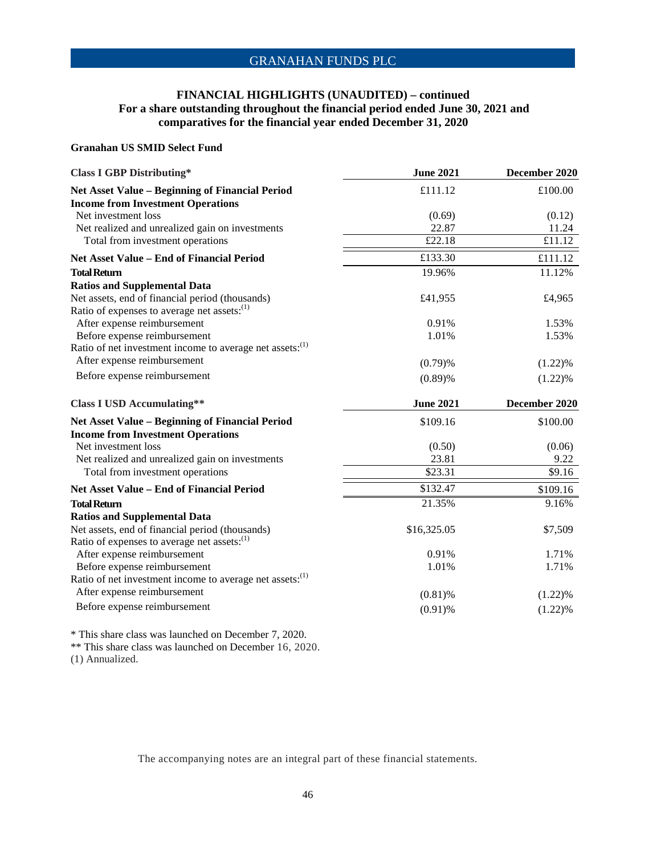### **FINANCIAL HIGHLIGHTS (UNAUDITED) – continued For a share outstanding throughout the financial period ended June 30, 2021 and comparatives for the financial year ended December 31, 2020**

#### **Granahan US SMID Select Fund**

| <b>Class I GBP Distributing*</b>                                                                    | <b>June 2021</b>         | December 2020         |
|-----------------------------------------------------------------------------------------------------|--------------------------|-----------------------|
| <b>Net Asset Value - Beginning of Financial Period</b>                                              | £111.12                  | £100.00               |
| <b>Income from Investment Operations</b>                                                            |                          |                       |
| Net investment loss                                                                                 | (0.69)                   | (0.12)                |
| Net realized and unrealized gain on investments                                                     | 22.87                    | 11.24                 |
| Total from investment operations                                                                    | £22.18                   | £11.12                |
| Net Asset Value - End of Financial Period                                                           | £133.30                  | £111.12               |
| <b>Total Return</b>                                                                                 | 19.96%                   | 11.12%                |
| <b>Ratios and Supplemental Data</b>                                                                 |                          |                       |
| Net assets, end of financial period (thousands)                                                     | £41,955                  | £4,965                |
| Ratio of expenses to average net assets: <sup>(1)</sup>                                             |                          |                       |
| After expense reimbursement                                                                         | 0.91%                    | 1.53%                 |
| Before expense reimbursement                                                                        | 1.01%                    | 1.53%                 |
| Ratio of net investment income to average net assets: <sup>(1)</sup>                                |                          |                       |
| After expense reimbursement                                                                         | (0.79)%                  | (1.22)%               |
| Before expense reimbursement                                                                        | (0.89)%                  | (1.22)%               |
|                                                                                                     |                          | December 2020         |
| <b>Class I USD Accumulating**</b>                                                                   | <b>June 2021</b>         |                       |
|                                                                                                     |                          |                       |
| Net Asset Value - Beginning of Financial Period                                                     | \$109.16                 | \$100.00              |
| <b>Income from Investment Operations</b><br>Net investment loss                                     |                          |                       |
|                                                                                                     | (0.50)<br>23.81          | (0.06)<br>9.22        |
| Net realized and unrealized gain on investments<br>Total from investment operations                 | \$23.31                  | \$9.16                |
| Net Asset Value - End of Financial Period                                                           | \$132.47                 | \$109.16              |
| <b>Total Return</b>                                                                                 | 21.35%                   | 9.16%                 |
|                                                                                                     |                          |                       |
| <b>Ratios and Supplemental Data</b>                                                                 |                          |                       |
| Net assets, end of financial period (thousands)                                                     | \$16,325.05              | \$7,509               |
| Ratio of expenses to average net assets: <sup>(1)</sup><br>After expense reimbursement              | 0.91%                    | 1.71%                 |
|                                                                                                     | 1.01%                    | 1.71%                 |
| Before expense reimbursement                                                                        |                          |                       |
| Ratio of net investment income to average net assets: <sup>(1)</sup><br>After expense reimbursement |                          |                       |
| Before expense reimbursement                                                                        | $(0.81)$ %<br>$(0.91)$ % | $(1.22)\%$<br>(1.22)% |

\* This share class was launched on December 7, 2020.

\*\* This share class was launched on December 16, 2020.

(1) Annualized.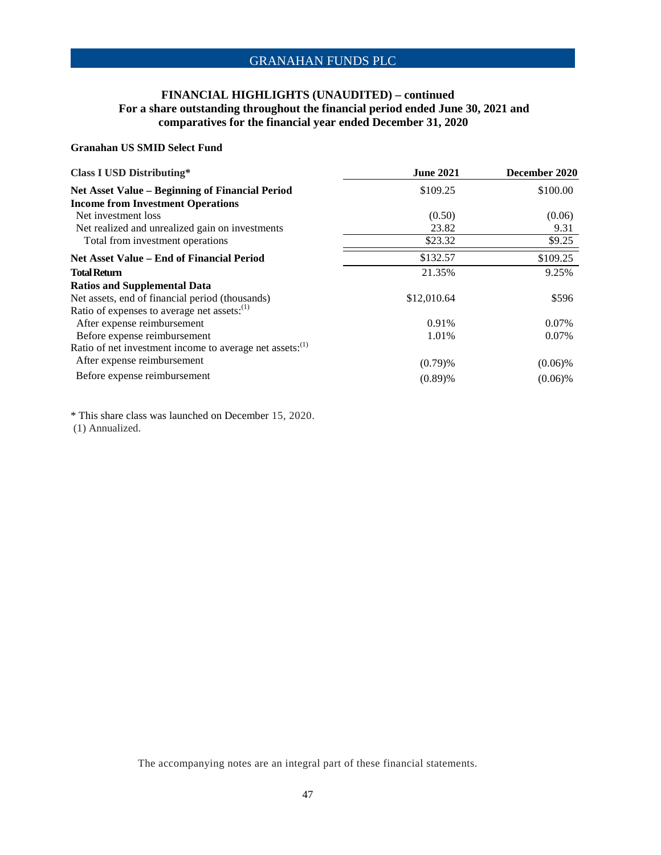### **FINANCIAL HIGHLIGHTS (UNAUDITED) – continued For a share outstanding throughout the financial period ended June 30, 2021 and comparatives for the financial year ended December 31, 2020**

#### **Granahan US SMID Select Fund**

| <b>Class I USD Distributing*</b>                                     | <b>June 2021</b> | December 2020 |
|----------------------------------------------------------------------|------------------|---------------|
| <b>Net Asset Value – Beginning of Financial Period</b>               | \$109.25         | \$100.00      |
| <b>Income from Investment Operations</b>                             |                  |               |
| Net investment loss                                                  | (0.50)           | (0.06)        |
| Net realized and unrealized gain on investments                      | 23.82            | 9.31          |
| Total from investment operations                                     | \$23.32          | \$9.25        |
| Net Asset Value – End of Financial Period                            | \$132.57         | \$109.25      |
| <b>Total Return</b>                                                  | 21.35%           | 9.25%         |
| <b>Ratios and Supplemental Data</b>                                  |                  |               |
| Net assets, end of financial period (thousands)                      | \$12,010.64      | \$596         |
| Ratio of expenses to average net assets: <sup>(1)</sup>              |                  |               |
| After expense reimbursement                                          | 0.91%            | 0.07%         |
| Before expense reimbursement                                         | 1.01%            | 0.07%         |
| Ratio of net investment income to average net assets: <sup>(1)</sup> |                  |               |
| After expense reimbursement                                          | $(0.79)$ %       | $(0.06)\%$    |
| Before expense reimbursement                                         | (0.89)%          | $(0.06)\%$    |

\* This share class was launched on December 15, 2020. (1) Annualized.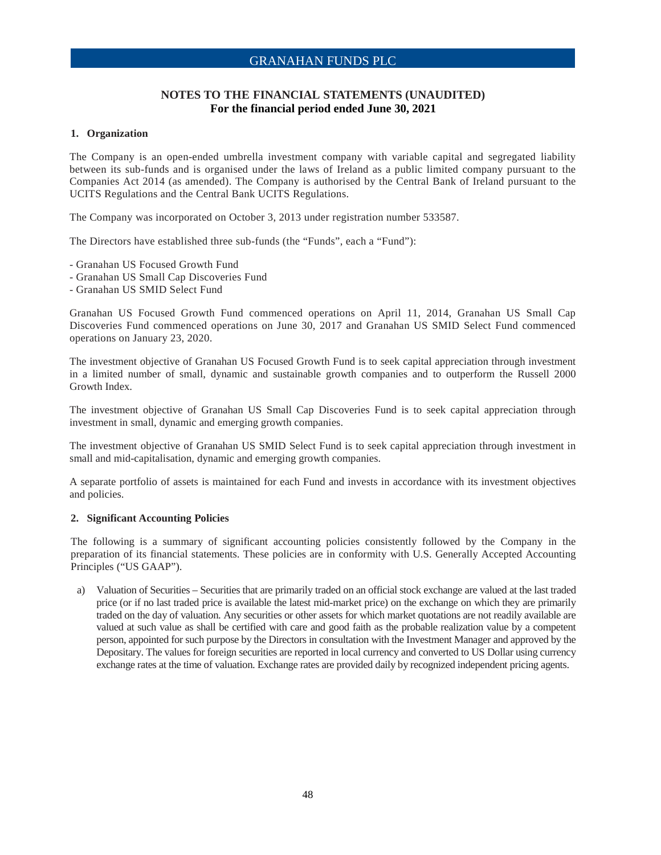### **NOTES TO THE FINANCIAL STATEMENTS (UNAUDITED) For the financial period ended June 30, 2021**

### **1. Organization**

The Company is an open-ended umbrella investment company with variable capital and segregated liability between its sub-funds and is organised under the laws of Ireland as a public limited company pursuant to the Companies Act 2014 (as amended). The Company is authorised by the Central Bank of Ireland pursuant to the UCITS Regulations and the Central Bank UCITS Regulations.

The Company was incorporated on October 3, 2013 under registration number 533587.

The Directors have established three sub-funds (the "Funds", each a "Fund"):

- Granahan US Focused Growth Fund
- Granahan US Small Cap Discoveries Fund
- Granahan US SMID Select Fund

Granahan US Focused Growth Fund commenced operations on April 11, 2014, Granahan US Small Cap Discoveries Fund commenced operations on June 30, 2017 and Granahan US SMID Select Fund commenced operations on January 23, 2020.

The investment objective of Granahan US Focused Growth Fund is to seek capital appreciation through investment in a limited number of small, dynamic and sustainable growth companies and to outperform the Russell 2000 Growth Index.

The investment objective of Granahan US Small Cap Discoveries Fund is to seek capital appreciation through investment in small, dynamic and emerging growth companies.

The investment objective of Granahan US SMID Select Fund is to seek capital appreciation through investment in small and mid-capitalisation, dynamic and emerging growth companies.

A separate portfolio of assets is maintained for each Fund and invests in accordance with its investment objectives and policies.

#### **2. Significant Accounting Policies**

The following is a summary of significant accounting policies consistently followed by the Company in the preparation of its financial statements. These policies are in conformity with U.S. Generally Accepted Accounting Principles ("US GAAP").

a) Valuation of Securities – Securities that are primarily traded on an official stock exchange are valued at the last traded price (or if no last traded price is available the latest mid-market price) on the exchange on which they are primarily traded on the day of valuation. Any securities or other assets for which market quotations are not readily available are valued at such value as shall be certified with care and good faith as the probable realization value by a competent person, appointed for such purpose by the Directors in consultation with the Investment Manager and approved by the Depositary. The values for foreign securities are reported in local currency and converted to US Dollar using currency exchange rates at the time of valuation. Exchange rates are provided daily by recognized independent pricing agents.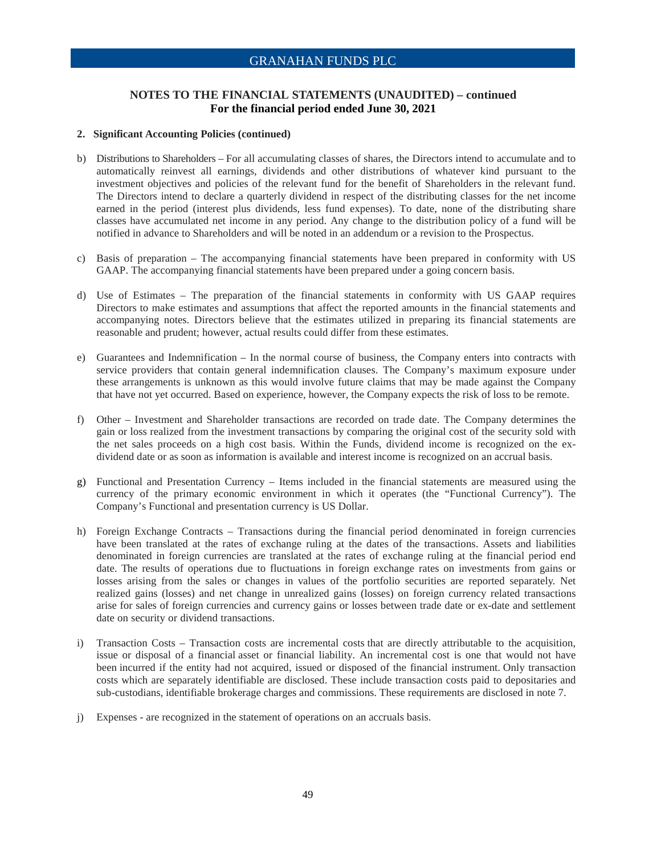### **NOTES TO THE FINANCIAL STATEMENTS (UNAUDITED) – continued For the financial period ended June 30, 2021**

#### **2. Significant Accounting Policies (continued)**

- b) Distributions to Shareholders For all accumulating classes of shares, the Directors intend to accumulate and to automatically reinvest all earnings, dividends and other distributions of whatever kind pursuant to the investment objectives and policies of the relevant fund for the benefit of Shareholders in the relevant fund. The Directors intend to declare a quarterly dividend in respect of the distributing classes for the net income earned in the period (interest plus dividends, less fund expenses). To date, none of the distributing share classes have accumulated net income in any period. Any change to the distribution policy of a fund will be notified in advance to Shareholders and will be noted in an addendum or a revision to the Prospectus.
- c) Basis of preparation The accompanying financial statements have been prepared in conformity with US GAAP. The accompanying financial statements have been prepared under a going concern basis.
- d) Use of Estimates The preparation of the financial statements in conformity with US GAAP requires Directors to make estimates and assumptions that affect the reported amounts in the financial statements and accompanying notes. Directors believe that the estimates utilized in preparing its financial statements are reasonable and prudent; however, actual results could differ from these estimates.
- e) Guarantees and Indemnification In the normal course of business, the Company enters into contracts with service providers that contain general indemnification clauses. The Company's maximum exposure under these arrangements is unknown as this would involve future claims that may be made against the Company that have not yet occurred. Based on experience, however, the Company expects the risk of loss to be remote.
- f) Other Investment and Shareholder transactions are recorded on trade date. The Company determines the gain or loss realized from the investment transactions by comparing the original cost of the security sold with the net sales proceeds on a high cost basis. Within the Funds, dividend income is recognized on the exdividend date or as soon as information is available and interest income is recognized on an accrual basis.
- g) Functional and Presentation Currency Items included in the financial statements are measured using the currency of the primary economic environment in which it operates (the "Functional Currency"). The Company's Functional and presentation currency is US Dollar.
- h) Foreign Exchange Contracts Transactions during the financial period denominated in foreign currencies have been translated at the rates of exchange ruling at the dates of the transactions. Assets and liabilities denominated in foreign currencies are translated at the rates of exchange ruling at the financial period end date. The results of operations due to fluctuations in foreign exchange rates on investments from gains or losses arising from the sales or changes in values of the portfolio securities are reported separately. Net realized gains (losses) and net change in unrealized gains (losses) on foreign currency related transactions arise for sales of foreign currencies and currency gains or losses between trade date or ex-date and settlement date on security or dividend transactions.
- i) Transaction Costs Transaction costs are incremental costs that are directly attributable to the acquisition, issue or disposal of a financial asset or financial liability. An incremental cost is one that would not have been incurred if the entity had not acquired, issued or disposed of the financial instrument. Only transaction costs which are separately identifiable are disclosed. These include transaction costs paid to depositaries and sub-custodians, identifiable brokerage charges and commissions. These requirements are disclosed in note 7.
- j) Expenses are recognized in the statement of operations on an accruals basis.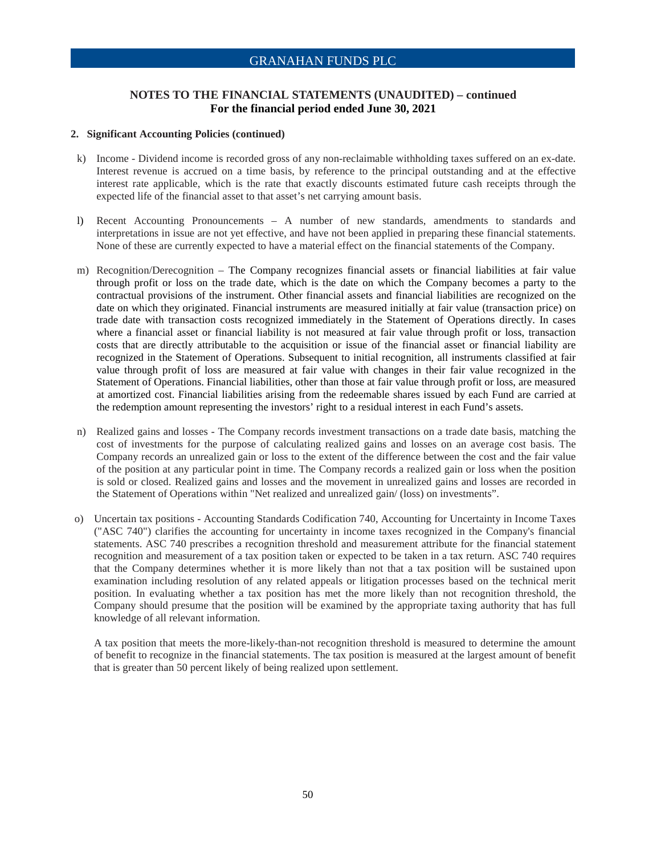### **NOTES TO THE FINANCIAL STATEMENTS (UNAUDITED) – continued For the financial period ended June 30, 2021**

#### **2. Significant Accounting Policies (continued)**

- k) Income Dividend income is recorded gross of any non-reclaimable withholding taxes suffered on an ex-date. Interest revenue is accrued on a time basis, by reference to the principal outstanding and at the effective interest rate applicable, which is the rate that exactly discounts estimated future cash receipts through the expected life of the financial asset to that asset's net carrying amount basis.
- l) Recent Accounting Pronouncements A number of new standards, amendments to standards and interpretations in issue are not yet effective, and have not been applied in preparing these financial statements. None of these are currently expected to have a material effect on the financial statements of the Company.
- m) Recognition/Derecognition The Company recognizes financial assets or financial liabilities at fair value through profit or loss on the trade date, which is the date on which the Company becomes a party to the contractual provisions of the instrument. Other financial assets and financial liabilities are recognized on the date on which they originated. Financial instruments are measured initially at fair value (transaction price) on trade date with transaction costs recognized immediately in the Statement of Operations directly. In cases where a financial asset or financial liability is not measured at fair value through profit or loss, transaction costs that are directly attributable to the acquisition or issue of the financial asset or financial liability are recognized in the Statement of Operations. Subsequent to initial recognition, all instruments classified at fair value through profit of loss are measured at fair value with changes in their fair value recognized in the Statement of Operations. Financial liabilities, other than those at fair value through profit or loss, are measured at amortized cost. Financial liabilities arising from the redeemable shares issued by each Fund are carried at the redemption amount representing the investors' right to a residual interest in each Fund's assets.
- n) Realized gains and losses The Company records investment transactions on a trade date basis, matching the cost of investments for the purpose of calculating realized gains and losses on an average cost basis. The Company records an unrealized gain or loss to the extent of the difference between the cost and the fair value of the position at any particular point in time. The Company records a realized gain or loss when the position is sold or closed. Realized gains and losses and the movement in unrealized gains and losses are recorded in the Statement of Operations within "Net realized and unrealized gain/ (loss) on investments".
- o) Uncertain tax positions Accounting Standards Codification 740, Accounting for Uncertainty in Income Taxes ("ASC 740") clarifies the accounting for uncertainty in income taxes recognized in the Company's financial statements. ASC 740 prescribes a recognition threshold and measurement attribute for the financial statement recognition and measurement of a tax position taken or expected to be taken in a tax return. ASC 740 requires that the Company determines whether it is more likely than not that a tax position will be sustained upon examination including resolution of any related appeals or litigation processes based on the technical merit position. In evaluating whether a tax position has met the more likely than not recognition threshold, the Company should presume that the position will be examined by the appropriate taxing authority that has full knowledge of all relevant information.

A tax position that meets the more-likely-than-not recognition threshold is measured to determine the amount of benefit to recognize in the financial statements. The tax position is measured at the largest amount of benefit that is greater than 50 percent likely of being realized upon settlement.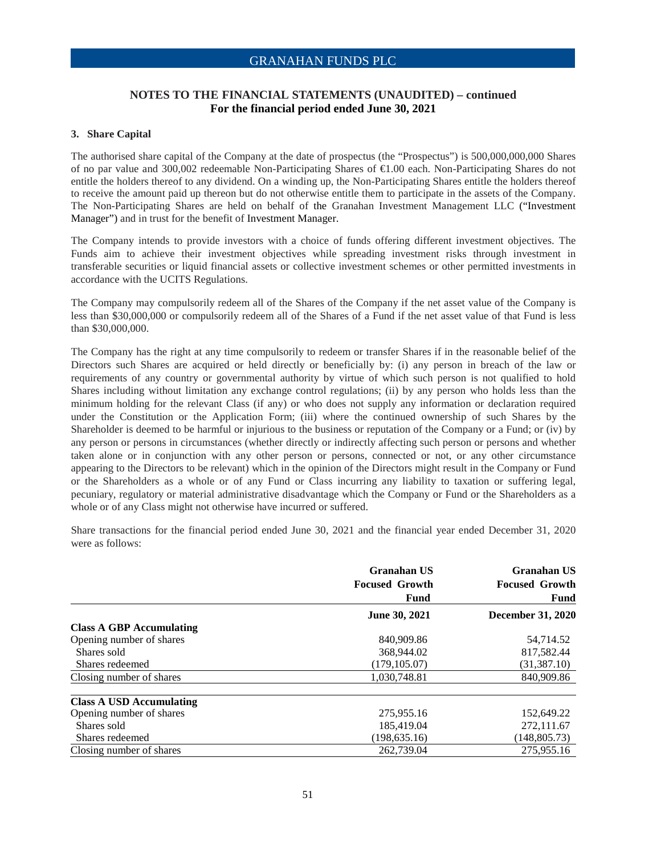### **NOTES TO THE FINANCIAL STATEMENTS (UNAUDITED) – continued For the financial period ended June 30, 2021**

#### **3. Share Capital**

The authorised share capital of the Company at the date of prospectus (the "Prospectus") is 500,000,000,000 Shares of no par value and 300,002 redeemable Non-Participating Shares of €1.00 each. Non-Participating Shares do not entitle the holders thereof to any dividend. On a winding up, the Non-Participating Shares entitle the holders thereof to receive the amount paid up thereon but do not otherwise entitle them to participate in the assets of the Company. The Non-Participating Shares are held on behalf of the Granahan Investment Management LLC ("Investment Manager") and in trust for the benefit of Investment Manager.

The Company intends to provide investors with a choice of funds offering different investment objectives. The Funds aim to achieve their investment objectives while spreading investment risks through investment in transferable securities or liquid financial assets or collective investment schemes or other permitted investments in accordance with the UCITS Regulations.

The Company may compulsorily redeem all of the Shares of the Company if the net asset value of the Company is less than \$30,000,000 or compulsorily redeem all of the Shares of a Fund if the net asset value of that Fund is less than \$30,000,000.

The Company has the right at any time compulsorily to redeem or transfer Shares if in the reasonable belief of the Directors such Shares are acquired or held directly or beneficially by: (i) any person in breach of the law or requirements of any country or governmental authority by virtue of which such person is not qualified to hold Shares including without limitation any exchange control regulations; (ii) by any person who holds less than the minimum holding for the relevant Class (if any) or who does not supply any information or declaration required under the Constitution or the Application Form; (iii) where the continued ownership of such Shares by the Shareholder is deemed to be harmful or injurious to the business or reputation of the Company or a Fund; or (iv) by any person or persons in circumstances (whether directly or indirectly affecting such person or persons and whether taken alone or in conjunction with any other person or persons, connected or not, or any other circumstance appearing to the Directors to be relevant) which in the opinion of the Directors might result in the Company or Fund or the Shareholders as a whole or of any Fund or Class incurring any liability to taxation or suffering legal, pecuniary, regulatory or material administrative disadvantage which the Company or Fund or the Shareholders as a whole or of any Class might not otherwise have incurred or suffered.

Share transactions for the financial period ended June 30, 2021 and the financial year ended December 31, 2020 were as follows:

|                                 | Granahan US<br><b>Focused Growth</b> | Granahan US<br><b>Focused Growth</b> |
|---------------------------------|--------------------------------------|--------------------------------------|
|                                 | Fund                                 | Fund                                 |
|                                 | <b>June 30, 2021</b>                 | <b>December 31, 2020</b>             |
| <b>Class A GBP Accumulating</b> |                                      |                                      |
| Opening number of shares        | 840,909.86                           | 54,714.52                            |
| Shares sold                     | 368,944.02                           | 817,582.44                           |
| Shares redeemed                 | (179, 105.07)                        | (31, 387.10)                         |
| Closing number of shares        | 1.030.748.81                         | 840,909.86                           |
| <b>Class A USD Accumulating</b> |                                      |                                      |
| Opening number of shares        | 275,955.16                           | 152,649.22                           |
| Shares sold                     | 185,419.04                           | 272,111.67                           |
| Shares redeemed                 | (198, 635.16)                        | (148, 805.73)                        |
| Closing number of shares        | 262,739.04                           | 275,955.16                           |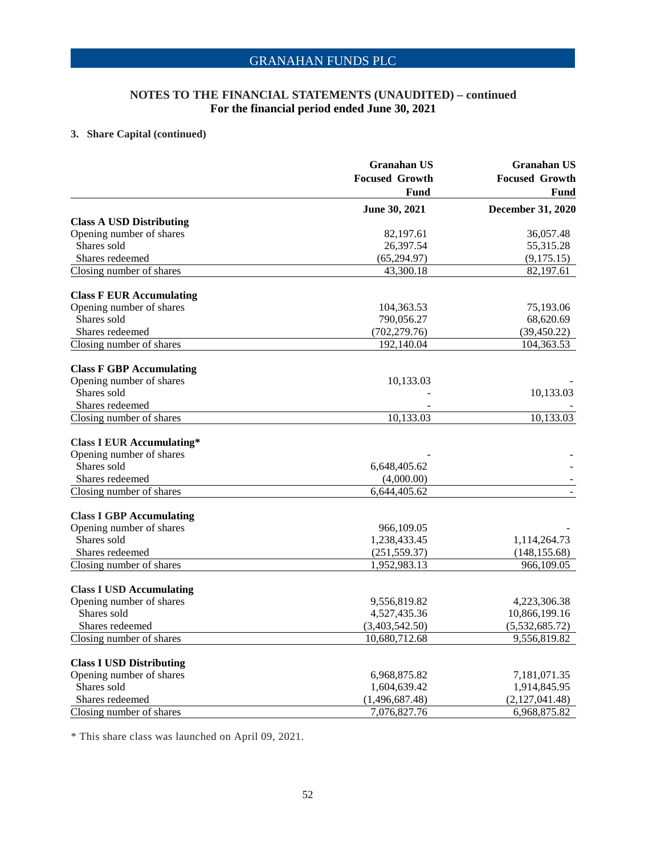### **NOTES TO THE FINANCIAL STATEMENTS (UNAUDITED) – continued For the financial period ended June 30, 2021**

# **3. Share Capital (continued)**

|                                  | <b>Granahan US</b>    | <b>Granahan US</b>       |  |
|----------------------------------|-----------------------|--------------------------|--|
|                                  | <b>Focused Growth</b> | <b>Focused Growth</b>    |  |
|                                  | Fund                  | Fund                     |  |
|                                  | June 30, 2021         | <b>December 31, 2020</b> |  |
| <b>Class A USD Distributing</b>  |                       |                          |  |
| Opening number of shares         | 82,197.61             | 36,057.48                |  |
| Shares sold                      | 26,397.54             | 55,315.28                |  |
| Shares redeemed                  | (65, 294.97)          | (9,175.15)               |  |
| Closing number of shares         | 43,300.18             | 82,197.61                |  |
| <b>Class F EUR Accumulating</b>  |                       |                          |  |
| Opening number of shares         | 104,363.53            | 75,193.06                |  |
| Shares sold                      | 790,056.27            | 68,620.69                |  |
| Shares redeemed                  | (702, 279.76)         | (39, 450.22)             |  |
| Closing number of shares         | 192,140.04            | 104,363.53               |  |
| <b>Class F GBP Accumulating</b>  |                       |                          |  |
| Opening number of shares         | 10,133.03             |                          |  |
| Shares sold                      |                       | 10,133.03                |  |
| Shares redeemed                  |                       |                          |  |
| Closing number of shares         | 10,133.03             | 10,133.03                |  |
| <b>Class I EUR Accumulating*</b> |                       |                          |  |
| Opening number of shares         |                       |                          |  |
| Shares sold                      | 6,648,405.62          |                          |  |
| Shares redeemed                  | (4,000.00)            |                          |  |
| Closing number of shares         | 6,644,405.62          |                          |  |
| <b>Class I GBP Accumulating</b>  |                       |                          |  |
| Opening number of shares         | 966,109.05            |                          |  |
| Shares sold                      | 1,238,433.45          | 1,114,264.73             |  |
| Shares redeemed                  | (251, 559.37)         | (148, 155.68)            |  |
| Closing number of shares         | 1,952,983.13          | 966,109.05               |  |
| <b>Class I USD Accumulating</b>  |                       |                          |  |
| Opening number of shares         | 9,556,819.82          | 4,223,306.38             |  |
| Shares sold                      | 4,527,435.36          | 10,866,199.16            |  |
| Shares redeemed                  | (3,403,542.50)        | (5,532,685.72)           |  |
| Closing number of shares         | 10.680.712.68         | 9,556,819.82             |  |
| <b>Class I USD Distributing</b>  |                       |                          |  |
| Opening number of shares         | 6,968,875.82          | 7,181,071.35             |  |
| Shares sold                      | 1,604,639.42          | 1,914,845.95             |  |
| Shares redeemed                  | (1,496,687.48)        | (2,127,041.48)           |  |
| Closing number of shares         | 7,076,827.76          | 6,968,875.82             |  |

\* This share class was launched on April 09, 2021.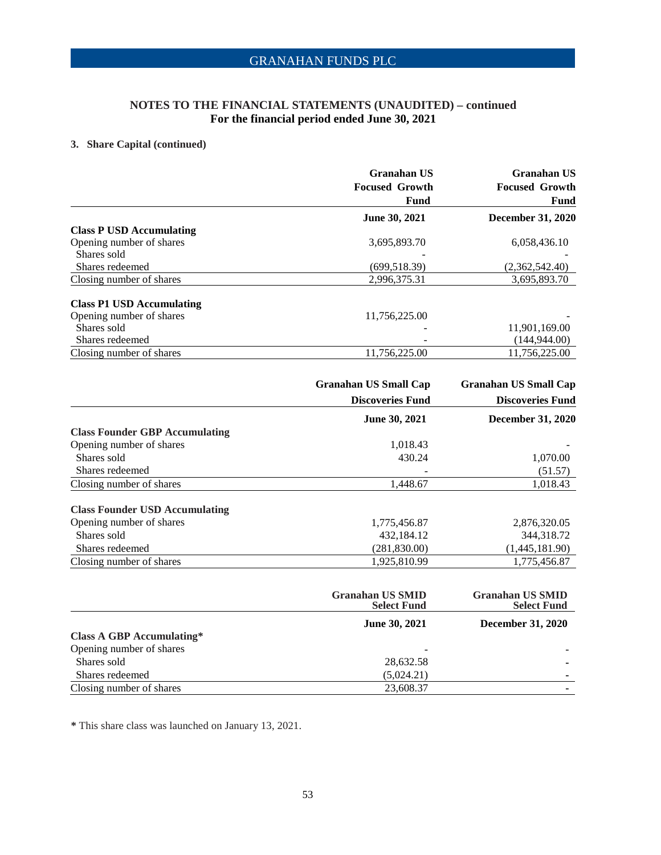# **NOTES TO THE FINANCIAL STATEMENTS (UNAUDITED) – continued For the financial period ended June 30, 2021**

### **3. Share Capital (continued)**

|                                  | Granahan US            | <b>Granahan US</b>       |
|----------------------------------|------------------------|--------------------------|
|                                  | <b>Focused Growth</b>  | <b>Focused Growth</b>    |
|                                  | Fund                   | Fund                     |
|                                  | <b>June 30, 2021</b>   | <b>December 31, 2020</b> |
| <b>Class P USD Accumulating</b>  |                        |                          |
| Opening number of shares         | 3,695,893.70           | 6,058,436.10             |
| Shares sold                      |                        |                          |
| Shares redeemed                  | (699, 518.39)          | (2,362,542.40)           |
| Closing number of shares         | 2,996,375.31           | 3,695,893.70             |
| <b>Class P1 USD Accumulating</b> |                        |                          |
| Opening number of shares         | 11,756,225.00          |                          |
| Shares sold                      |                        | 11,901,169.00            |
| Shares redeemed                  |                        | (144, 944.00)            |
| Closing number of shares         | 11,756,225.00          | 11,756,225.00            |
|                                  | Cronohon IIS Small Con | Cronohon IIS Smoll Con-  |

|                                       | <b>Granahan US Small Cap</b> | <b>Granahan US Small Cap</b> |
|---------------------------------------|------------------------------|------------------------------|
|                                       | <b>Discoveries Fund</b>      | <b>Discoveries Fund</b>      |
|                                       | <b>June 30, 2021</b>         | <b>December 31, 2020</b>     |
| <b>Class Founder GBP Accumulating</b> |                              |                              |
| Opening number of shares              | 1,018.43                     |                              |
| Shares sold                           | 430.24                       | 1,070.00                     |
| Shares redeemed                       |                              | (51.57)                      |
| Closing number of shares              | 1,448.67                     | 1,018.43                     |
| <b>Class Founder USD Accumulating</b> |                              |                              |
| Opening number of shares              | 1,775,456.87                 | 2,876,320.05                 |
| Shares sold                           | 432,184.12                   | 344, 318. 72                 |
| Shares redeemed                       | (281, 830.00)                | (1,445,181.90)               |
| Closing number of shares              | 1.925.810.99                 | 1.775.456.87                 |

|                                  | <b>Granahan US SMID</b><br><b>Select Fund</b> | <b>Granahan US SMID</b><br><b>Select Fund</b> |
|----------------------------------|-----------------------------------------------|-----------------------------------------------|
|                                  | <b>June 30, 2021</b>                          | <b>December 31, 2020</b>                      |
| <b>Class A GBP Accumulating*</b> |                                               |                                               |
| Opening number of shares         |                                               |                                               |
| Shares sold                      | 28,632.58                                     |                                               |
| Shares redeemed                  | (5,024.21)                                    |                                               |
| Closing number of shares         | 23,608.37                                     |                                               |

**\*** This share class was launched on January 13, 2021.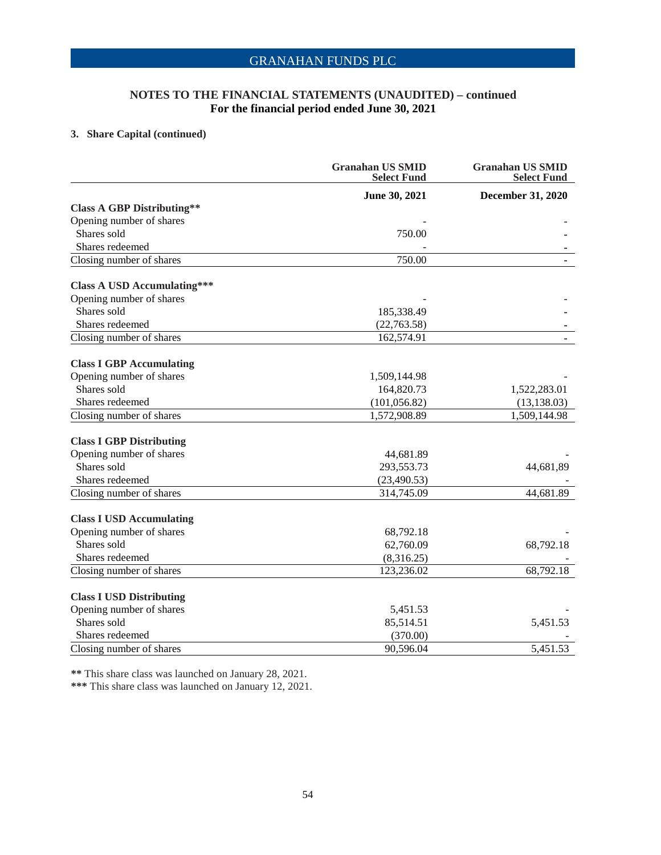### **NOTES TO THE FINANCIAL STATEMENTS (UNAUDITED) – continued For the financial period ended June 30, 2021**

### **3. Share Capital (continued)**

|                                    | <b>Granahan US SMID</b><br><b>Select Fund</b> | <b>Granahan US SMID</b><br><b>Select Fund</b> |
|------------------------------------|-----------------------------------------------|-----------------------------------------------|
|                                    | June 30, 2021                                 | December 31, 2020                             |
| <b>Class A GBP Distributing**</b>  |                                               |                                               |
| Opening number of shares           |                                               |                                               |
| Shares sold                        | 750.00                                        |                                               |
| Shares redeemed                    |                                               |                                               |
| Closing number of shares           | 750.00                                        | $\blacksquare$                                |
| <b>Class A USD Accumulating***</b> |                                               |                                               |
| Opening number of shares           |                                               |                                               |
| Shares sold                        | 185,338.49                                    |                                               |
| Shares redeemed                    | (22,763.58)                                   |                                               |
| Closing number of shares           | 162,574.91                                    |                                               |
| <b>Class I GBP Accumulating</b>    |                                               |                                               |
| Opening number of shares           | 1,509,144.98                                  |                                               |
| Shares sold                        | 164,820.73                                    | 1,522,283.01                                  |
| Shares redeemed                    | (101, 056.82)                                 | (13, 138.03)                                  |
| Closing number of shares           | 1,572,908.89                                  | 1,509,144.98                                  |
| <b>Class I GBP Distributing</b>    |                                               |                                               |
| Opening number of shares           | 44,681.89                                     |                                               |
| Shares sold                        | 293,553.73                                    | 44,681,89                                     |
| Shares redeemed                    | (23, 490.53)                                  |                                               |
| Closing number of shares           | 314,745.09                                    | 44,681.89                                     |
| <b>Class I USD Accumulating</b>    |                                               |                                               |
| Opening number of shares           | 68,792.18                                     |                                               |
| Shares sold                        | 62,760.09                                     | 68,792.18                                     |
| Shares redeemed                    | (8,316.25)                                    |                                               |
| Closing number of shares           | 123,236.02                                    | 68,792.18                                     |
| <b>Class I USD Distributing</b>    |                                               |                                               |
| Opening number of shares           | 5,451.53                                      |                                               |
| Shares sold                        | 85,514.51                                     | 5,451.53                                      |
| Shares redeemed                    | (370.00)                                      |                                               |
| Closing number of shares           | 90,596.04                                     | 5,451.53                                      |

**\*\*** This share class was launched on January 28, 2021.

**\*\*\*** This share class was launched on January 12, 2021.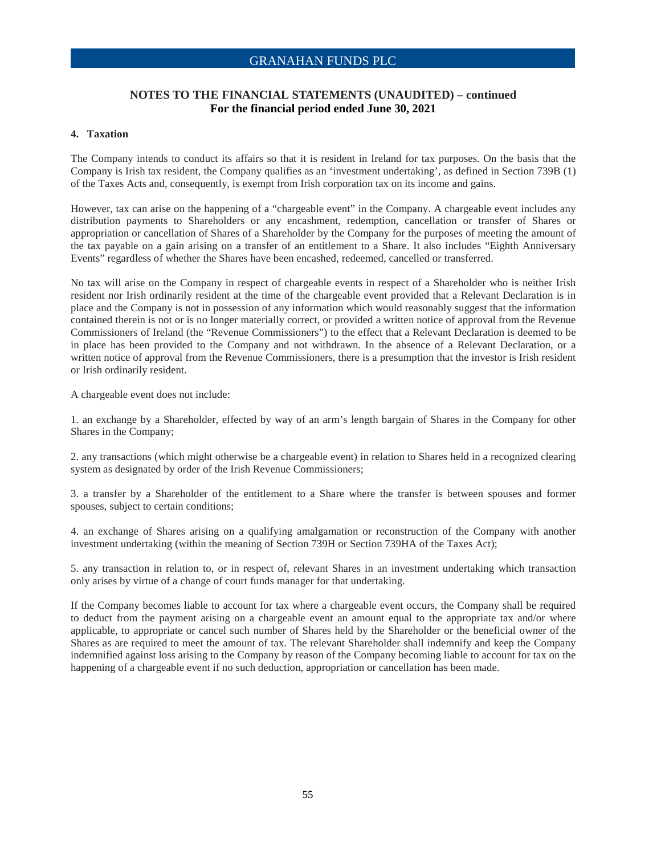### **NOTES TO THE FINANCIAL STATEMENTS (UNAUDITED) – continued For the financial period ended June 30, 2021**

#### **4. Taxation**

The Company intends to conduct its affairs so that it is resident in Ireland for tax purposes. On the basis that the Company is Irish tax resident, the Company qualifies as an 'investment undertaking', as defined in Section 739B (1) of the Taxes Acts and, consequently, is exempt from Irish corporation tax on its income and gains.

However, tax can arise on the happening of a "chargeable event" in the Company. A chargeable event includes any distribution payments to Shareholders or any encashment, redemption, cancellation or transfer of Shares or appropriation or cancellation of Shares of a Shareholder by the Company for the purposes of meeting the amount of the tax payable on a gain arising on a transfer of an entitlement to a Share. It also includes "Eighth Anniversary Events" regardless of whether the Shares have been encashed, redeemed, cancelled or transferred.

No tax will arise on the Company in respect of chargeable events in respect of a Shareholder who is neither Irish resident nor Irish ordinarily resident at the time of the chargeable event provided that a Relevant Declaration is in place and the Company is not in possession of any information which would reasonably suggest that the information contained therein is not or is no longer materially correct, or provided a written notice of approval from the Revenue Commissioners of Ireland (the "Revenue Commissioners") to the effect that a Relevant Declaration is deemed to be in place has been provided to the Company and not withdrawn. In the absence of a Relevant Declaration, or a written notice of approval from the Revenue Commissioners, there is a presumption that the investor is Irish resident or Irish ordinarily resident.

A chargeable event does not include:

1. an exchange by a Shareholder, effected by way of an arm's length bargain of Shares in the Company for other Shares in the Company;

2. any transactions (which might otherwise be a chargeable event) in relation to Shares held in a recognized clearing system as designated by order of the Irish Revenue Commissioners;

3. a transfer by a Shareholder of the entitlement to a Share where the transfer is between spouses and former spouses, subject to certain conditions;

4. an exchange of Shares arising on a qualifying amalgamation or reconstruction of the Company with another investment undertaking (within the meaning of Section 739H or Section 739HA of the Taxes Act);

5. any transaction in relation to, or in respect of, relevant Shares in an investment undertaking which transaction only arises by virtue of a change of court funds manager for that undertaking.

If the Company becomes liable to account for tax where a chargeable event occurs, the Company shall be required to deduct from the payment arising on a chargeable event an amount equal to the appropriate tax and/or where applicable, to appropriate or cancel such number of Shares held by the Shareholder or the beneficial owner of the Shares as are required to meet the amount of tax. The relevant Shareholder shall indemnify and keep the Company indemnified against loss arising to the Company by reason of the Company becoming liable to account for tax on the happening of a chargeable event if no such deduction, appropriation or cancellation has been made.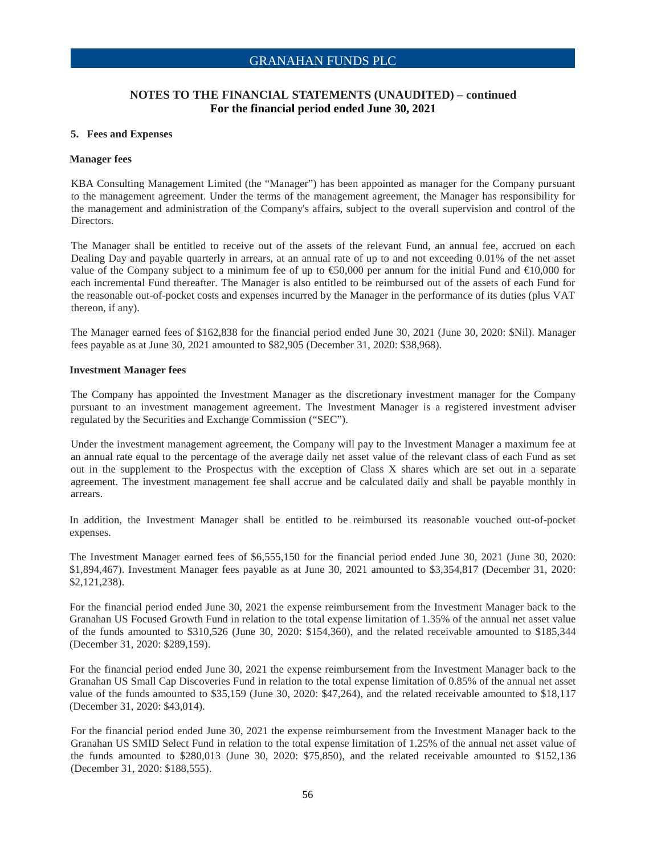### **NOTES TO THE FINANCIAL STATEMENTS (UNAUDITED) – continued For the financial period ended June 30, 2021**

#### **5. Fees and Expenses**

#### **Manager fees**

KBA Consulting Management Limited (the "Manager") has been appointed as manager for the Company pursuant to the management agreement. Under the terms of the management agreement, the Manager has responsibility for the management and administration of the Company's affairs, subject to the overall supervision and control of the Directors.

The Manager shall be entitled to receive out of the assets of the relevant Fund, an annual fee, accrued on each Dealing Day and payable quarterly in arrears, at an annual rate of up to and not exceeding 0.01% of the net asset value of the Company subject to a minimum fee of up to  $\epsilon$ 50,000 per annum for the initial Fund and  $\epsilon$ 10,000 for each incremental Fund thereafter. The Manager is also entitled to be reimbursed out of the assets of each Fund for the reasonable out-of-pocket costs and expenses incurred by the Manager in the performance of its duties (plus VAT thereon, if any).

The Manager earned fees of \$162,838 for the financial period ended June 30, 2021 (June 30, 2020: \$Nil). Manager fees payable as at June 30, 2021 amounted to \$82,905 (December 31, 2020: \$38,968).

#### **Investment Manager fees**

The Company has appointed the Investment Manager as the discretionary investment manager for the Company pursuant to an investment management agreement. The Investment Manager is a registered investment adviser regulated by the Securities and Exchange Commission ("SEC").

Under the investment management agreement, the Company will pay to the Investment Manager a maximum fee at an annual rate equal to the percentage of the average daily net asset value of the relevant class of each Fund as set out in the supplement to the Prospectus with the exception of Class X shares which are set out in a separate agreement. The investment management fee shall accrue and be calculated daily and shall be payable monthly in arrears.

In addition, the Investment Manager shall be entitled to be reimbursed its reasonable vouched out-of-pocket expenses.

The Investment Manager earned fees of \$6,555,150 for the financial period ended June 30, 2021 (June 30, 2020: \$1,894,467). Investment Manager fees payable as at June 30, 2021 amounted to \$3,354,817 (December 31, 2020: \$2,121,238).

For the financial period ended June 30, 2021 the expense reimbursement from the Investment Manager back to the Granahan US Focused Growth Fund in relation to the total expense limitation of 1.35% of the annual net asset value of the funds amounted to \$310,526 (June 30, 2020: \$154,360), and the related receivable amounted to \$185,344 (December 31, 2020: \$289,159).

For the financial period ended June 30, 2021 the expense reimbursement from the Investment Manager back to the Granahan US Small Cap Discoveries Fund in relation to the total expense limitation of 0.85% of the annual net asset value of the funds amounted to \$35,159 (June 30, 2020: \$47,264), and the related receivable amounted to \$18,117 (December 31, 2020: \$43,014).

For the financial period ended June 30, 2021 the expense reimbursement from the Investment Manager back to the Granahan US SMID Select Fund in relation to the total expense limitation of 1.25% of the annual net asset value of the funds amounted to \$280,013 (June 30, 2020: \$75,850), and the related receivable amounted to \$152,136 (December 31, 2020: \$188,555).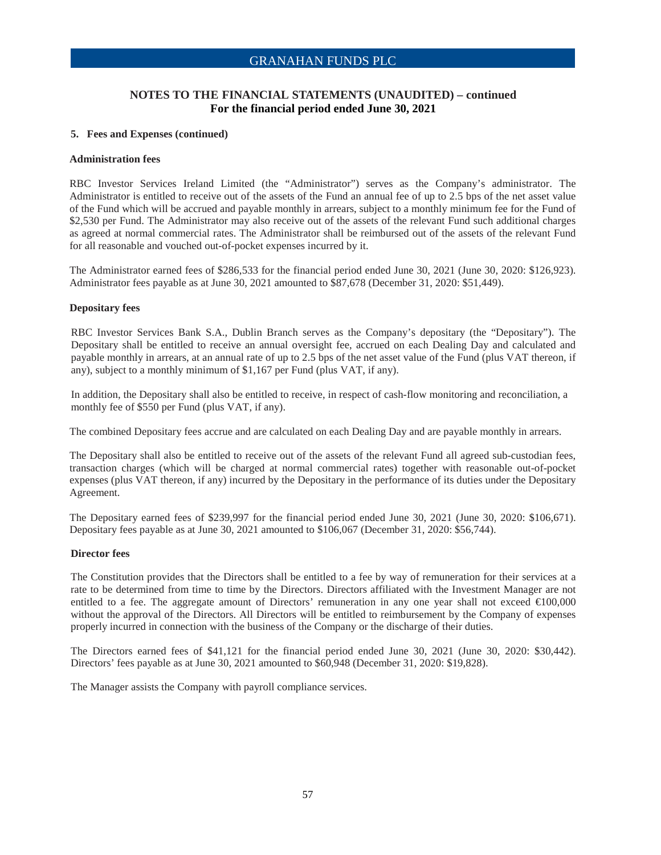### **NOTES TO THE FINANCIAL STATEMENTS (UNAUDITED) – continued For the financial period ended June 30, 2021**

### **5. Fees and Expenses (continued)**

#### **Administration fees**

RBC Investor Services Ireland Limited (the "Administrator") serves as the Company's administrator. The Administrator is entitled to receive out of the assets of the Fund an annual fee of up to 2.5 bps of the net asset value of the Fund which will be accrued and payable monthly in arrears, subject to a monthly minimum fee for the Fund of \$2,530 per Fund. The Administrator may also receive out of the assets of the relevant Fund such additional charges as agreed at normal commercial rates. The Administrator shall be reimbursed out of the assets of the relevant Fund for all reasonable and vouched out-of-pocket expenses incurred by it.

The Administrator earned fees of \$286,533 for the financial period ended June 30, 2021 (June 30, 2020: \$126,923). Administrator fees payable as at June 30, 2021 amounted to \$87,678 (December 31, 2020: \$51,449).

#### **Depositary fees**

RBC Investor Services Bank S.A., Dublin Branch serves as the Company's depositary (the "Depositary"). The Depositary shall be entitled to receive an annual oversight fee, accrued on each Dealing Day and calculated and payable monthly in arrears, at an annual rate of up to 2.5 bps of the net asset value of the Fund (plus VAT thereon, if any), subject to a monthly minimum of \$1,167 per Fund (plus VAT, if any).

In addition, the Depositary shall also be entitled to receive, in respect of cash-flow monitoring and reconciliation, a monthly fee of \$550 per Fund (plus VAT, if any).

The combined Depositary fees accrue and are calculated on each Dealing Day and are payable monthly in arrears.

The Depositary shall also be entitled to receive out of the assets of the relevant Fund all agreed sub-custodian fees, transaction charges (which will be charged at normal commercial rates) together with reasonable out-of-pocket expenses (plus VAT thereon, if any) incurred by the Depositary in the performance of its duties under the Depositary Agreement.

The Depositary earned fees of \$239,997 for the financial period ended June 30, 2021 (June 30, 2020: \$106,671). Depositary fees payable as at June 30, 2021 amounted to \$106,067 (December 31, 2020: \$56,744).

#### **Director fees**

The Constitution provides that the Directors shall be entitled to a fee by way of remuneration for their services at a rate to be determined from time to time by the Directors. Directors affiliated with the Investment Manager are not entitled to a fee. The aggregate amount of Directors' remuneration in any one year shall not exceed €100,000 without the approval of the Directors. All Directors will be entitled to reimbursement by the Company of expenses properly incurred in connection with the business of the Company or the discharge of their duties.

The Directors earned fees of \$41,121 for the financial period ended June 30, 2021 (June 30, 2020: \$30,442). Directors' fees payable as at June 30, 2021 amounted to \$60,948 (December 31, 2020: \$19,828).

The Manager assists the Company with payroll compliance services.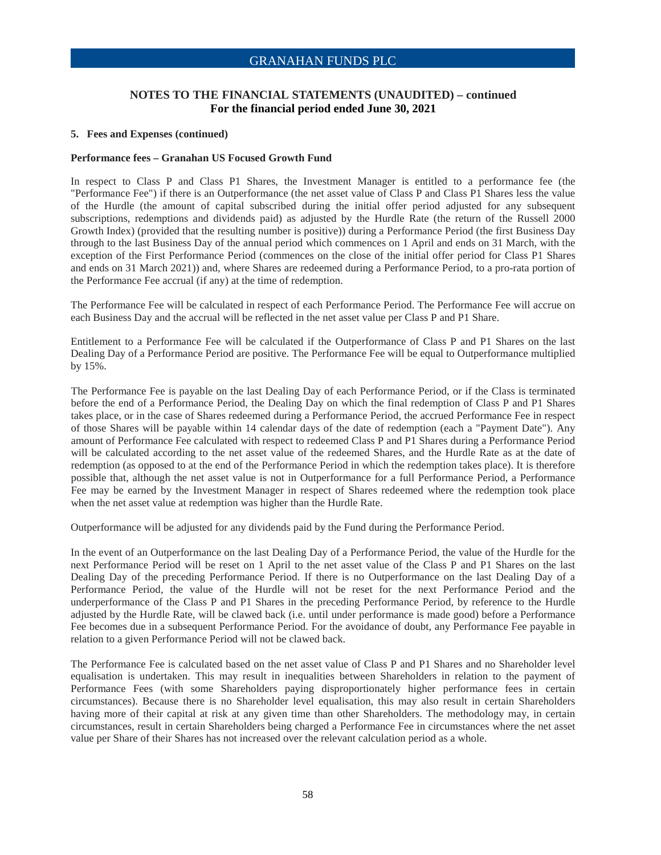### **NOTES TO THE FINANCIAL STATEMENTS (UNAUDITED) – continued For the financial period ended June 30, 2021**

#### **5. Fees and Expenses (continued)**

#### **Performance fees – Granahan US Focused Growth Fund**

In respect to Class P and Class P1 Shares, the Investment Manager is entitled to a performance fee (the "Performance Fee") if there is an Outperformance (the net asset value of Class P and Class P1 Shares less the value of the Hurdle (the amount of capital subscribed during the initial offer period adjusted for any subsequent subscriptions, redemptions and dividends paid) as adjusted by the Hurdle Rate (the return of the Russell 2000 Growth Index) (provided that the resulting number is positive)) during a Performance Period (the first Business Day through to the last Business Day of the annual period which commences on 1 April and ends on 31 March, with the exception of the First Performance Period (commences on the close of the initial offer period for Class P1 Shares and ends on 31 March 2021)) and, where Shares are redeemed during a Performance Period, to a pro-rata portion of the Performance Fee accrual (if any) at the time of redemption.

The Performance Fee will be calculated in respect of each Performance Period. The Performance Fee will accrue on each Business Day and the accrual will be reflected in the net asset value per Class P and P1 Share.

Entitlement to a Performance Fee will be calculated if the Outperformance of Class P and P1 Shares on the last Dealing Day of a Performance Period are positive. The Performance Fee will be equal to Outperformance multiplied by 15%.

The Performance Fee is payable on the last Dealing Day of each Performance Period, or if the Class is terminated before the end of a Performance Period, the Dealing Day on which the final redemption of Class P and P1 Shares takes place, or in the case of Shares redeemed during a Performance Period, the accrued Performance Fee in respect of those Shares will be payable within 14 calendar days of the date of redemption (each a "Payment Date"). Any amount of Performance Fee calculated with respect to redeemed Class P and P1 Shares during a Performance Period will be calculated according to the net asset value of the redeemed Shares, and the Hurdle Rate as at the date of redemption (as opposed to at the end of the Performance Period in which the redemption takes place). It is therefore possible that, although the net asset value is not in Outperformance for a full Performance Period, a Performance Fee may be earned by the Investment Manager in respect of Shares redeemed where the redemption took place when the net asset value at redemption was higher than the Hurdle Rate.

Outperformance will be adjusted for any dividends paid by the Fund during the Performance Period.

In the event of an Outperformance on the last Dealing Day of a Performance Period, the value of the Hurdle for the next Performance Period will be reset on 1 April to the net asset value of the Class P and P1 Shares on the last Dealing Day of the preceding Performance Period. If there is no Outperformance on the last Dealing Day of a Performance Period, the value of the Hurdle will not be reset for the next Performance Period and the underperformance of the Class P and P1 Shares in the preceding Performance Period, by reference to the Hurdle adjusted by the Hurdle Rate, will be clawed back (i.e. until under performance is made good) before a Performance Fee becomes due in a subsequent Performance Period. For the avoidance of doubt, any Performance Fee payable in relation to a given Performance Period will not be clawed back.

The Performance Fee is calculated based on the net asset value of Class P and P1 Shares and no Shareholder level equalisation is undertaken. This may result in inequalities between Shareholders in relation to the payment of Performance Fees (with some Shareholders paying disproportionately higher performance fees in certain circumstances). Because there is no Shareholder level equalisation, this may also result in certain Shareholders having more of their capital at risk at any given time than other Shareholders. The methodology may, in certain circumstances, result in certain Shareholders being charged a Performance Fee in circumstances where the net asset value per Share of their Shares has not increased over the relevant calculation period as a whole.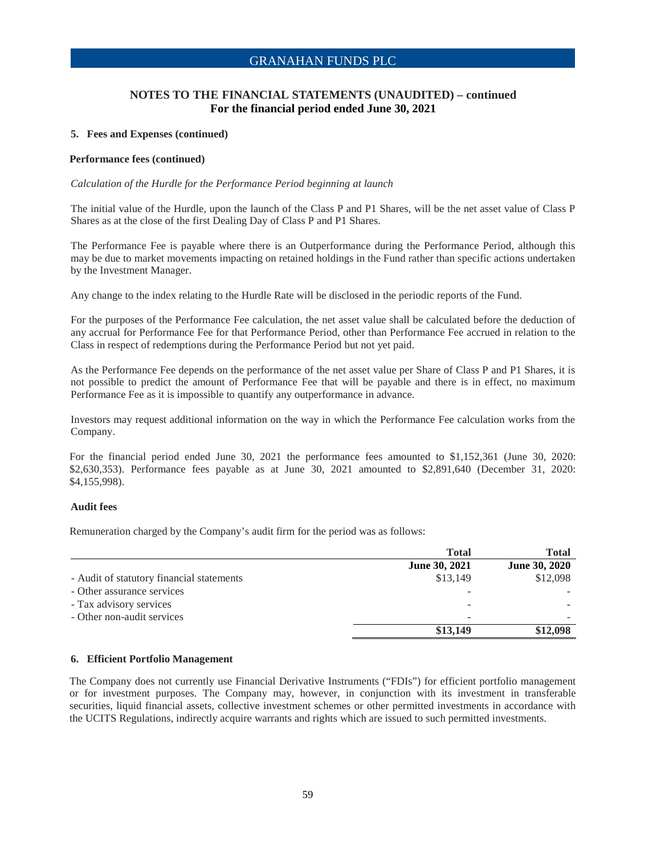### **NOTES TO THE FINANCIAL STATEMENTS (UNAUDITED) – continued For the financial period ended June 30, 2021**

#### **5. Fees and Expenses (continued)**

#### **Performance fees (continued)**

#### *Calculation of the Hurdle for the Performance Period beginning at launch*

The initial value of the Hurdle, upon the launch of the Class P and P1 Shares, will be the net asset value of Class P Shares as at the close of the first Dealing Day of Class P and P1 Shares.

The Performance Fee is payable where there is an Outperformance during the Performance Period, although this may be due to market movements impacting on retained holdings in the Fund rather than specific actions undertaken by the Investment Manager.

Any change to the index relating to the Hurdle Rate will be disclosed in the periodic reports of the Fund.

For the purposes of the Performance Fee calculation, the net asset value shall be calculated before the deduction of any accrual for Performance Fee for that Performance Period, other than Performance Fee accrued in relation to the Class in respect of redemptions during the Performance Period but not yet paid.

As the Performance Fee depends on the performance of the net asset value per Share of Class P and P1 Shares, it is not possible to predict the amount of Performance Fee that will be payable and there is in effect, no maximum Performance Fee as it is impossible to quantify any outperformance in advance.

Investors may request additional information on the way in which the Performance Fee calculation works from the Company.

For the financial period ended June 30, 2021 the performance fees amounted to \$1,152,361 (June 30, 2020: \$2,630,353). Performance fees payable as at June 30, 2021 amounted to \$2,891,640 (December 31, 2020: \$4,155,998).

#### **Audit fees**

Remuneration charged by the Company's audit firm for the period was as follows:

|                                           | <b>Total</b>         | <b>Total</b>         |
|-------------------------------------------|----------------------|----------------------|
|                                           | <b>June 30, 2021</b> | <b>June 30, 2020</b> |
| - Audit of statutory financial statements | \$13,149             | \$12,098             |
| - Other assurance services                |                      |                      |
| - Tax advisory services                   |                      |                      |
| - Other non-audit services                | ۰                    |                      |
|                                           | \$13,149             | \$12,098             |

#### **6. Efficient Portfolio Management**

The Company does not currently use Financial Derivative Instruments ("FDIs") for efficient portfolio management or for investment purposes. The Company may, however, in conjunction with its investment in transferable securities, liquid financial assets, collective investment schemes or other permitted investments in accordance with the UCITS Regulations, indirectly acquire warrants and rights which are issued to such permitted investments.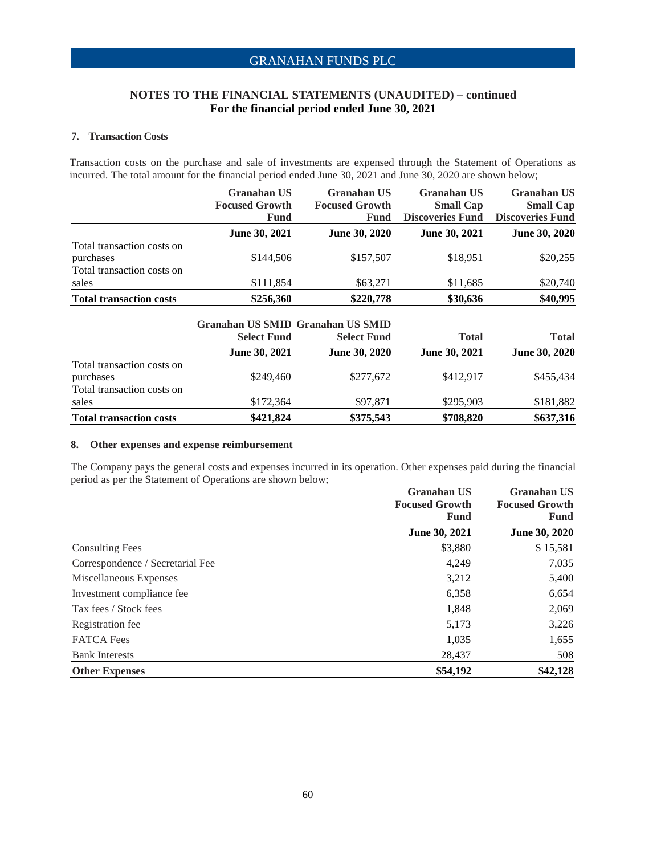### **NOTES TO THE FINANCIAL STATEMENTS (UNAUDITED) – continued For the financial period ended June 30, 2021**

### **7. Transaction Costs**

Transaction costs on the purchase and sale of investments are expensed through the Statement of Operations as incurred. The total amount for the financial period ended June 30, 2021 and June 30, 2020 are shown below;

|                                | <b>Granahan US</b><br><b>Focused Growth</b><br>Fund | <b>Granahan US</b><br><b>Focused Growth</b><br>Fund | <b>Granahan US</b><br><b>Small Cap</b><br><b>Discoveries Fund</b> | <b>Granahan US</b><br><b>Small Cap</b><br><b>Discoveries Fund</b> |
|--------------------------------|-----------------------------------------------------|-----------------------------------------------------|-------------------------------------------------------------------|-------------------------------------------------------------------|
|                                | June 30, 2021                                       | June 30, 2020                                       | June 30, 2021                                                     | June 30, 2020                                                     |
| Total transaction costs on     |                                                     |                                                     |                                                                   |                                                                   |
| purchases                      | \$144,506                                           | \$157,507                                           | \$18,951                                                          | \$20,255                                                          |
| Total transaction costs on     |                                                     |                                                     |                                                                   |                                                                   |
| sales                          | \$111,854                                           | \$63,271                                            | \$11,685                                                          | \$20,740                                                          |
| <b>Total transaction costs</b> | \$256,360                                           | \$220,778                                           | \$30,636                                                          | \$40,995                                                          |

|                                         | Granahan US SMID Granahan US SMID |                      |                      |                      |
|-----------------------------------------|-----------------------------------|----------------------|----------------------|----------------------|
|                                         | <b>Select Fund</b>                | <b>Select Fund</b>   | <b>Total</b>         | <b>Total</b>         |
|                                         | June 30, 2021                     | <b>June 30, 2020</b> | <b>June 30, 2021</b> | <b>June 30, 2020</b> |
| Total transaction costs on<br>purchases | \$249,460                         | \$277,672            | \$412.917            | \$455,434            |
| Total transaction costs on              |                                   |                      |                      |                      |
| sales                                   | \$172,364                         | \$97,871             | \$295,903            | \$181,882            |
| <b>Total transaction costs</b>          | \$421,824                         | \$375,543            | \$708,820            | \$637,316            |

### **8. Other expenses and expense reimbursement**

The Company pays the general costs and expenses incurred in its operation. Other expenses paid during the financial period as per the Statement of Operations are shown below;

|                                  | <b>Granahan US</b>    | <b>Granahan US</b>    |  |
|----------------------------------|-----------------------|-----------------------|--|
|                                  | <b>Focused Growth</b> | <b>Focused Growth</b> |  |
|                                  | Fund                  | Fund                  |  |
|                                  | <b>June 30, 2021</b>  | June 30, 2020         |  |
| <b>Consulting Fees</b>           | \$3,880               | \$15,581              |  |
| Correspondence / Secretarial Fee | 4,249                 | 7,035                 |  |
| Miscellaneous Expenses           | 3,212                 | 5,400                 |  |
| Investment compliance fee        | 6,358                 | 6,654                 |  |
| Tax fees / Stock fees            | 1,848                 | 2,069                 |  |
| Registration fee                 | 5,173                 | 3,226                 |  |
| <b>FATCA</b> Fees                | 1,035                 | 1,655                 |  |
| <b>Bank Interests</b>            | 28,437                | 508                   |  |
| <b>Other Expenses</b>            | \$54,192              | \$42,128              |  |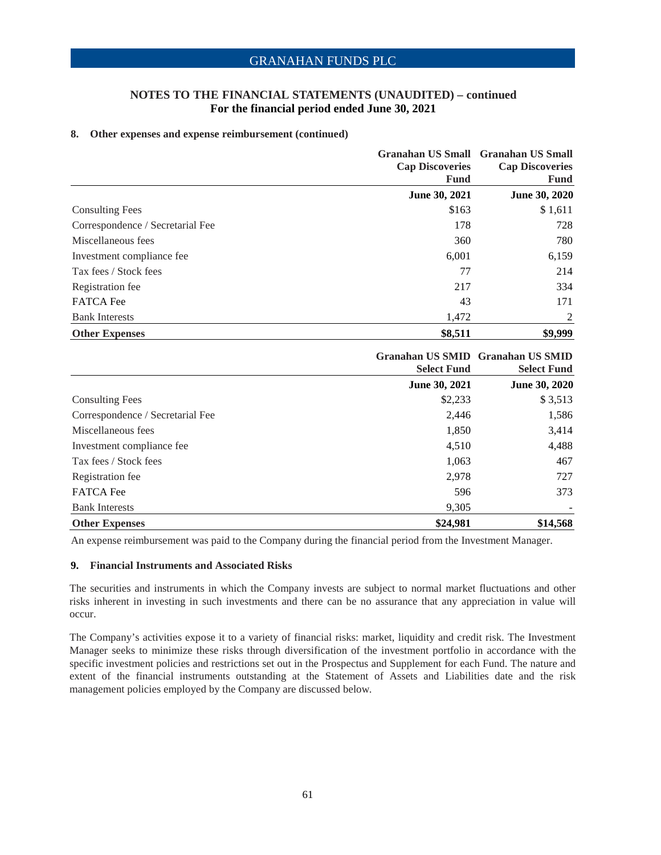### **NOTES TO THE FINANCIAL STATEMENTS (UNAUDITED) – continued For the financial period ended June 30, 2021**

#### **8. Other expenses and expense reimbursement (continued)**

|                                  | <b>Cap Discoveries</b><br><b>Fund</b> | Granahan US Small Granahan US Small<br><b>Cap Discoveries</b><br><b>Fund</b> |
|----------------------------------|---------------------------------------|------------------------------------------------------------------------------|
|                                  | June 30, 2021                         | June 30, 2020                                                                |
| <b>Consulting Fees</b>           | \$163                                 | \$1,611                                                                      |
| Correspondence / Secretarial Fee | 178                                   | 728                                                                          |
| Miscellaneous fees               | 360                                   | 780                                                                          |
| Investment compliance fee        | 6,001                                 | 6,159                                                                        |
| Tax fees / Stock fees            | 77                                    | 214                                                                          |
| Registration fee                 | 217                                   | 334                                                                          |
| <b>FATCA</b> Fee                 | 43                                    | 171                                                                          |
| <b>Bank Interests</b>            | 1,472                                 | 2                                                                            |
| <b>Other Expenses</b>            | \$8,511                               | \$9,999                                                                      |

|                                  | <b>Select Fund</b> | Granahan US SMID Granahan US SMID<br><b>Select Fund</b> |
|----------------------------------|--------------------|---------------------------------------------------------|
|                                  | June 30, 2021      | June 30, 2020                                           |
| <b>Consulting Fees</b>           | \$2,233            | \$3,513                                                 |
| Correspondence / Secretarial Fee | 2,446              | 1,586                                                   |
| Miscellaneous fees               | 1,850              | 3,414                                                   |
| Investment compliance fee        | 4,510              | 4,488                                                   |
| Tax fees / Stock fees            | 1,063              | 467                                                     |
| Registration fee                 | 2,978              | 727                                                     |
| <b>FATCA</b> Fee                 | 596                | 373                                                     |
| <b>Bank Interests</b>            | 9,305              |                                                         |
| <b>Other Expenses</b>            | \$24,981           | \$14,568                                                |

An expense reimbursement was paid to the Company during the financial period from the Investment Manager.

### **9. Financial Instruments and Associated Risks**

The securities and instruments in which the Company invests are subject to normal market fluctuations and other risks inherent in investing in such investments and there can be no assurance that any appreciation in value will occur.

The Company's activities expose it to a variety of financial risks: market, liquidity and credit risk. The Investment Manager seeks to minimize these risks through diversification of the investment portfolio in accordance with the specific investment policies and restrictions set out in the Prospectus and Supplement for each Fund. The nature and extent of the financial instruments outstanding at the Statement of Assets and Liabilities date and the risk management policies employed by the Company are discussed below.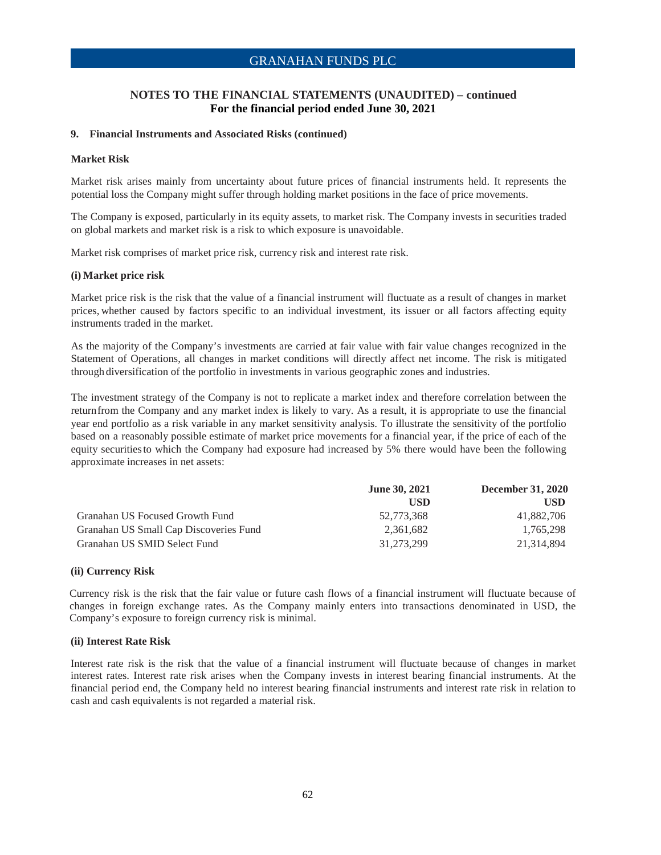### **NOTES TO THE FINANCIAL STATEMENTS (UNAUDITED) – continued For the financial period ended June 30, 2021**

#### **9. Financial Instruments and Associated Risks (continued)**

#### **Market Risk**

Market risk arises mainly from uncertainty about future prices of financial instruments held. It represents the potential loss the Company might suffer through holding market positions in the face of price movements.

The Company is exposed, particularly in its equity assets, to market risk. The Company invests in securities traded on global markets and market risk is a risk to which exposure is unavoidable.

Market risk comprises of market price risk, currency risk and interest rate risk.

#### **(i) Market price risk**

Market price risk is the risk that the value of a financial instrument will fluctuate as a result of changes in market prices, whether caused by factors specific to an individual investment, its issuer or all factors affecting equity instruments traded in the market.

As the majority of the Company's investments are carried at fair value with fair value changes recognized in the Statement of Operations, all changes in market conditions will directly affect net income. The risk is mitigated through diversification of the portfolio in investments in various geographic zones and industries.

The investment strategy of the Company is not to replicate a market index and therefore correlation between the return from the Company and any market index is likely to vary. As a result, it is appropriate to use the financial year end portfolio as a risk variable in any market sensitivity analysis. To illustrate the sensitivity of the portfolio based on a reasonably possible estimate of market price movements for a financial year, if the price of each of the equity securities to which the Company had exposure had increased by 5% there would have been the following approximate increases in net assets:

|                                        | <b>June 30, 2021</b> | <b>December 31, 2020</b> |
|----------------------------------------|----------------------|--------------------------|
|                                        | <b>USD</b>           | <b>USD</b>               |
| Granahan US Focused Growth Fund        | 52.773.368           | 41,882,706               |
| Granahan US Small Cap Discoveries Fund | 2.361.682            | 1.765.298                |
| Granahan US SMID Select Fund           | 31,273,299           | 21.314.894               |

#### **(ii) Currency Risk**

Currency risk is the risk that the fair value or future cash flows of a financial instrument will fluctuate because of changes in foreign exchange rates. As the Company mainly enters into transactions denominated in USD, the Company's exposure to foreign currency risk is minimal.

#### **(ii) Interest Rate Risk**

Interest rate risk is the risk that the value of a financial instrument will fluctuate because of changes in market interest rates. Interest rate risk arises when the Company invests in interest bearing financial instruments. At the financial period end, the Company held no interest bearing financial instruments and interest rate risk in relation to cash and cash equivalents is not regarded a material risk.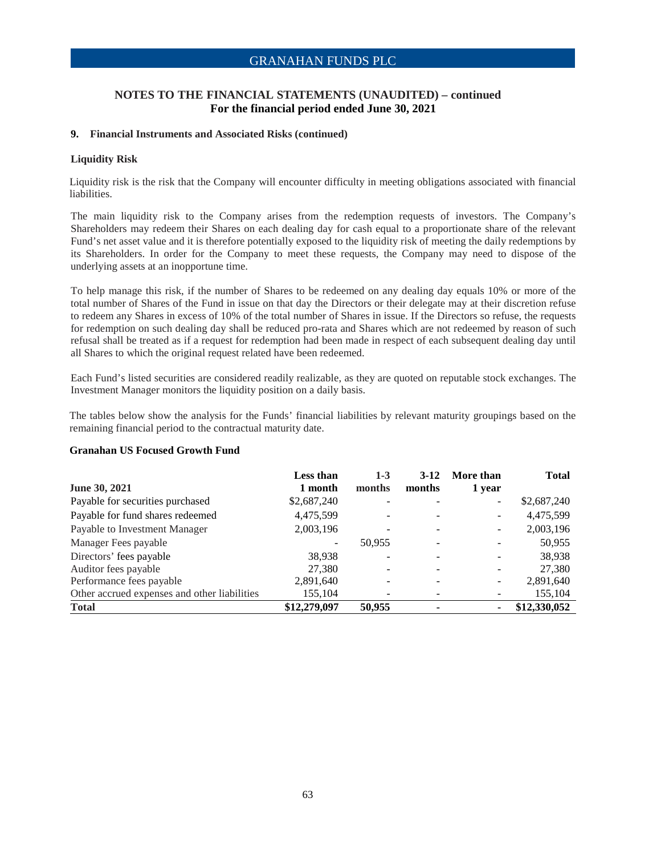### **NOTES TO THE FINANCIAL STATEMENTS (UNAUDITED) – continued For the financial period ended June 30, 2021**

#### **9. Financial Instruments and Associated Risks (continued)**

### **Liquidity Risk**

Liquidity risk is the risk that the Company will encounter difficulty in meeting obligations associated with financial liabilities.

The main liquidity risk to the Company arises from the redemption requests of investors. The Company's Shareholders may redeem their Shares on each dealing day for cash equal to a proportionate share of the relevant Fund's net asset value and it is therefore potentially exposed to the liquidity risk of meeting the daily redemptions by its Shareholders. In order for the Company to meet these requests, the Company may need to dispose of the underlying assets at an inopportune time.

To help manage this risk, if the number of Shares to be redeemed on any dealing day equals 10% or more of the total number of Shares of the Fund in issue on that day the Directors or their delegate may at their discretion refuse to redeem any Shares in excess of 10% of the total number of Shares in issue. If the Directors so refuse, the requests for redemption on such dealing day shall be reduced pro-rata and Shares which are not redeemed by reason of such refusal shall be treated as if a request for redemption had been made in respect of each subsequent dealing day until all Shares to which the original request related have been redeemed.

Each Fund's listed securities are considered readily realizable, as they are quoted on reputable stock exchanges. The Investment Manager monitors the liquidity position on a daily basis.

The tables below show the analysis for the Funds' financial liabilities by relevant maturity groupings based on the remaining financial period to the contractual maturity date.

#### **Granahan US Focused Growth Fund**

|                                              | Less than    | $1 - 3$ | $3-12$ | More than                | <b>Total</b> |
|----------------------------------------------|--------------|---------|--------|--------------------------|--------------|
| June 30, 2021                                | 1 month      | months  | months | 1 year                   |              |
| Payable for securities purchased             | \$2,687,240  |         |        | $\overline{\phantom{a}}$ | \$2,687,240  |
| Payable for fund shares redeemed             | 4,475,599    |         |        |                          | 4,475,599    |
| Payable to Investment Manager                | 2,003,196    |         |        | -                        | 2,003,196    |
| Manager Fees payable                         | ÷            | 50.955  |        |                          | 50,955       |
| Directors' fees payable                      | 38,938       |         |        |                          | 38,938       |
| Auditor fees payable                         | 27,380       |         |        |                          | 27,380       |
| Performance fees payable                     | 2,891,640    |         |        |                          | 2,891,640    |
| Other accrued expenses and other liabilities | 155,104      |         |        |                          | 155,104      |
| <b>Total</b>                                 | \$12,279,097 | 50,955  | ٠      |                          | \$12,330,052 |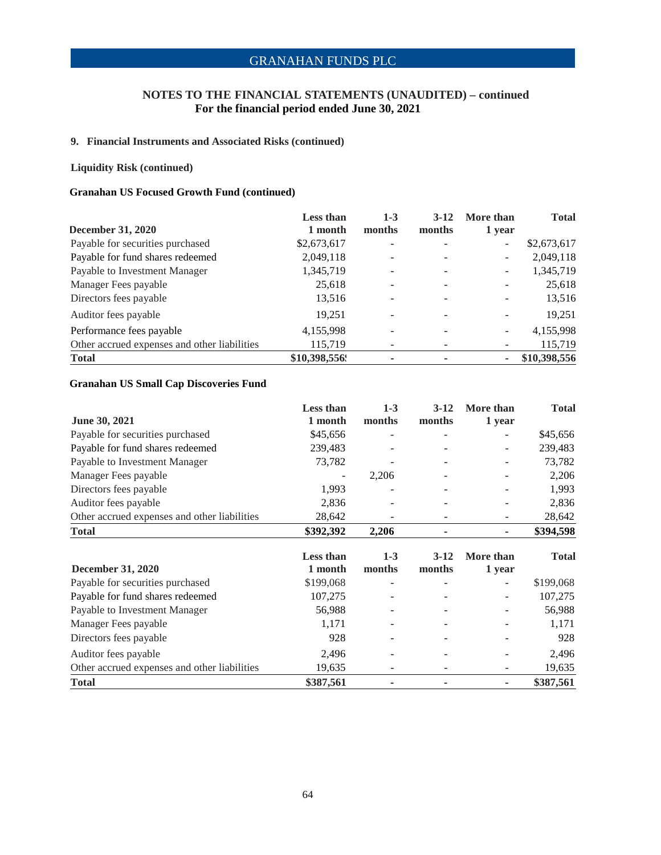### **NOTES TO THE FINANCIAL STATEMENTS (UNAUDITED) – continued For the financial period ended June 30, 2021**

### **9. Financial Instruments and Associated Risks (continued)**

### **Liquidity Risk (continued)**

### **Granahan US Focused Growth Fund (continued)**

|                                              | <b>Less than</b> | $1 - 3$                  | $3-12$ | More than                | <b>Total</b> |
|----------------------------------------------|------------------|--------------------------|--------|--------------------------|--------------|
| December 31, 2020                            | 1 month          | months                   | months | 1 year                   |              |
| Payable for securities purchased             | \$2,673,617      | ۰                        |        | $\overline{\phantom{0}}$ | \$2,673,617  |
| Payable for fund shares redeemed             | 2,049,118        | -                        |        | $\overline{\phantom{a}}$ | 2,049,118    |
| Payable to Investment Manager                | 1,345,719        | $\overline{\phantom{m}}$ |        | $\overline{\phantom{a}}$ | 1,345,719    |
| Manager Fees payable                         | 25,618           | ۰                        |        |                          | 25,618       |
| Directors fees payable                       | 13,516           | ۰                        |        | -                        | 13,516       |
| Auditor fees payable                         | 19,251           | $\overline{\phantom{a}}$ |        | $\overline{\phantom{a}}$ | 19,251       |
| Performance fees payable                     | 4,155,998        | $\overline{\phantom{a}}$ |        | $\overline{\phantom{a}}$ | 4,155,998    |
| Other accrued expenses and other liabilities | 115,719          | ۰                        |        |                          | 115,719      |
| <b>Total</b>                                 | \$10,398,556.    | ۰                        |        | ۰                        | \$10,398,556 |

### **Granahan US Small Cap Discoveries Fund**

|                                              | <b>Less than</b> | $1 - 3$                  | $3-12$                   | More than      | <b>Total</b> |
|----------------------------------------------|------------------|--------------------------|--------------------------|----------------|--------------|
| June 30, 2021                                | 1 month          | months                   | months                   | 1 year         |              |
| Payable for securities purchased             | \$45,656         | $\qquad \qquad -$        | $\qquad \qquad -$        |                | \$45,656     |
| Payable for fund shares redeemed             | 239,483          |                          |                          | -              | 239,483      |
| Payable to Investment Manager                | 73,782           |                          |                          |                | 73,782       |
| Manager Fees payable                         |                  | 2,206                    |                          |                | 2,206        |
| Directors fees payable                       | 1,993            |                          |                          |                | 1,993        |
| Auditor fees payable                         | 2,836            | $\overline{\phantom{0}}$ | $\overline{\phantom{a}}$ |                | 2,836        |
| Other accrued expenses and other liabilities | 28,642           |                          |                          |                | 28,642       |
| <b>Total</b>                                 | \$392,392        | 2,206                    |                          | $\blacksquare$ | \$394,598    |
|                                              |                  |                          |                          |                |              |
|                                              |                  |                          |                          |                |              |
|                                              | Less than        | $1-3$                    | $3 - 12$                 | More than      | <b>Total</b> |
| <b>December 31, 2020</b>                     | 1 month          | months                   | months                   | 1 year         |              |
| Payable for securities purchased             | \$199,068        |                          |                          |                | \$199,068    |
| Payable for fund shares redeemed             | 107,275          |                          |                          |                | 107,275      |
| Payable to Investment Manager                | 56,988           |                          |                          |                | 56,988       |
| Manager Fees payable                         | 1,171            |                          |                          |                | 1,171        |
| Directors fees payable                       | 928              |                          |                          |                | 928          |
| Auditor fees payable                         | 2,496            | ۰                        | $\overline{\phantom{a}}$ |                | 2,496        |
| Other accrued expenses and other liabilities | 19,635           |                          |                          |                | 19,635       |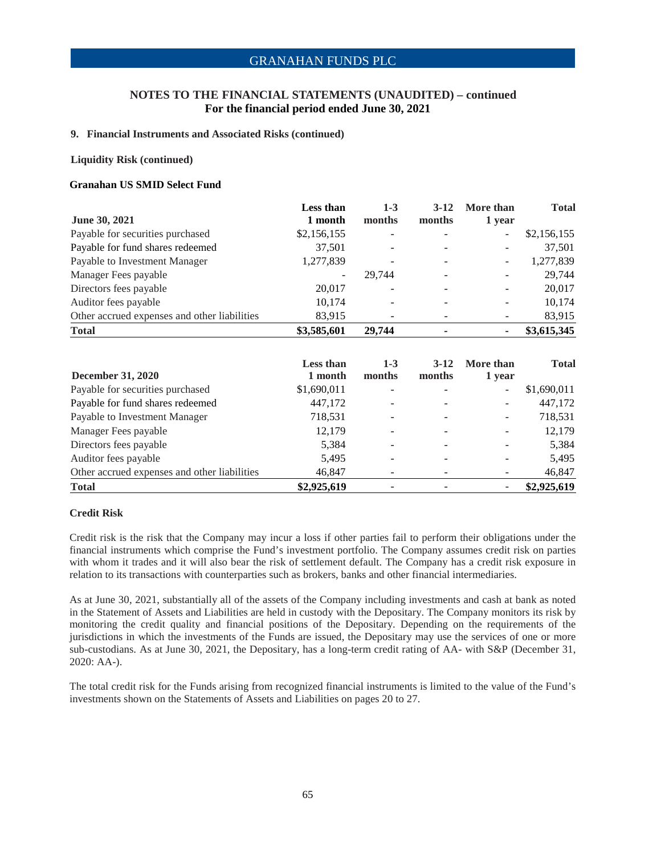### **NOTES TO THE FINANCIAL STATEMENTS (UNAUDITED) – continued For the financial period ended June 30, 2021**

#### **9. Financial Instruments and Associated Risks (continued)**

#### **Liquidity Risk (continued)**

### **Granahan US SMID Select Fund**

| June 30, 2021                                | Less than<br>1 month     | $1 - 3$<br>months | $3-12$<br>months         | More than<br>1 year      | <b>Total</b> |
|----------------------------------------------|--------------------------|-------------------|--------------------------|--------------------------|--------------|
| Payable for securities purchased             | \$2,156,155              |                   |                          | -                        | \$2,156,155  |
| Payable for fund shares redeemed             | 37,501                   | -                 | $\overline{\phantom{0}}$ | $\overline{\phantom{a}}$ | 37,501       |
| Payable to Investment Manager                | 1,277,839                | -                 | $\overline{\phantom{a}}$ | $\overline{\phantom{a}}$ | 1,277,839    |
| Manager Fees payable                         | $\overline{\phantom{a}}$ | 29.744            | $\overline{\phantom{a}}$ | ٠                        | 29,744       |
| Directors fees payable                       | 20,017                   |                   |                          | $\overline{\phantom{a}}$ | 20,017       |
| Auditor fees payable                         | 10,174                   |                   | -                        | $\overline{\phantom{a}}$ | 10,174       |
| Other accrued expenses and other liabilities | 83,915                   |                   |                          | -                        | 83,915       |
| <b>Total</b>                                 | \$3,585,601              | 29,744            |                          | ۰                        | \$3,615,345  |

|                                              | <b>Less than</b> | $1 - 3$ | $3-12$                   | More than                | <b>Total</b> |
|----------------------------------------------|------------------|---------|--------------------------|--------------------------|--------------|
| <b>December 31, 2020</b>                     | 1 month          | months  | months                   | 1 year                   |              |
| Payable for securities purchased             | \$1,690,011      |         |                          | $\overline{\phantom{a}}$ | \$1,690,011  |
| Payable for fund shares redeemed             | 447,172          |         | $\overline{\phantom{a}}$ | $\overline{\phantom{a}}$ | 447,172      |
| Payable to Investment Manager                | 718,531          |         | $\overline{\phantom{a}}$ | $\overline{\phantom{a}}$ | 718,531      |
| Manager Fees payable                         | 12,179           |         | $\overline{\phantom{0}}$ | $\overline{\phantom{a}}$ | 12,179       |
| Directors fees payable                       | 5,384            |         | ۰                        | -                        | 5,384        |
| Auditor fees payable                         | 5,495            |         | -                        | $\overline{\phantom{0}}$ | 5,495        |
| Other accrued expenses and other liabilities | 46,847           |         |                          |                          | 46,847       |
| <b>Total</b>                                 | \$2,925,619      |         |                          | ۰                        | \$2,925,619  |

#### **Credit Risk**

Credit risk is the risk that the Company may incur a loss if other parties fail to perform their obligations under the financial instruments which comprise the Fund's investment portfolio. The Company assumes credit risk on parties with whom it trades and it will also bear the risk of settlement default. The Company has a credit risk exposure in relation to its transactions with counterparties such as brokers, banks and other financial intermediaries.

As at June 30, 2021, substantially all of the assets of the Company including investments and cash at bank as noted in the Statement of Assets and Liabilities are held in custody with the Depositary. The Company monitors its risk by monitoring the credit quality and financial positions of the Depositary. Depending on the requirements of the jurisdictions in which the investments of the Funds are issued, the Depositary may use the services of one or more sub-custodians. As at June 30, 2021, the Depositary, has a long-term credit rating of AA- with S&P (December 31, 2020: AA-).

The total credit risk for the Funds arising from recognized financial instruments is limited to the value of the Fund's investments shown on the Statements of Assets and Liabilities on pages 20 to 27.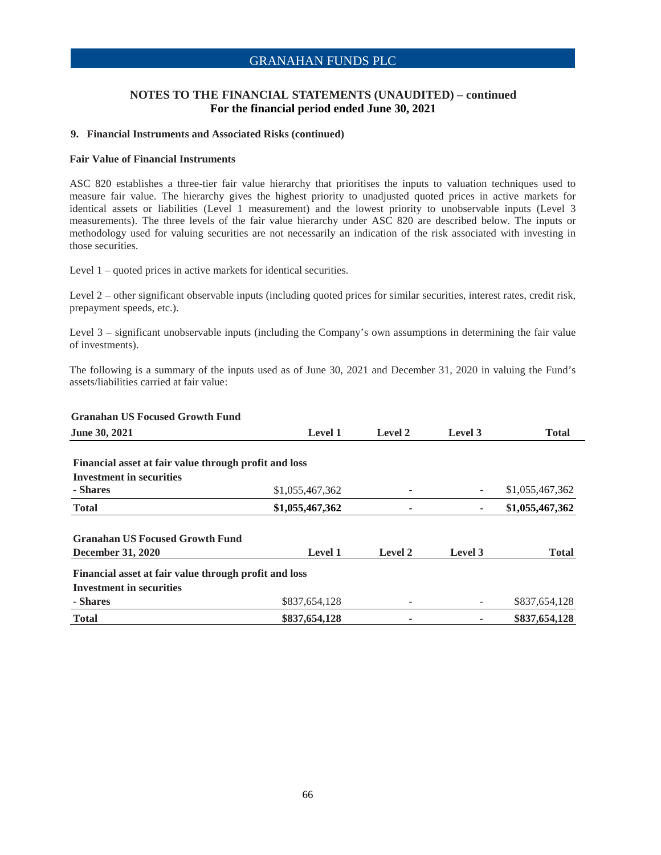### **NOTES TO THE FINANCIAL STATEMENTS (UNAUDITED) – continued For the financial period ended June 30, 2021**

#### **9. Financial Instruments and Associated Risks (continued)**

#### **Fair Value of Financial Instruments**

ASC 820 establishes a three-tier fair value hierarchy that prioritises the inputs to valuation techniques used to measure fair value. The hierarchy gives the highest priority to unadjusted quoted prices in active markets for identical assets or liabilities (Level 1 measurement) and the lowest priority to unobservable inputs (Level 3 measurements). The three levels of the fair value hierarchy under ASC 820 are described below. The inputs or methodology used for valuing securities are not necessarily an indication of the risk associated with investing in those securities.

Level 1 – quoted prices in active markets for identical securities.

Level 2 – other significant observable inputs (including quoted prices for similar securities, interest rates, credit risk, prepayment speeds, etc.).

Level 3 – significant unobservable inputs (including the Company's own assumptions in determining the fair value of investments).

The following is a summary of the inputs used as of June 30, 2021 and December 31, 2020 in valuing the Fund's assets/liabilities carried at fair value:

| ун ананан өз госцяси уновин гипи                      |                 |         |         |                 |
|-------------------------------------------------------|-----------------|---------|---------|-----------------|
| <b>June 30, 2021</b>                                  | <b>Level 1</b>  | Level 2 | Level 3 | <b>Total</b>    |
|                                                       |                 |         |         |                 |
| Financial asset at fair value through profit and loss |                 |         |         |                 |
| <b>Investment in securities</b>                       |                 |         |         |                 |
| - Shares                                              | \$1,055,467,362 |         |         | \$1,055,467,362 |
| <b>Total</b>                                          | \$1,055,467,362 | ۰       | ۰       | \$1,055,467,362 |
| <b>Granahan US Focused Growth Fund</b>                |                 |         |         |                 |
| <b>December 31, 2020</b>                              | Level 1         | Level 2 | Level 3 | <b>Total</b>    |
| Financial asset at fair value through profit and loss |                 |         |         |                 |
| <b>Investment in securities</b>                       |                 |         |         |                 |
| - Shares                                              | \$837,654,128   |         |         | \$837,654,128   |
| <b>Total</b>                                          | \$837,654,128   |         |         | \$837,654,128   |

### **Granahan US Focused Growth Fund**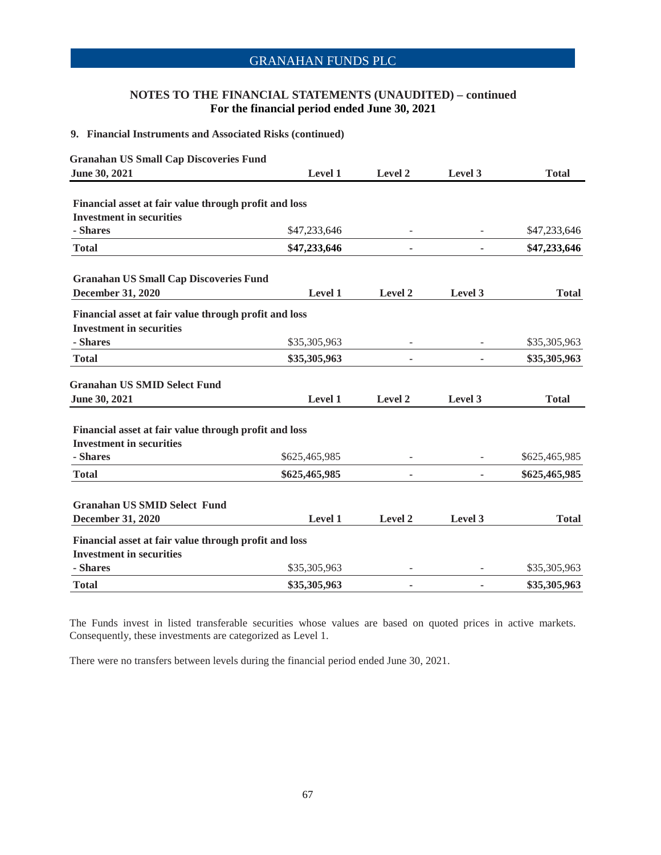### **NOTES TO THE FINANCIAL STATEMENTS (UNAUDITED) – continued For the financial period ended June 30, 2021**

### **9. Financial Instruments and Associated Risks (continued)**

| <b>Granahan US Small Cap Discoveries Fund</b>         |                |                          |         |               |
|-------------------------------------------------------|----------------|--------------------------|---------|---------------|
| June 30, 2021                                         | Level 1        | Level 2                  | Level 3 | <b>Total</b>  |
| Financial asset at fair value through profit and loss |                |                          |         |               |
| <b>Investment in securities</b>                       |                |                          |         |               |
| - Shares                                              | \$47,233,646   |                          |         | \$47,233,646  |
| <b>Total</b>                                          | \$47,233,646   | ٠                        |         | \$47,233,646  |
| <b>Granahan US Small Cap Discoveries Fund</b>         |                |                          |         |               |
| <b>December 31, 2020</b>                              | Level 1        | Level 2                  | Level 3 | <b>Total</b>  |
| Financial asset at fair value through profit and loss |                |                          |         |               |
| <b>Investment in securities</b>                       |                |                          |         |               |
| - Shares                                              | \$35,305,963   | $\overline{\phantom{a}}$ |         | \$35,305,963  |
| <b>Total</b>                                          | \$35,305,963   | ٠                        |         | \$35,305,963  |
| <b>Granahan US SMID Select Fund</b>                   |                |                          |         |               |
| June 30, 2021                                         | Level 1        | Level 2                  | Level 3 | <b>Total</b>  |
| Financial asset at fair value through profit and loss |                |                          |         |               |
| <b>Investment in securities</b>                       |                |                          |         |               |
| - Shares                                              | \$625,465,985  |                          |         | \$625,465,985 |
| <b>Total</b>                                          | \$625,465,985  | ٠                        |         | \$625,465,985 |
|                                                       |                |                          |         |               |
| <b>Granahan US SMID Select Fund</b>                   |                |                          |         |               |
| <b>December 31, 2020</b>                              | <b>Level 1</b> | Level 2                  | Level 3 | <b>Total</b>  |
| Financial asset at fair value through profit and loss |                |                          |         |               |
| <b>Investment in securities</b>                       |                |                          |         |               |
| - Shares                                              | \$35,305,963   |                          |         | \$35,305,963  |
| <b>Total</b>                                          | \$35,305,963   | ٠                        |         | \$35,305,963  |

The Funds invest in listed transferable securities whose values are based on quoted prices in active markets. Consequently, these investments are categorized as Level 1.

There were no transfers between levels during the financial period ended June 30, 2021.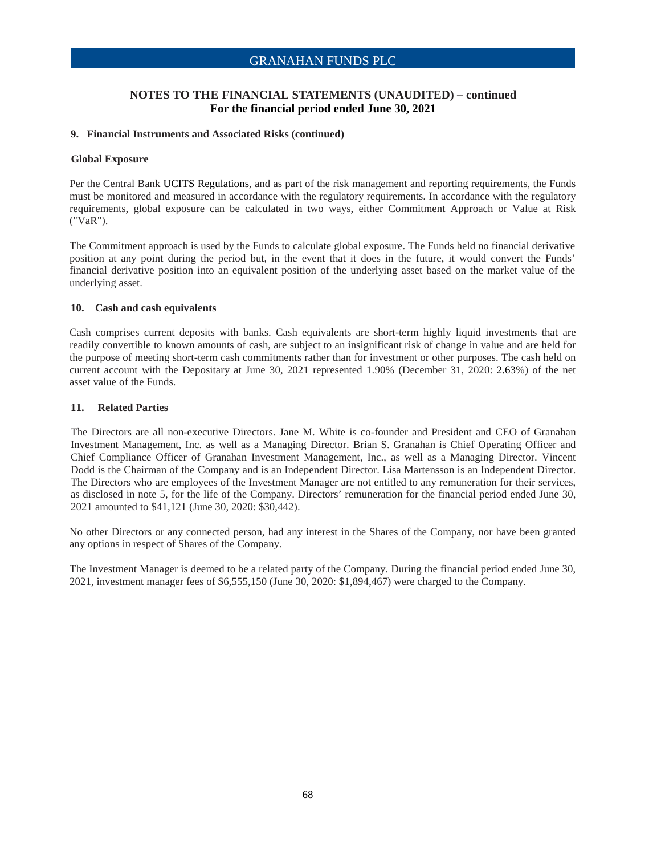### **NOTES TO THE FINANCIAL STATEMENTS (UNAUDITED) – continued For the financial period ended June 30, 2021**

#### **9. Financial Instruments and Associated Risks (continued)**

#### **Global Exposure**

Per the Central Bank UCITS Regulations, and as part of the risk management and reporting requirements, the Funds must be monitored and measured in accordance with the regulatory requirements. In accordance with the regulatory requirements, global exposure can be calculated in two ways, either Commitment Approach or Value at Risk ("VaR").

The Commitment approach is used by the Funds to calculate global exposure. The Funds held no financial derivative position at any point during the period but, in the event that it does in the future, it would convert the Funds' financial derivative position into an equivalent position of the underlying asset based on the market value of the underlying asset.

#### **10. Cash and cash equivalents**

Cash comprises current deposits with banks. Cash equivalents are short-term highly liquid investments that are readily convertible to known amounts of cash, are subject to an insignificant risk of change in value and are held for the purpose of meeting short-term cash commitments rather than for investment or other purposes. The cash held on current account with the Depositary at June 30, 2021 represented 1.90% (December 31, 2020: 2.63%) of the net asset value of the Funds.

### **11. Related Parties**

The Directors are all non-executive Directors. Jane M. White is co-founder and President and CEO of Granahan Investment Management, Inc. as well as a Managing Director. Brian S. Granahan is Chief Operating Officer and Chief Compliance Officer of Granahan Investment Management, Inc., as well as a Managing Director. Vincent Dodd is the Chairman of the Company and is an Independent Director. Lisa Martensson is an Independent Director. The Directors who are employees of the Investment Manager are not entitled to any remuneration for their services, as disclosed in note 5, for the life of the Company. Directors' remuneration for the financial period ended June 30, 2021 amounted to \$41,121 (June 30, 2020: \$30,442).

No other Directors or any connected person, had any interest in the Shares of the Company, nor have been granted any options in respect of Shares of the Company.

The Investment Manager is deemed to be a related party of the Company. During the financial period ended June 30, 2021, investment manager fees of \$6,555,150 (June 30, 2020: \$1,894,467) were charged to the Company.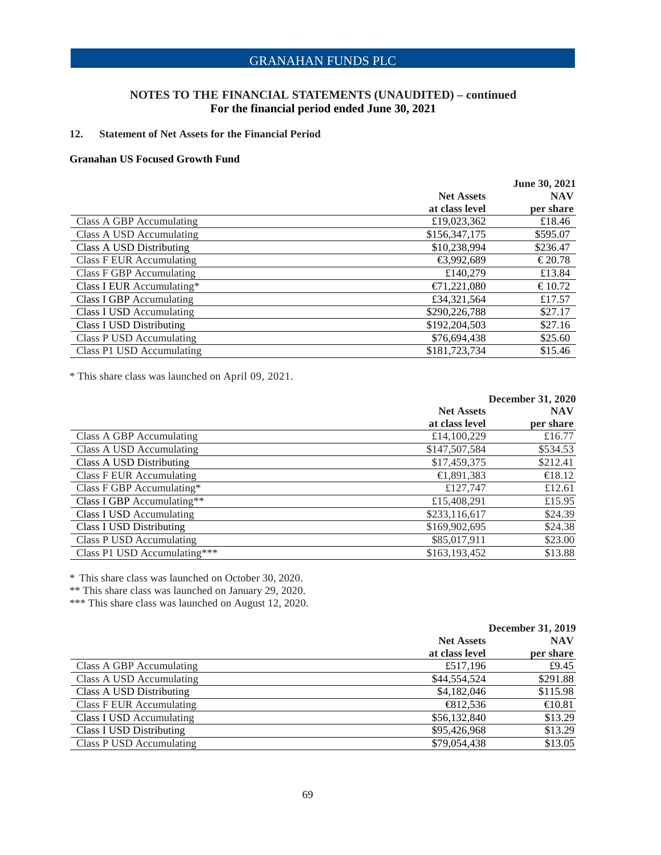### **NOTES TO THE FINANCIAL STATEMENTS (UNAUDITED) – continued For the financial period ended June 30, 2021**

### **12. Statement of Net Assets for the Financial Period**

#### **Granahan US Focused Growth Fund**

|                           |                   | June 30, 2021 |
|---------------------------|-------------------|---------------|
|                           | <b>Net Assets</b> | <b>NAV</b>    |
|                           | at class level    | per share     |
| Class A GBP Accumulating  | £19,023,362       | £18.46        |
| Class A USD Accumulating  | \$156,347,175     | \$595.07      |
| Class A USD Distributing  | \$10,238,994      | \$236.47      |
| Class F EUR Accumulating  | €3,992,689        | € 20.78       |
| Class F GBP Accumulating  | £140.279          | £13.84        |
| Class I EUR Accumulating* | €71,221,080       | € 10.72       |
| Class I GBP Accumulating  | £34,321,564       | £17.57        |
| Class I USD Accumulating  | \$290,226,788     | \$27.17       |
| Class I USD Distributing  | \$192,204,503     | \$27.16       |
| Class P USD Accumulating  | \$76,694,438      | \$25.60       |
| Class P1 USD Accumulating | \$181,723,734     | \$15.46       |

\* This share class was launched on April 09, 2021.

|                                 |                   | <b>December 31, 2020</b> |
|---------------------------------|-------------------|--------------------------|
|                                 | <b>Net Assets</b> | <b>NAV</b>               |
|                                 | at class level    | per share                |
| Class A GBP Accumulating        | £14,100,229       | £16.77                   |
| Class A USD Accumulating        | \$147,507,584     | \$534.53                 |
| Class A USD Distributing        | \$17,459,375      | \$212.41                 |
| Class F EUR Accumulating        | €1,891,383        | €18.12                   |
| Class F GBP Accumulating*       | £127,747          | £12.61                   |
| Class I GBP Accumulating**      | £15,408,291       | £15.95                   |
| Class I USD Accumulating        | \$233,116,617     | \$24.39                  |
| <b>Class I USD Distributing</b> | \$169,902,695     | \$24.38                  |
| Class P USD Accumulating        | \$85,017,911      | \$23.00                  |
| Class P1 USD Accumulating***    | \$163,193,452     | \$13.88                  |

\* This share class was launched on October 30, 2020.

\*\* This share class was launched on January 29, 2020.

\*\*\* This share class was launched on August 12, 2020.

|                          | <b>December 31, 2019</b> |            |  |
|--------------------------|--------------------------|------------|--|
|                          | <b>Net Assets</b>        | <b>NAV</b> |  |
|                          | at class level           | per share  |  |
| Class A GBP Accumulating | £517,196                 | £9.45      |  |
| Class A USD Accumulating | \$44,554,524             | \$291.88   |  |
| Class A USD Distributing | \$4,182,046              | \$115.98   |  |
| Class F EUR Accumulating | €812,536                 | €10.81     |  |
| Class I USD Accumulating | \$56,132,840             | \$13.29    |  |
| Class I USD Distributing | \$95,426,968             | \$13.29    |  |
| Class P USD Accumulating | \$79,054,438             | \$13.05    |  |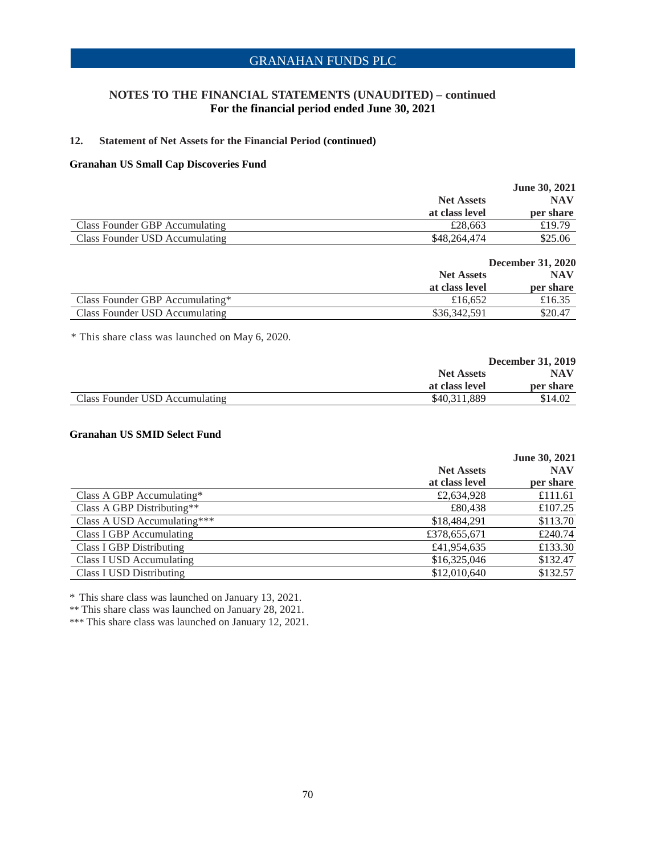### **NOTES TO THE FINANCIAL STATEMENTS (UNAUDITED) – continued For the financial period ended June 30, 2021**

### **12. Statement of Net Assets for the Financial Period (continued)**

### **Granahan US Small Cap Discoveries Fund**

|                                |                   | <b>June 30, 2021</b> |
|--------------------------------|-------------------|----------------------|
|                                | <b>Net Assets</b> | <b>NAV</b>           |
|                                | at class level    | per share            |
| Class Founder GBP Accumulating | £28,663           | £19.79               |
| Class Founder USD Accumulating | \$48,264,474      | \$25.06              |

|                                 | <b>December 31, 2020</b>            |                  |
|---------------------------------|-------------------------------------|------------------|
|                                 | <b>Net Assets</b><br>at class level | NAV<br>per share |
|                                 |                                     |                  |
| Class Founder GBP Accumulating* | £16.652                             | £16.35           |
| Class Founder USD Accumulating  | \$36,342,591                        | \$20.47          |

\* This share class was launched on May 6, 2020.

|                                | <b>December 31, 2019</b> |           |
|--------------------------------|--------------------------|-----------|
|                                | <b>Net Assets</b>        | NAV       |
|                                | at class level           | per share |
| Class Founder USD Accumulating | \$40.311.889             | \$14.02   |

### **Granahan US SMID Select Fund**

|                                 |                   | June 30, 2021 |
|---------------------------------|-------------------|---------------|
|                                 | <b>Net Assets</b> | <b>NAV</b>    |
|                                 | at class level    | per share     |
| Class A GBP Accumulating*       | £2,634,928        | £111.61       |
| Class A GBP Distributing**      | £80,438           | £107.25       |
| Class A USD Accumulating***     | \$18,484,291      | \$113.70      |
| Class I GBP Accumulating        | £378,655,671      | £240.74       |
| <b>Class I GBP Distributing</b> | £41,954,635       | £133.30       |
| Class I USD Accumulating        | \$16,325,046      | \$132.47      |
| <b>Class I USD Distributing</b> | \$12,010,640      | \$132.57      |
|                                 |                   |               |

\* This share class was launched on January 13, 2021.

\*\* This share class was launched on January 28, 2021.

\*\*\* This share class was launched on January 12, 2021.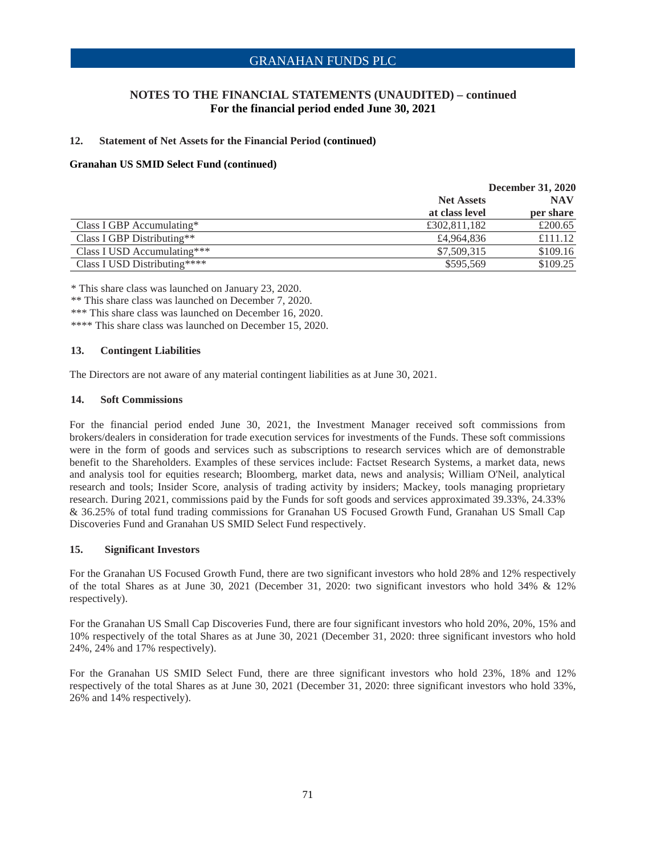### **NOTES TO THE FINANCIAL STATEMENTS (UNAUDITED) – continued For the financial period ended June 30, 2021**

### **12. Statement of Net Assets for the Financial Period (continued)**

### **Granahan US SMID Select Fund (continued)**

|                              | <b>December 31, 2020</b> |            |
|------------------------------|--------------------------|------------|
|                              | <b>Net Assets</b>        | <b>NAV</b> |
|                              | at class level           | per share  |
| Class I GBP Accumulating $*$ | £302,811,182             | £200.65    |
| Class I GBP Distributing**   | £4,964,836               | £111.12    |
| Class I USD Accumulating***  | \$7,509,315              | \$109.16   |
| Class I USD Distributing**** | \$595,569                | \$109.25   |

\* This share class was launched on January 23, 2020.

\*\* This share class was launched on December 7, 2020.

\*\*\* This share class was launched on December 16, 2020.

\*\*\*\* This share class was launched on December 15, 2020.

### **13. Contingent Liabilities**

The Directors are not aware of any material contingent liabilities as at June 30, 2021.

#### **14. Soft Commissions**

For the financial period ended June 30, 2021, the Investment Manager received soft commissions from brokers/dealers in consideration for trade execution services for investments of the Funds. These soft commissions were in the form of goods and services such as subscriptions to research services which are of demonstrable benefit to the Shareholders. Examples of these services include: Factset Research Systems, a market data, news and analysis tool for equities research; Bloomberg, market data, news and analysis; William O'Neil, analytical research and tools; Insider Score, analysis of trading activity by insiders; Mackey, tools managing proprietary research. During 2021, commissions paid by the Funds for soft goods and services approximated 39.33%, 24.33% & 36.25% of total fund trading commissions for Granahan US Focused Growth Fund, Granahan US Small Cap Discoveries Fund and Granahan US SMID Select Fund respectively.

### **15. Significant Investors**

For the Granahan US Focused Growth Fund, there are two significant investors who hold 28% and 12% respectively of the total Shares as at June 30, 2021 (December 31, 2020: two significant investors who hold 34% & 12% respectively).

For the Granahan US Small Cap Discoveries Fund, there are four significant investors who hold 20%, 20%, 15% and 10% respectively of the total Shares as at June 30, 2021 (December 31, 2020: three significant investors who hold 24%, 24% and 17% respectively).

For the Granahan US SMID Select Fund, there are three significant investors who hold 23%, 18% and 12% respectively of the total Shares as at June 30, 2021 (December 31, 2020: three significant investors who hold 33%, 26% and 14% respectively).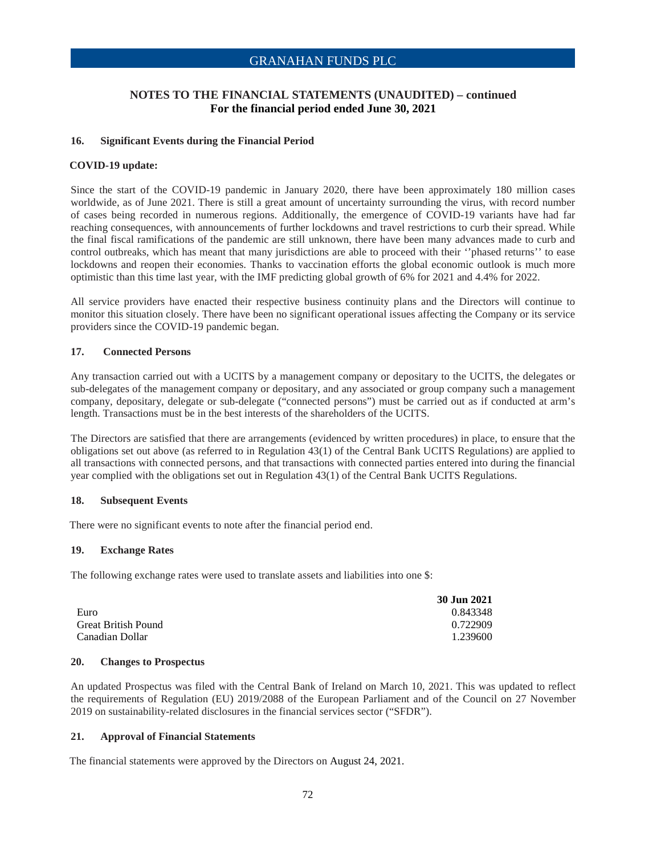### **NOTES TO THE FINANCIAL STATEMENTS (UNAUDITED) – continued For the financial period ended June 30, 2021**

### **16. Significant Events during the Financial Period**

#### **COVID-19 update:**

Since the start of the COVID-19 pandemic in January 2020, there have been approximately 180 million cases worldwide, as of June 2021. There is still a great amount of uncertainty surrounding the virus, with record number of cases being recorded in numerous regions. Additionally, the emergence of COVID-19 variants have had far reaching consequences, with announcements of further lockdowns and travel restrictions to curb their spread. While the final fiscal ramifications of the pandemic are still unknown, there have been many advances made to curb and control outbreaks, which has meant that many jurisdictions are able to proceed with their ''phased returns'' to ease lockdowns and reopen their economies. Thanks to vaccination efforts the global economic outlook is much more optimistic than this time last year, with the IMF predicting global growth of 6% for 2021 and 4.4% for 2022.

All service providers have enacted their respective business continuity plans and the Directors will continue to monitor this situation closely. There have been no significant operational issues affecting the Company or its service providers since the COVID-19 pandemic began.

### **17. Connected Persons**

Any transaction carried out with a UCITS by a management company or depositary to the UCITS, the delegates or sub-delegates of the management company or depositary, and any associated or group company such a management company, depositary, delegate or sub-delegate ("connected persons") must be carried out as if conducted at arm's length. Transactions must be in the best interests of the shareholders of the UCITS.

The Directors are satisfied that there are arrangements (evidenced by written procedures) in place, to ensure that the obligations set out above (as referred to in Regulation 43(1) of the Central Bank UCITS Regulations) are applied to all transactions with connected persons, and that transactions with connected parties entered into during the financial year complied with the obligations set out in Regulation 43(1) of the Central Bank UCITS Regulations.

#### **18. Subsequent Events**

There were no significant events to note after the financial period end.

#### **19. Exchange Rates**

The following exchange rates were used to translate assets and liabilities into one \$:

|                            | 30 Jun 2021 |
|----------------------------|-------------|
| Euro                       | 0.843348    |
| <b>Great British Pound</b> | 0.722909    |
| Canadian Dollar            | 1.239600    |

### **20. Changes to Prospectus**

An updated Prospectus was filed with the Central Bank of Ireland on March 10, 2021. This was updated to reflect the requirements of Regulation (EU) 2019/2088 of the European Parliament and of the Council on 27 November 2019 on sustainability-related disclosures in the financial services sector ("SFDR").

### **21. Approval of Financial Statements**

The financial statements were approved by the Directors on August 24, 2021.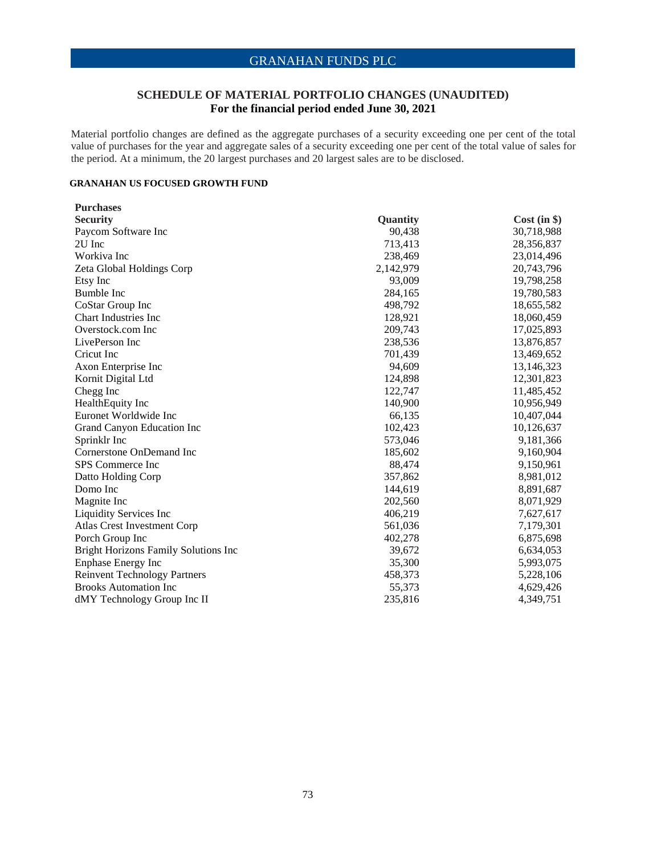### **SCHEDULE OF MATERIAL PORTFOLIO CHANGES (UNAUDITED) For the financial period ended June 30, 2021**

Material portfolio changes are defined as the aggregate purchases of a security exceeding one per cent of the total value of purchases for the year and aggregate sales of a security exceeding one per cent of the total value of sales for the period. At a minimum, the 20 largest purchases and 20 largest sales are to be disclosed.

### **GRANAHAN US FOCUSED GROWTH FUND**

| <b>Purchases</b>                            |           |             |
|---------------------------------------------|-----------|-------------|
| <b>Security</b>                             | Quantity  | Cost (in §) |
| Paycom Software Inc                         | 90,438    | 30,718,988  |
| 2U Inc                                      | 713,413   | 28,356,837  |
| Workiva Inc                                 | 238,469   | 23,014,496  |
| Zeta Global Holdings Corp                   | 2,142,979 | 20,743,796  |
| Etsy Inc                                    | 93,009    | 19,798,258  |
| <b>Bumble Inc</b>                           | 284,165   | 19,780,583  |
| CoStar Group Inc                            | 498,792   | 18,655,582  |
| <b>Chart Industries Inc</b>                 | 128,921   | 18,060,459  |
| Overstock.com Inc                           | 209,743   | 17,025,893  |
| LivePerson Inc                              | 238,536   | 13,876,857  |
| Cricut Inc                                  | 701,439   | 13,469,652  |
| Axon Enterprise Inc                         | 94,609    | 13,146,323  |
| Kornit Digital Ltd                          | 124,898   | 12,301,823  |
| Chegg Inc                                   | 122,747   | 11,485,452  |
| HealthEquity Inc                            | 140,900   | 10,956,949  |
| Euronet Worldwide Inc                       | 66,135    | 10,407,044  |
| Grand Canyon Education Inc                  | 102,423   | 10,126,637  |
| Sprinklr Inc                                | 573,046   | 9,181,366   |
| Cornerstone OnDemand Inc                    | 185,602   | 9,160,904   |
| <b>SPS</b> Commerce Inc                     | 88,474    | 9,150,961   |
| Datto Holding Corp                          | 357,862   | 8,981,012   |
| Domo Inc                                    | 144,619   | 8,891,687   |
| Magnite Inc                                 | 202,560   | 8,071,929   |
| <b>Liquidity Services Inc</b>               | 406,219   | 7,627,617   |
| Atlas Crest Investment Corp                 | 561,036   | 7,179,301   |
| Porch Group Inc                             | 402,278   | 6,875,698   |
| <b>Bright Horizons Family Solutions Inc</b> | 39,672    | 6,634,053   |
| <b>Enphase Energy Inc</b>                   | 35,300    | 5,993,075   |
| <b>Reinvent Technology Partners</b>         | 458,373   | 5,228,106   |
| <b>Brooks Automation Inc</b>                | 55,373    | 4,629,426   |
| dMY Technology Group Inc II                 | 235,816   | 4,349,751   |
|                                             |           |             |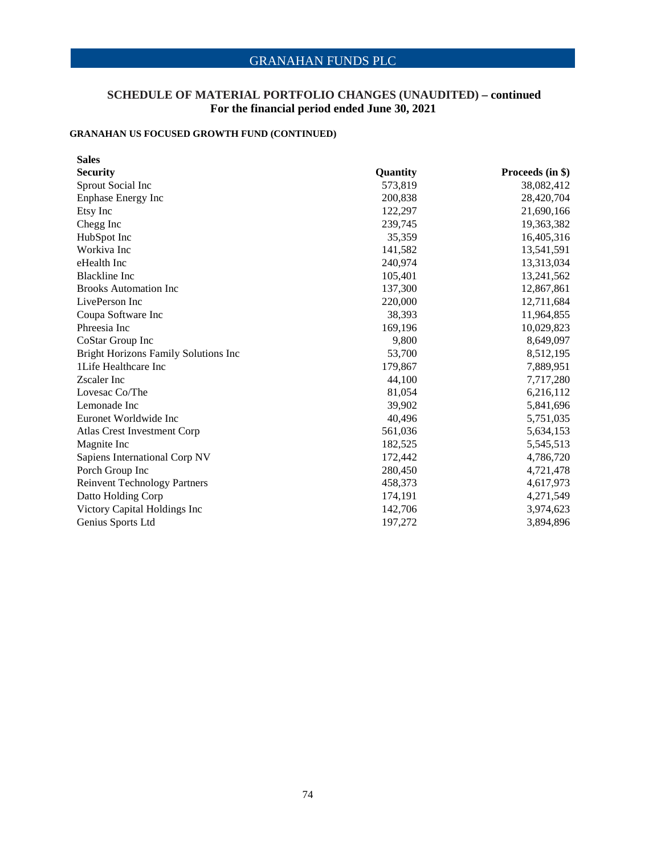# **SCHEDULE OF MATERIAL PORTFOLIO CHANGES (UNAUDITED) – continued For the financial period ended June 30, 2021**

# **GRANAHAN US FOCUSED GROWTH FUND (CONTINUED)**

| <b>Sales</b>                         |          |                  |
|--------------------------------------|----------|------------------|
| <b>Security</b>                      | Quantity | Proceeds (in \$) |
| Sprout Social Inc                    | 573,819  | 38,082,412       |
| <b>Enphase Energy Inc</b>            | 200,838  | 28,420,704       |
| Etsy Inc                             | 122,297  | 21,690,166       |
| Chegg Inc                            | 239,745  | 19,363,382       |
| HubSpot Inc                          | 35,359   | 16,405,316       |
| Workiva Inc                          | 141,582  | 13,541,591       |
| eHealth Inc                          | 240,974  | 13,313,034       |
| <b>Blackline</b> Inc                 | 105,401  | 13,241,562       |
| <b>Brooks Automation Inc.</b>        | 137,300  | 12,867,861       |
| LivePerson Inc                       | 220,000  | 12,711,684       |
| Coupa Software Inc                   | 38,393   | 11,964,855       |
| Phreesia Inc                         | 169,196  | 10,029,823       |
| CoStar Group Inc                     | 9,800    | 8,649,097        |
| Bright Horizons Family Solutions Inc | 53,700   | 8,512,195        |
| 1Life Healthcare Inc                 | 179,867  | 7,889,951        |
| Zscaler Inc                          | 44,100   | 7,717,280        |
| Lovesac Co/The                       | 81,054   | 6,216,112        |
| Lemonade Inc                         | 39,902   | 5,841,696        |
| Euronet Worldwide Inc                | 40,496   | 5,751,035        |
| Atlas Crest Investment Corp          | 561,036  | 5,634,153        |
| Magnite Inc                          | 182,525  | 5,545,513        |
| Sapiens International Corp NV        | 172,442  | 4,786,720        |
| Porch Group Inc                      | 280,450  | 4,721,478        |
| <b>Reinvent Technology Partners</b>  | 458,373  | 4,617,973        |
| Datto Holding Corp                   | 174,191  | 4,271,549        |
| Victory Capital Holdings Inc         | 142,706  | 3,974,623        |
| Genius Sports Ltd                    | 197,272  | 3,894,896        |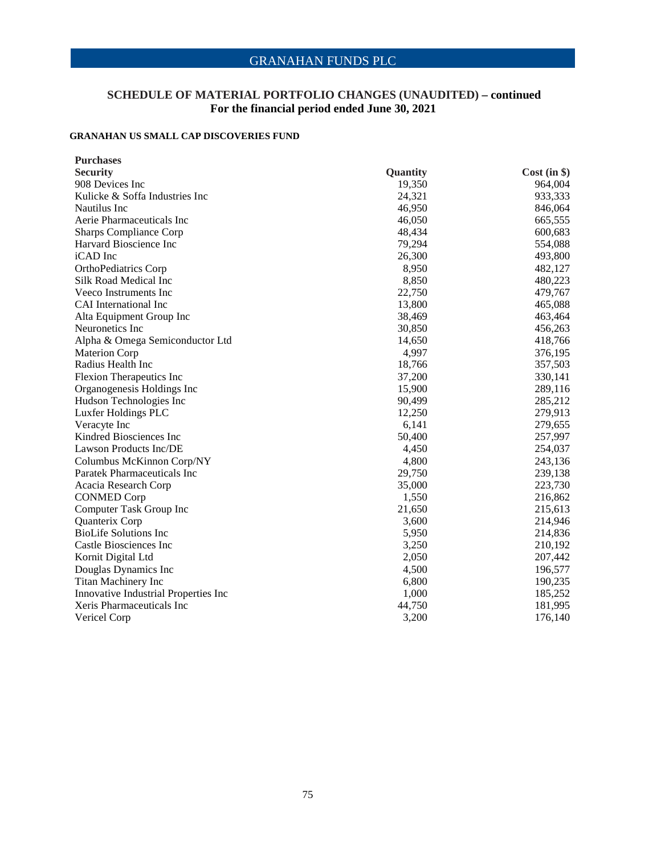## **SCHEDULE OF MATERIAL PORTFOLIO CHANGES (UNAUDITED) – continued For the financial period ended June 30, 2021**

### **GRANAHAN US SMALL CAP DISCOVERIES FUND**

| <b>Purchases</b>                     |          |             |
|--------------------------------------|----------|-------------|
| <b>Security</b>                      | Quantity | Cost (in §) |
| 908 Devices Inc                      | 19,350   | 964,004     |
| Kulicke & Soffa Industries Inc       | 24,321   | 933,333     |
| Nautilus Inc                         | 46,950   | 846,064     |
| Aerie Pharmaceuticals Inc            | 46,050   | 665,555     |
| <b>Sharps Compliance Corp</b>        | 48,434   | 600,683     |
| Harvard Bioscience Inc               | 79,294   | 554,088     |
| iCAD Inc                             | 26,300   | 493,800     |
| OrthoPediatrics Corp                 | 8,950    | 482,127     |
| Silk Road Medical Inc                | 8,850    | 480,223     |
| Veeco Instruments Inc                | 22,750   | 479,767     |
| CAI International Inc                | 13,800   | 465,088     |
| Alta Equipment Group Inc             | 38,469   | 463,464     |
| Neuronetics Inc                      | 30,850   | 456,263     |
| Alpha & Omega Semiconductor Ltd      | 14,650   | 418,766     |
| <b>Materion Corp</b>                 | 4,997    | 376,195     |
| Radius Health Inc                    | 18,766   | 357,503     |
| Flexion Therapeutics Inc             | 37,200   | 330,141     |
| Organogenesis Holdings Inc           | 15,900   | 289,116     |
| Hudson Technologies Inc              | 90,499   | 285,212     |
| Luxfer Holdings PLC                  | 12,250   | 279,913     |
| Veracyte Inc                         | 6,141    | 279,655     |
| Kindred Biosciences Inc              | 50,400   | 257,997     |
| Lawson Products Inc/DE               | 4,450    | 254,037     |
| Columbus McKinnon Corp/NY            | 4,800    | 243,136     |
| Paratek Pharmaceuticals Inc          | 29,750   | 239,138     |
| Acacia Research Corp                 | 35,000   | 223,730     |
| <b>CONMED Corp</b>                   | 1,550    | 216,862     |
| Computer Task Group Inc              | 21,650   | 215,613     |
| Quanterix Corp                       | 3,600    | 214,946     |
| <b>BioLife Solutions Inc</b>         | 5,950    | 214,836     |
| Castle Biosciences Inc               | 3,250    | 210,192     |
| Kornit Digital Ltd                   | 2,050    | 207,442     |
| Douglas Dynamics Inc                 | 4,500    | 196,577     |
| Titan Machinery Inc                  | 6,800    | 190,235     |
| Innovative Industrial Properties Inc | 1,000    | 185,252     |
| Xeris Pharmaceuticals Inc            | 44,750   | 181,995     |
| Vericel Corp                         | 3,200    | 176,140     |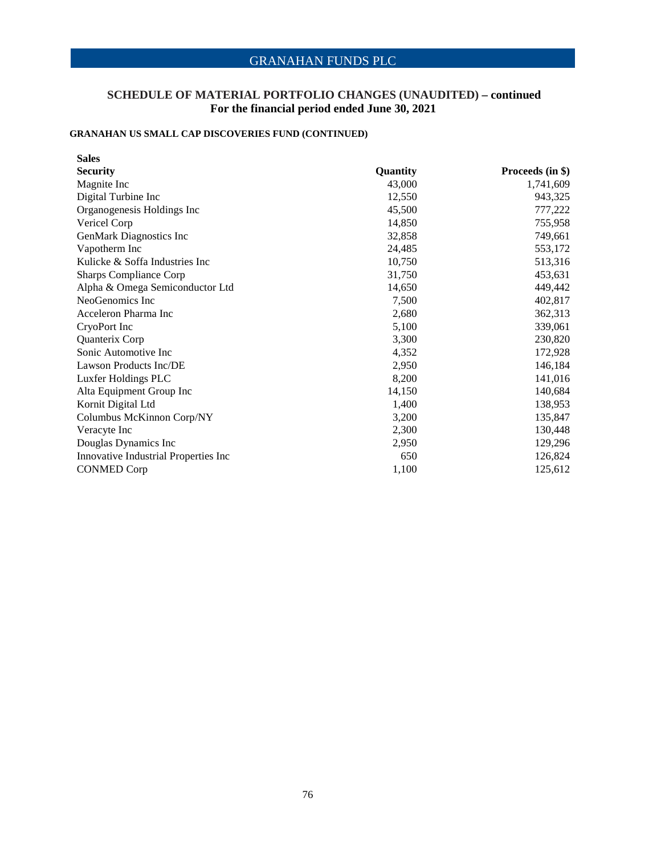## **SCHEDULE OF MATERIAL PORTFOLIO CHANGES (UNAUDITED) – continued For the financial period ended June 30, 2021**

# **GRANAHAN US SMALL CAP DISCOVERIES FUND (CONTINUED)**

| <b>Sales</b>                         |          |                  |
|--------------------------------------|----------|------------------|
| <b>Security</b>                      | Quantity | Proceeds (in \$) |
| Magnite Inc                          | 43,000   | 1,741,609        |
| Digital Turbine Inc                  | 12,550   | 943,325          |
| Organogenesis Holdings Inc           | 45,500   | 777,222          |
| Vericel Corp                         | 14,850   | 755,958          |
| GenMark Diagnostics Inc              | 32,858   | 749,661          |
| Vapotherm Inc                        | 24,485   | 553,172          |
| Kulicke & Soffa Industries Inc       | 10,750   | 513,316          |
| <b>Sharps Compliance Corp</b>        | 31,750   | 453,631          |
| Alpha & Omega Semiconductor Ltd      | 14,650   | 449,442          |
| NeoGenomics Inc                      | 7,500    | 402,817          |
| Acceleron Pharma Inc                 | 2,680    | 362,313          |
| CryoPort Inc                         | 5,100    | 339,061          |
| Quanterix Corp                       | 3,300    | 230,820          |
| Sonic Automotive Inc.                | 4,352    | 172,928          |
| Lawson Products Inc/DE               | 2,950    | 146,184          |
| Luxfer Holdings PLC                  | 8,200    | 141,016          |
| Alta Equipment Group Inc             | 14,150   | 140,684          |
| Kornit Digital Ltd                   | 1,400    | 138,953          |
| Columbus McKinnon Corp/NY            | 3,200    | 135,847          |
| Veracyte Inc                         | 2,300    | 130,448          |
| Douglas Dynamics Inc                 | 2,950    | 129,296          |
| Innovative Industrial Properties Inc | 650      | 126,824          |
| <b>CONMED Corp</b>                   | 1,100    | 125,612          |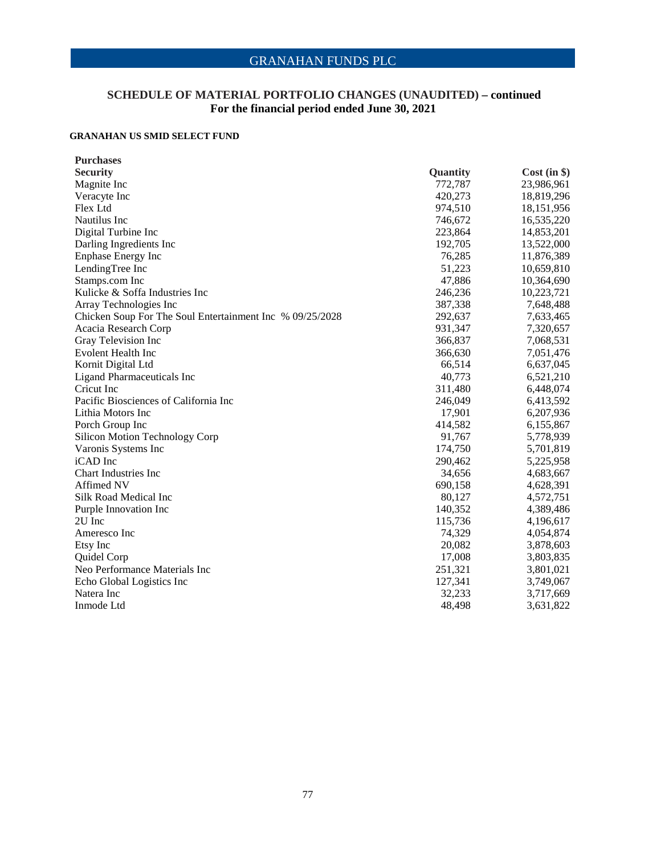## **SCHEDULE OF MATERIAL PORTFOLIO CHANGES (UNAUDITED) – continued For the financial period ended June 30, 2021**

### **GRANAHAN US SMID SELECT FUND**

| <b>Purchases</b>                                         |                 |              |
|----------------------------------------------------------|-----------------|--------------|
| <b>Security</b>                                          | <b>Quantity</b> | Cost (in §)  |
| Magnite Inc                                              | 772,787         | 23,986,961   |
| Veracyte Inc                                             | 420,273         | 18,819,296   |
| Flex Ltd                                                 | 974,510         | 18, 151, 956 |
| Nautilus Inc                                             | 746,672         | 16,535,220   |
| Digital Turbine Inc                                      | 223,864         | 14,853,201   |
| Darling Ingredients Inc                                  | 192,705         | 13,522,000   |
| <b>Enphase Energy Inc</b>                                | 76,285          | 11,876,389   |
| LendingTree Inc                                          | 51,223          | 10,659,810   |
| Stamps.com Inc                                           | 47,886          | 10,364,690   |
| Kulicke & Soffa Industries Inc                           | 246,236         | 10,223,721   |
| Array Technologies Inc                                   | 387,338         | 7,648,488    |
| Chicken Soup For The Soul Entertainment Inc % 09/25/2028 | 292,637         | 7,633,465    |
| Acacia Research Corp                                     | 931,347         | 7,320,657    |
| Gray Television Inc                                      | 366,837         | 7,068,531    |
| Evolent Health Inc                                       | 366,630         | 7,051,476    |
| Kornit Digital Ltd                                       | 66,514          | 6,637,045    |
| <b>Ligand Pharmaceuticals Inc</b>                        | 40,773          | 6,521,210    |
| Cricut Inc.                                              | 311,480         | 6,448,074    |
| Pacific Biosciences of California Inc                    | 246,049         | 6,413,592    |
| Lithia Motors Inc                                        | 17,901          | 6,207,936    |
| Porch Group Inc                                          | 414,582         | 6,155,867    |
| <b>Silicon Motion Technology Corp</b>                    | 91,767          | 5,778,939    |
| Varonis Systems Inc                                      | 174,750         | 5,701,819    |
| iCAD Inc                                                 | 290,462         | 5,225,958    |
| <b>Chart Industries Inc</b>                              | 34,656          | 4,683,667    |
| Affimed NV                                               | 690,158         | 4,628,391    |
| Silk Road Medical Inc                                    | 80,127          | 4,572,751    |
| Purple Innovation Inc                                    | 140,352         | 4,389,486    |
| 2U Inc                                                   | 115,736         | 4,196,617    |
| Ameresco Inc                                             | 74,329          | 4,054,874    |
| Etsy Inc                                                 | 20,082          | 3,878,603    |
| Quidel Corp                                              | 17,008          | 3,803,835    |
| Neo Performance Materials Inc                            | 251,321         | 3,801,021    |
| Echo Global Logistics Inc                                | 127,341         | 3,749,067    |
| Natera Inc                                               | 32,233          | 3,717,669    |
| Inmode Ltd                                               | 48,498          | 3,631,822    |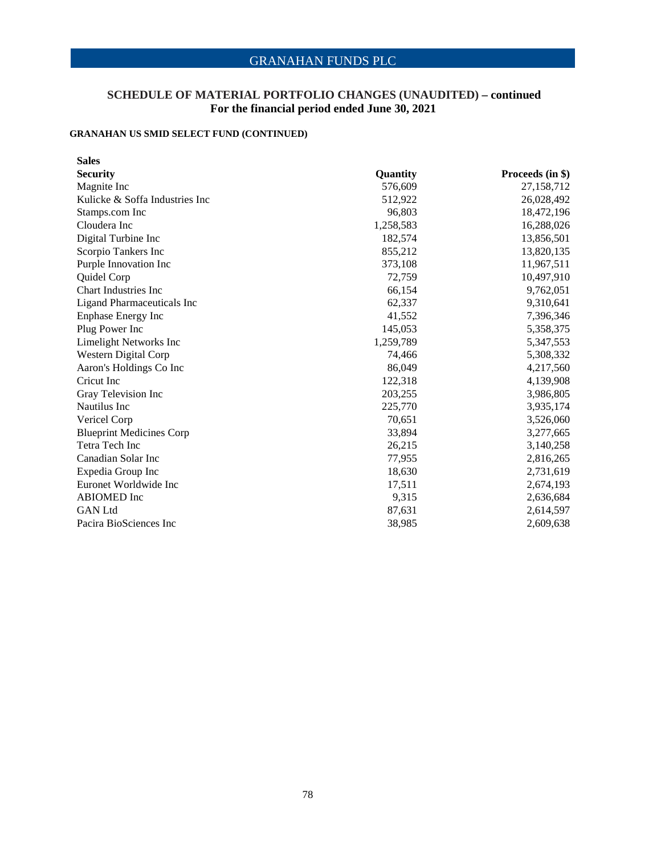## **SCHEDULE OF MATERIAL PORTFOLIO CHANGES (UNAUDITED) – continued For the financial period ended June 30, 2021**

# **GRANAHAN US SMID SELECT FUND (CONTINUED)**

| <b>Sales</b>                      |           |                  |
|-----------------------------------|-----------|------------------|
| <b>Security</b>                   | Quantity  | Proceeds (in \$) |
| Magnite Inc                       | 576,609   | 27,158,712       |
| Kulicke & Soffa Industries Inc    | 512,922   | 26,028,492       |
| Stamps.com Inc                    | 96,803    | 18,472,196       |
| Cloudera Inc                      | 1,258,583 | 16,288,026       |
| Digital Turbine Inc               | 182,574   | 13,856,501       |
| Scorpio Tankers Inc               | 855,212   | 13,820,135       |
| Purple Innovation Inc             | 373,108   | 11,967,511       |
| Quidel Corp                       | 72,759    | 10,497,910       |
| <b>Chart Industries Inc</b>       | 66,154    | 9,762,051        |
| <b>Ligand Pharmaceuticals Inc</b> | 62,337    | 9,310,641        |
| <b>Enphase Energy Inc</b>         | 41,552    | 7,396,346        |
| Plug Power Inc                    | 145,053   | 5,358,375        |
| Limelight Networks Inc            | 1,259,789 | 5,347,553        |
| Western Digital Corp              | 74,466    | 5,308,332        |
| Aaron's Holdings Co Inc           | 86,049    | 4,217,560        |
| Cricut Inc.                       | 122,318   | 4,139,908        |
| Gray Television Inc               | 203,255   | 3,986,805        |
| Nautilus Inc                      | 225,770   | 3,935,174        |
| Vericel Corp                      | 70,651    | 3,526,060        |
| <b>Blueprint Medicines Corp</b>   | 33,894    | 3,277,665        |
| Tetra Tech Inc                    | 26,215    | 3,140,258        |
| Canadian Solar Inc                | 77,955    | 2,816,265        |
| Expedia Group Inc                 | 18,630    | 2,731,619        |
| Euronet Worldwide Inc             | 17,511    | 2,674,193        |
| <b>ABIOMED</b> Inc                | 9,315     | 2,636,684        |
| <b>GAN</b> Ltd                    | 87,631    | 2,614,597        |
| Pacira BioSciences Inc            | 38,985    | 2,609,638        |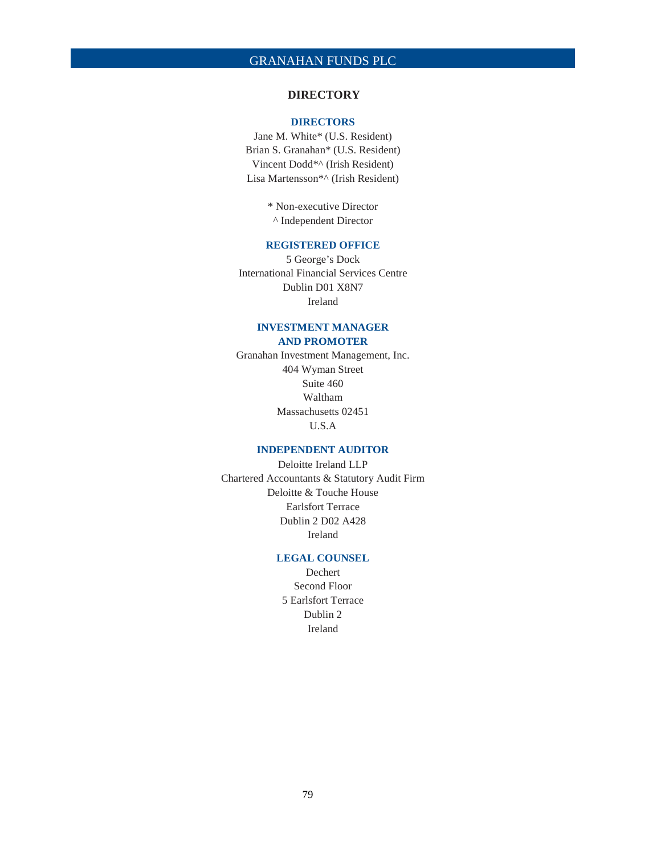### **DIRECTORY**

#### **DIRECTORS**

Jane M. White\* (U.S. Resident) Brian S. Granahan\* (U.S. Resident) Vincent Dodd\*^ (Irish Resident) Lisa Martensson\*^ (Irish Resident)

> \* Non-executive Director ^ Independent Director

#### **REGISTERED OFFICE**

5 George's Dock International Financial Services Centre Dublin D01 X8N7 Ireland

### **INVESTMENT MANAGER AND PROMOTER**

Granahan Investment Management, Inc. 404 Wyman Street Suite 460 Waltham Massachusetts 02451 U.S.A

### **INDEPENDENT AUDITOR**

Deloitte Ireland LLP Chartered Accountants & Statutory Audit Firm Deloitte & Touche House Earlsfort Terrace Dublin 2 D02 A428 Ireland

### **LEGAL COUNSEL**

Dechert Second Floor 5 Earlsfort Terrace Dublin 2 Ireland